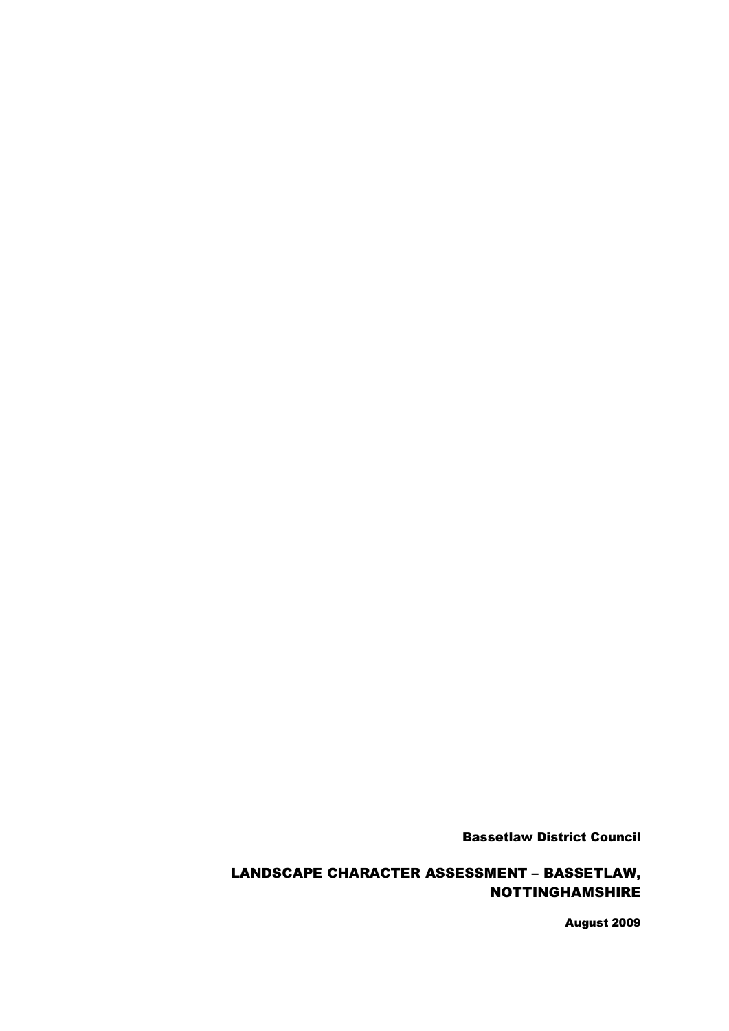Bassetlaw District Council

# LANDSCAPE CHARACTER ASSESSMENT – BASSETLAW, NOTTINGHAMSHIRE

August 2009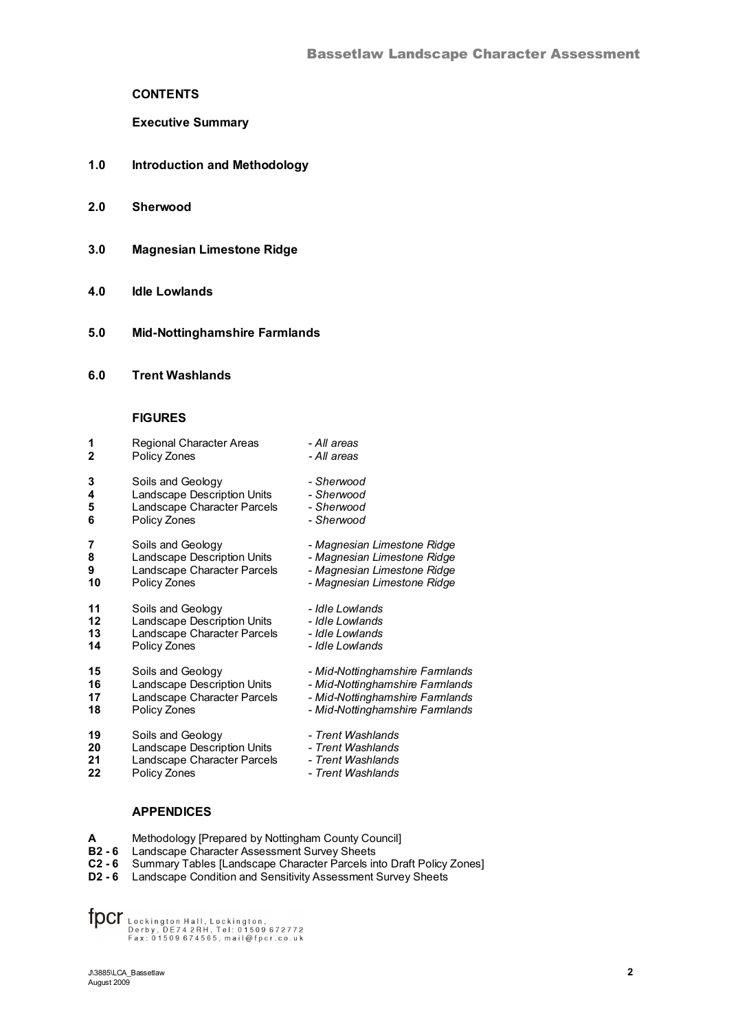# **CONTENTS**

**Executive Summary**

- **1.0 Introduction and Methodology**
- **2.0 Sherwood**
- **3.0 Magnesian Limestone Ridge**
- **4.0 Idle Lowlands**
- **5.0 Mid-Nottinghamshire Farmlands**
- **6.0 Trent Washlands**

#### **FIGURES**

| 1            | <b>Regional Character Areas</b> | - All areas                     |
|--------------|---------------------------------|---------------------------------|
| $\mathbf{2}$ | Policy Zones                    | - All areas                     |
| 3            | Soils and Geology               | - Sherwood                      |
| 4            | Landscape Description Units     | - Sherwood                      |
| 5            | Landscape Character Parcels     | - Sherwood                      |
| 6            | Policy Zones                    | - Sherwood                      |
| 7            | Soils and Geology               | - Magnesian Limestone Ridge     |
| 8            | Landscape Description Units     | - Magnesian Limestone Ridge     |
| 9            | Landscape Character Parcels     | - Magnesian Limestone Ridge     |
| 10           | Policy Zones                    | - Magnesian Limestone Ridge     |
| 11           | Soils and Geology               | - Idle Lowlands                 |
| 12           | Landscape Description Units     | - Idle Lowlands                 |
| 13           | Landscape Character Parcels     | - Idle Lowlands                 |
| 14           | Policy Zones                    | - Idle Lowlands                 |
| 15           | Soils and Geology               | - Mid-Nottinghamshire Farmlands |
| 16           | Landscape Description Units     | - Mid-Nottinghamshire Farmlands |
| 17           | Landscape Character Parcels     | - Mid-Nottinghamshire Farmlands |
| 18           | Policy Zones                    | - Mid-Nottinghamshire Farmlands |
| 19           | Soils and Geology               | - Trent Washlands               |
| 20           | Landscape Description Units     | - Trent Washlands               |
| 21           | Landscape Character Parcels     | - Trent Washlands               |
| 22           | Policy Zones                    | - Trent Washlands               |

## **APPENDICES**

- **A** Methodology [Prepared by Nottingham County Council]
- **B2 - 6** Landscape Character Assessment Survey Sheets
- **C2 - 6** Summary Tables [Landscape Character Parcels into Draft Policy Zones]
- **D2 6** Landscape Condition and Sensitivity Assessment Survey Sheets

 $\text{fper}_{\text{backington, B2772}}\\ \text{fper}_{\text{p} \text{erby, DE74 2RH, Tel: 01509 672772}}\\ \text{Fax: 01509 674565, mail@fper.co.uk}$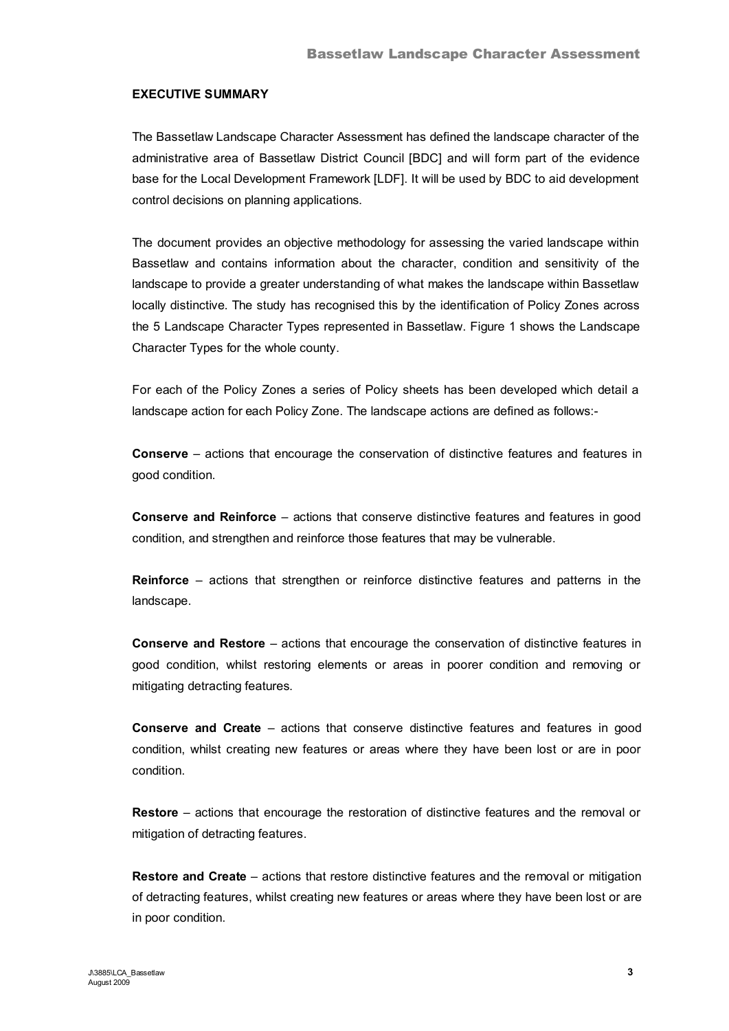## **EXECUTIVE SUMMARY**

The Bassetlaw Landscape Character Assessment has defined the landscape character of the administrative area of Bassetlaw District Council [BDC] and will form part of the evidence base for the Local Development Framework [LDF]. It will be used by BDC to aid development control decisions on planning applications.

The document provides an objective methodology for assessing the varied landscape within Bassetlaw and contains information about the character, condition and sensitivity of the landscape to provide a greater understanding of what makes the landscape within Bassetlaw locally distinctive. The study has recognised this by the identification of Policy Zones across the 5 Landscape Character Types represented in Bassetlaw. Figure 1 shows the Landscape Character Types for the whole county.

For each of the Policy Zones a series of Policy sheets has been developed which detail a landscape action for each Policy Zone. The landscape actions are defined as follows:-

**Conserve** – actions that encourage the conservation of distinctive features and features in good condition.

**Conserve and Reinforce** – actions that conserve distinctive features and features in good condition, and strengthen and reinforce those features that may be vulnerable.

**Reinforce** – actions that strengthen or reinforce distinctive features and patterns in the landscape.

**Conserve and Restore** – actions that encourage the conservation of distinctive features in good condition, whilst restoring elements or areas in poorer condition and removing or mitigating detracting features.

**Conserve and Create** – actions that conserve distinctive features and features in good condition, whilst creating new features or areas where they have been lost or are in poor condition.

**Restore** – actions that encourage the restoration of distinctive features and the removal or mitigation of detracting features.

**Restore and Create** – actions that restore distinctive features and the removal or mitigation of detracting features, whilst creating new features or areas where they have been lost or are in poor condition.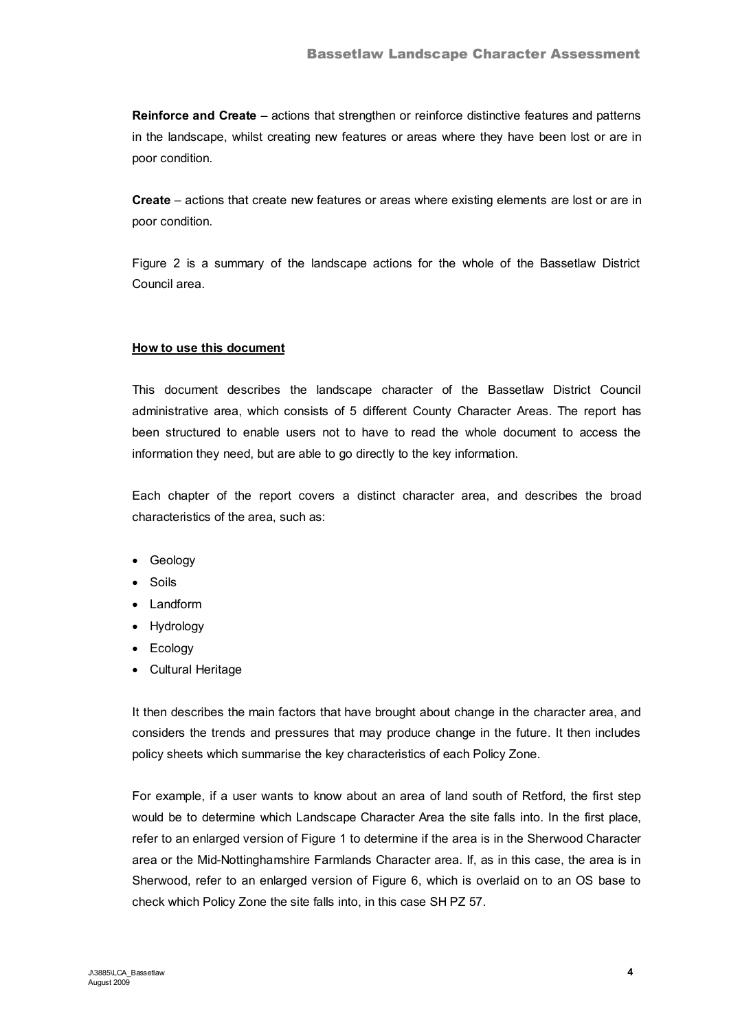**Reinforce and Create** – actions that strengthen or reinforce distinctive features and patterns in the landscape, whilst creating new features or areas where they have been lost or are in poor condition.

**Create** – actions that create new features or areas where existing elements are lost or are in poor condition.

Figure 2 is a summary of the landscape actions for the whole of the Bassetlaw District Council area.

# **How to use this document**

This document describes the landscape character of the Bassetlaw District Council administrative area, which consists of 5 different County Character Areas. The report has been structured to enable users not to have to read the whole document to access the information they need, but are able to go directly to the key information.

Each chapter of the report covers a distinct character area, and describes the broad characteristics of the area, such as:

- · Geology
- · Soils
- · Landform
- · Hydrology
- · Ecology
- · Cultural Heritage

It then describes the main factors that have brought about change in the character area, and considers the trends and pressures that may produce change in the future. It then includes policy sheets which summarise the key characteristics of each Policy Zone.

For example, if a user wants to know about an area of land south of Retford, the first step would be to determine which Landscape Character Area the site falls into. In the first place, refer to an enlarged version of Figure 1 to determine if the area is in the Sherwood Character area or the Mid-Nottinghamshire Farmlands Character area. If, as in this case, the area is in Sherwood, refer to an enlarged version of Figure 6, which is overlaid on to an OS base to check which Policy Zone the site falls into, in this case SH PZ 57.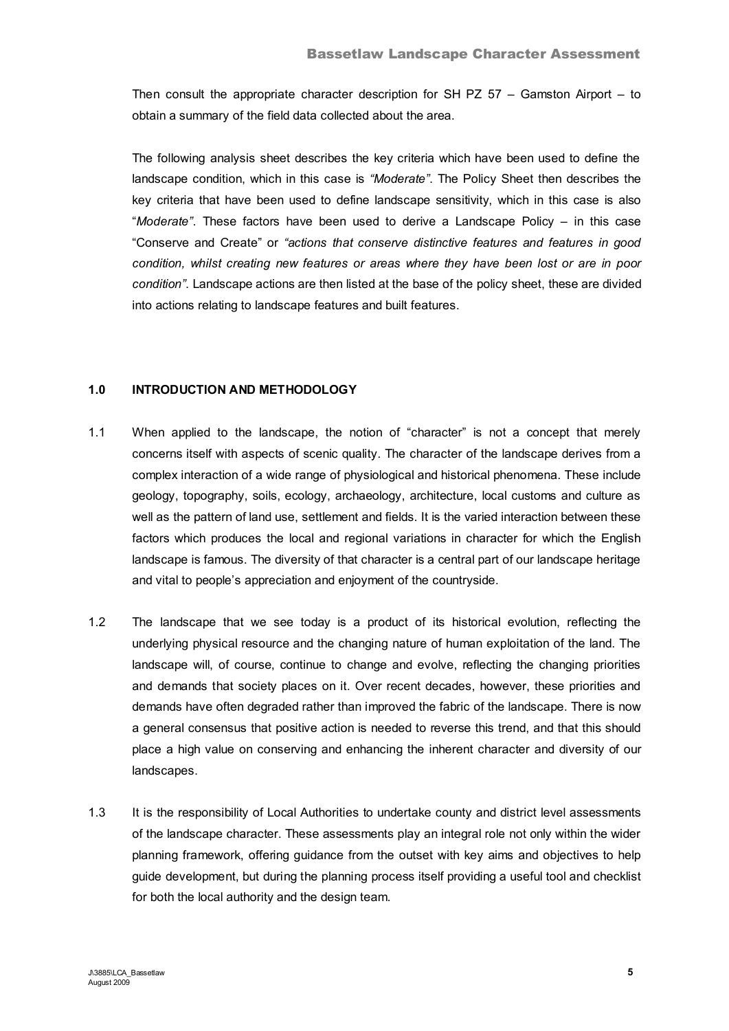Then consult the appropriate character description for SH PZ 57 – Gamston Airport – to obtain a summary of the field data collected about the area.

The following analysis sheet describes the key criteria which have been used to define the landscape condition, which in this case is *"Moderate"*. The Policy Sheet then describes the key criteria that have been used to define landscape sensitivity, which in this case is also "*Moderate"*. These factors have been used to derive a Landscape Policy – in this case "Conserve and Create" or *"actions that conserve distinctive features and features in good condition, whilst creating new features or areas where they have been lost or are in poor condition"*. Landscape actions are then listed at the base of the policy sheet, these are divided into actions relating to landscape features and built features.

## **1.0 INTRODUCTION AND METHODOLOGY**

- 1.1 When applied to the landscape, the notion of "character" is not a concept that merely concerns itself with aspects of scenic quality. The character of the landscape derives from a complex interaction of a wide range of physiological and historical phenomena. These include geology, topography, soils, ecology, archaeology, architecture, local customs and culture as well as the pattern of land use, settlement and fields. It is the varied interaction between these factors which produces the local and regional variations in character for which the English landscape is famous. The diversity of that character is a central part of our landscape heritage and vital to people's appreciation and enjoyment of the countryside.
- 1.2 The landscape that we see today is a product of its historical evolution, reflecting the underlying physical resource and the changing nature of human exploitation of the land. The landscape will, of course, continue to change and evolve, reflecting the changing priorities and demands that society places on it. Over recent decades, however, these priorities and demands have often degraded rather than improved the fabric of the landscape. There is now a general consensus that positive action is needed to reverse this trend, and that this should place a high value on conserving and enhancing the inherent character and diversity of our landscapes.
- 1.3 It is the responsibility of Local Authorities to undertake county and district level assessments of the landscape character. These assessments play an integral role not only within the wider planning framework, offering guidance from the outset with key aims and objectives to help guide development, but during the planning process itself providing a useful tool and checklist for both the local authority and the design team.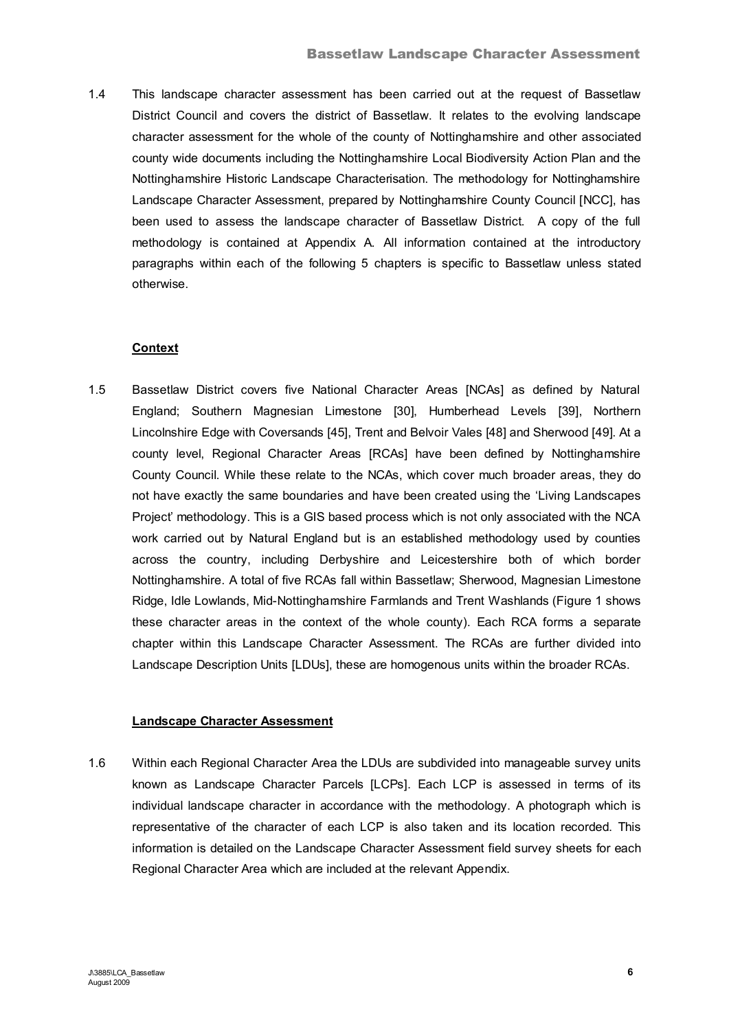1.4 This landscape character assessment has been carried out at the request of Bassetlaw District Council and covers the district of Bassetlaw. It relates to the evolving landscape character assessment for the whole of the county of Nottinghamshire and other associated county wide documents including the Nottinghamshire Local Biodiversity Action Plan and the Nottinghamshire Historic Landscape Characterisation. The methodology for Nottinghamshire Landscape Character Assessment, prepared by Nottinghamshire County Council [NCC], has been used to assess the landscape character of Bassetlaw District. A copy of the full methodology is contained at Appendix A. All information contained at the introductory paragraphs within each of the following 5 chapters is specific to Bassetlaw unless stated otherwise.

# **Context**

1.5 Bassetlaw District covers five National Character Areas [NCAs] as defined by Natural England; Southern Magnesian Limestone [30], Humberhead Levels [39], Northern Lincolnshire Edge with Coversands [45], Trent and Belvoir Vales [48] and Sherwood [49]. At a county level, Regional Character Areas [RCAs] have been defined by Nottinghamshire County Council. While these relate to the NCAs, which cover much broader areas, they do not have exactly the same boundaries and have been created using the 'Living Landscapes Project' methodology. This is a GIS based process which is not only associated with the NCA work carried out by Natural England but is an established methodology used by counties across the country, including Derbyshire and Leicestershire both of which border Nottinghamshire. A total of five RCAs fall within Bassetlaw; Sherwood, Magnesian Limestone Ridge, Idle Lowlands, Mid-Nottinghamshire Farmlands and Trent Washlands (Figure 1 shows these character areas in the context of the whole county). Each RCA forms a separate chapter within this Landscape Character Assessment. The RCAs are further divided into Landscape Description Units [LDUs], these are homogenous units within the broader RCAs.

# **Landscape Character Assessment**

1.6 Within each Regional Character Area the LDUs are subdivided into manageable survey units known as Landscape Character Parcels [LCPs]. Each LCP is assessed in terms of its individual landscape character in accordance with the methodology. A photograph which is representative of the character of each LCP is also taken and its location recorded. This information is detailed on the Landscape Character Assessment field survey sheets for each Regional Character Area which are included at the relevant Appendix.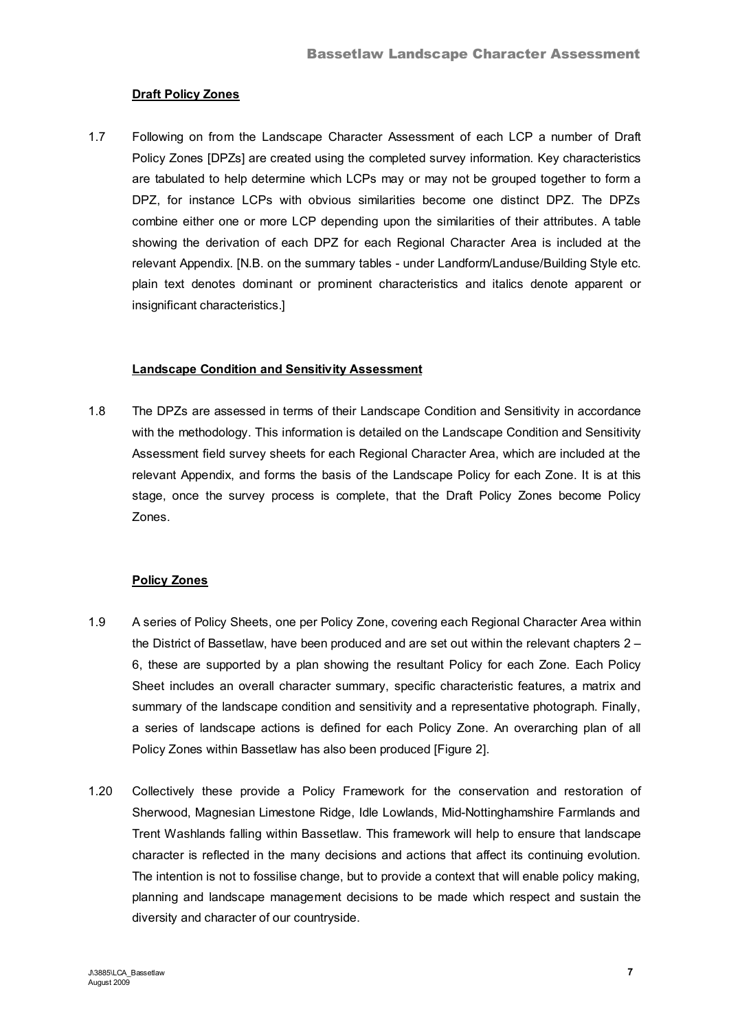# **Draft Policy Zones**

1.7 Following on from the Landscape Character Assessment of each LCP a number of Draft Policy Zones [DPZs] are created using the completed survey information. Key characteristics are tabulated to help determine which LCPs may or may not be grouped together to form a DPZ, for instance LCPs with obvious similarities become one distinct DPZ. The DPZs combine either one or more LCP depending upon the similarities of their attributes. A table showing the derivation of each DPZ for each Regional Character Area is included at the relevant Appendix. [N.B. on the summary tables - under Landform/Landuse/Building Style etc. plain text denotes dominant or prominent characteristics and italics denote apparent or insignificant characteristics.

## **Landscape Condition and Sensitivity Assessment**

1.8 The DPZs are assessed in terms of their Landscape Condition and Sensitivity in accordance with the methodology. This information is detailed on the Landscape Condition and Sensitivity Assessment field survey sheets for each Regional Character Area, which are included at the relevant Appendix, and forms the basis of the Landscape Policy for each Zone. It is at this stage, once the survey process is complete, that the Draft Policy Zones become Policy Zones.

# **Policy Zones**

- 1.9 A series of Policy Sheets, one per Policy Zone, covering each Regional Character Area within the District of Bassetlaw, have been produced and are set out within the relevant chapters 2 – 6, these are supported by a plan showing the resultant Policy for each Zone. Each Policy Sheet includes an overall character summary, specific characteristic features, a matrix and summary of the landscape condition and sensitivity and a representative photograph. Finally, a series of landscape actions is defined for each Policy Zone. An overarching plan of all Policy Zones within Bassetlaw has also been produced [Figure 2].
- 1.20 Collectively these provide a Policy Framework for the conservation and restoration of Sherwood, Magnesian Limestone Ridge, Idle Lowlands, Mid-Nottinghamshire Farmlands and Trent Washlands falling within Bassetlaw. This framework will help to ensure that landscape character is reflected in the many decisions and actions that affect its continuing evolution. The intention is not to fossilise change, but to provide a context that will enable policy making, planning and landscape management decisions to be made which respect and sustain the diversity and character of our countryside.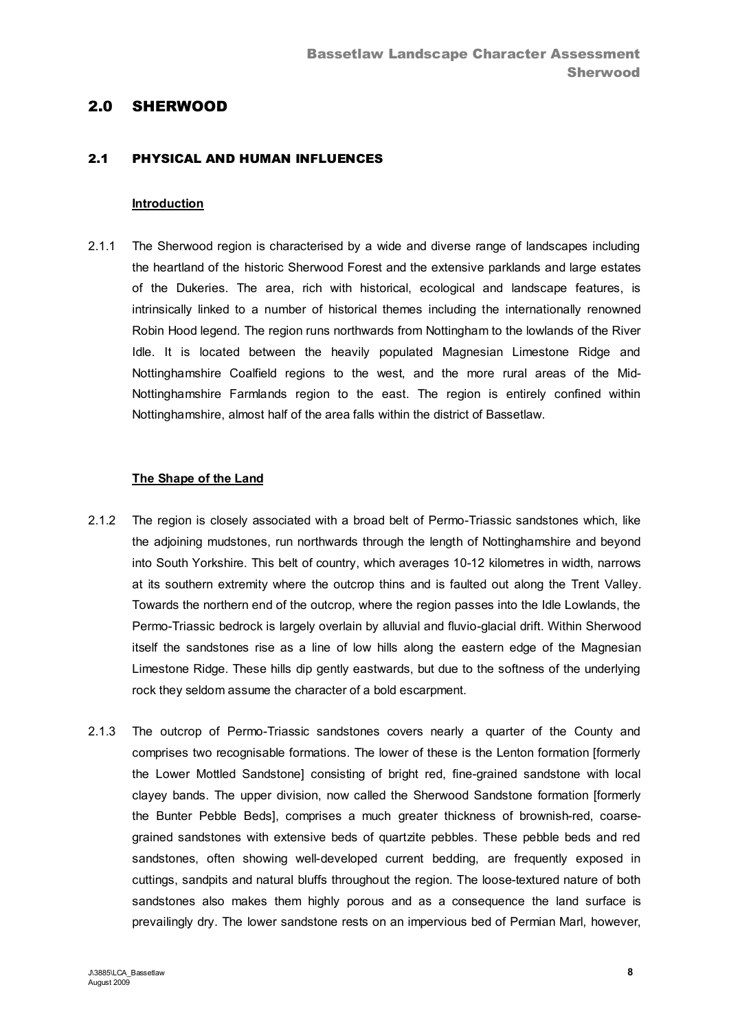# 2.0 SHERWOOD

## 2.1 PHYSICAL AND HUMAN INFLUENCES

#### **Introduction**

2.1.1 The Sherwood region is characterised by a wide and diverse range of landscapes including the heartland of the historic Sherwood Forest and the extensive parklands and large estates of the Dukeries. The area, rich with historical, ecological and landscape features, is intrinsically linked to a number of historical themes including the internationally renowned Robin Hood legend. The region runs northwards from Nottingham to the lowlands of the River Idle. It is located between the heavily populated Magnesian Limestone Ridge and Nottinghamshire Coalfield regions to the west, and the more rural areas of the Mid-Nottinghamshire Farmlands region to the east. The region is entirely confined within Nottinghamshire, almost half of the area falls within the district of Bassetlaw.

#### **The Shape of the Land**

- 2.1.2 The region is closely associated with a broad belt of Permo-Triassic sandstones which, like the adjoining mudstones, run northwards through the length of Nottinghamshire and beyond into South Yorkshire. This belt of country, which averages 10-12 kilometres in width, narrows at its southern extremity where the outcrop thins and is faulted out along the Trent Valley. Towards the northern end of the outcrop, where the region passes into the Idle Lowlands, the Permo-Triassic bedrock is largely overlain by alluvial and fluvio-glacial drift. Within Sherwood itself the sandstones rise as a line of low hills along the eastern edge of the Magnesian Limestone Ridge. These hills dip gently eastwards, but due to the softness of the underlying rock they seldom assume the character of a bold escarpment.
- 2.1.3 The outcrop of Permo-Triassic sandstones covers nearly a quarter of the County and comprises two recognisable formations. The lower of these is the Lenton formation [formerly the Lower Mottled Sandstone] consisting of bright red, fine-grained sandstone with local clayey bands. The upper division, now called the Sherwood Sandstone formation [formerly the Bunter Pebble Beds], comprises a much greater thickness of brownish-red, coarsegrained sandstones with extensive beds of quartzite pebbles. These pebble beds and red sandstones, often showing well-developed current bedding, are frequently exposed in cuttings, sandpits and natural bluffs throughout the region. The loose-textured nature of both sandstones also makes them highly porous and as a consequence the land surface is prevailingly dry. The lower sandstone rests on an impervious bed of Permian Marl, however,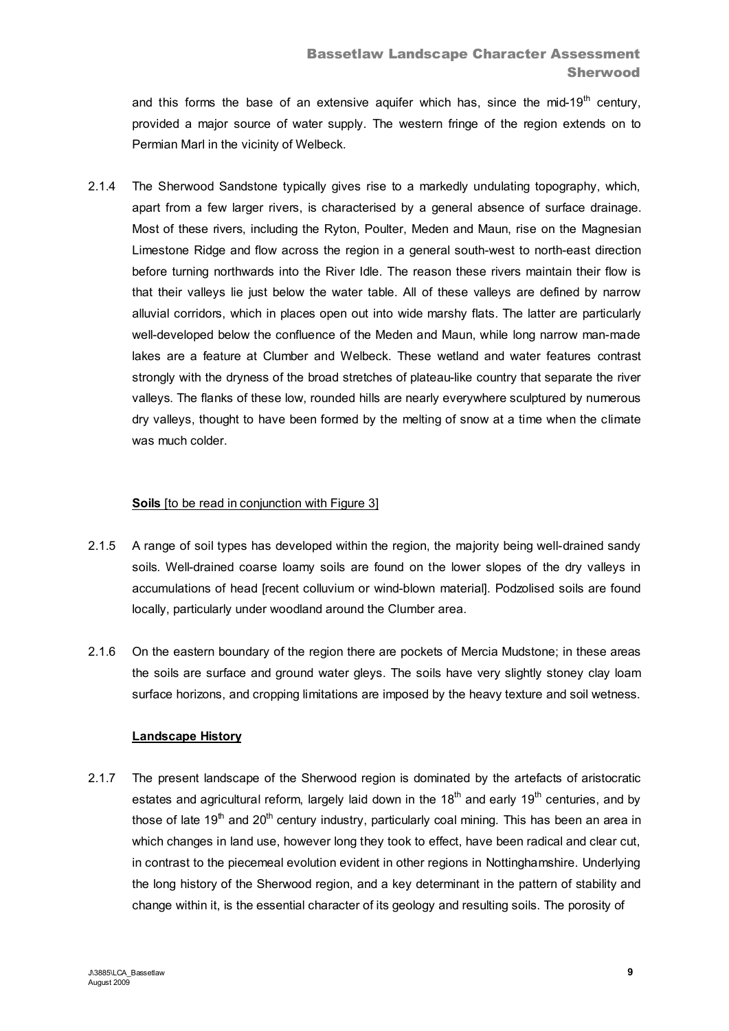and this forms the base of an extensive aquifer which has, since the mid-19<sup>th</sup> century, provided a major source of water supply. The western fringe of the region extends on to Permian Marl in the vicinity of Welbeck.

2.1.4 The Sherwood Sandstone typically gives rise to a markedly undulating topography, which, apart from a few larger rivers, is characterised by a general absence of surface drainage. Most of these rivers, including the Ryton, Poulter, Meden and Maun, rise on the Magnesian Limestone Ridge and flow across the region in a general south-west to north-east direction before turning northwards into the River Idle. The reason these rivers maintain their flow is that their valleys lie just below the water table. All of these valleys are defined by narrow alluvial corridors, which in places open out into wide marshy flats. The latter are particularly well-developed below the confluence of the Meden and Maun, while long narrow man-made lakes are a feature at Clumber and Welbeck. These wetland and water features contrast strongly with the dryness of the broad stretches of plateau-like country that separate the river valleys. The flanks of these low, rounded hills are nearly everywhere sculptured by numerous dry valleys, thought to have been formed by the melting of snow at a time when the climate was much colder.

# **Soils** [to be read in conjunction with Figure 3]

- 2.1.5 A range of soil types has developed within the region, the majority being well-drained sandy soils. Well-drained coarse loamy soils are found on the lower slopes of the dry valleys in accumulations of head [recent colluvium or wind-blown material]. Podzolised soils are found locally, particularly under woodland around the Clumber area.
- 2.1.6 On the eastern boundary of the region there are pockets of Mercia Mudstone; in these areas the soils are surface and ground water gleys. The soils have very slightly stoney clay loam surface horizons, and cropping limitations are imposed by the heavy texture and soil wetness.

## **Landscape History**

2.1.7 The present landscape of the Sherwood region is dominated by the artefacts of aristocratic estates and agricultural reform, largely laid down in the  $18<sup>th</sup>$  and early  $19<sup>th</sup>$  centuries, and by those of late 19<sup>th</sup> and 20<sup>th</sup> century industry, particularly coal mining. This has been an area in which changes in land use, however long they took to effect, have been radical and clear cut, in contrast to the piecemeal evolution evident in other regions in Nottinghamshire. Underlying the long history of the Sherwood region, and a key determinant in the pattern of stability and change within it, is the essential character of its geology and resulting soils. The porosity of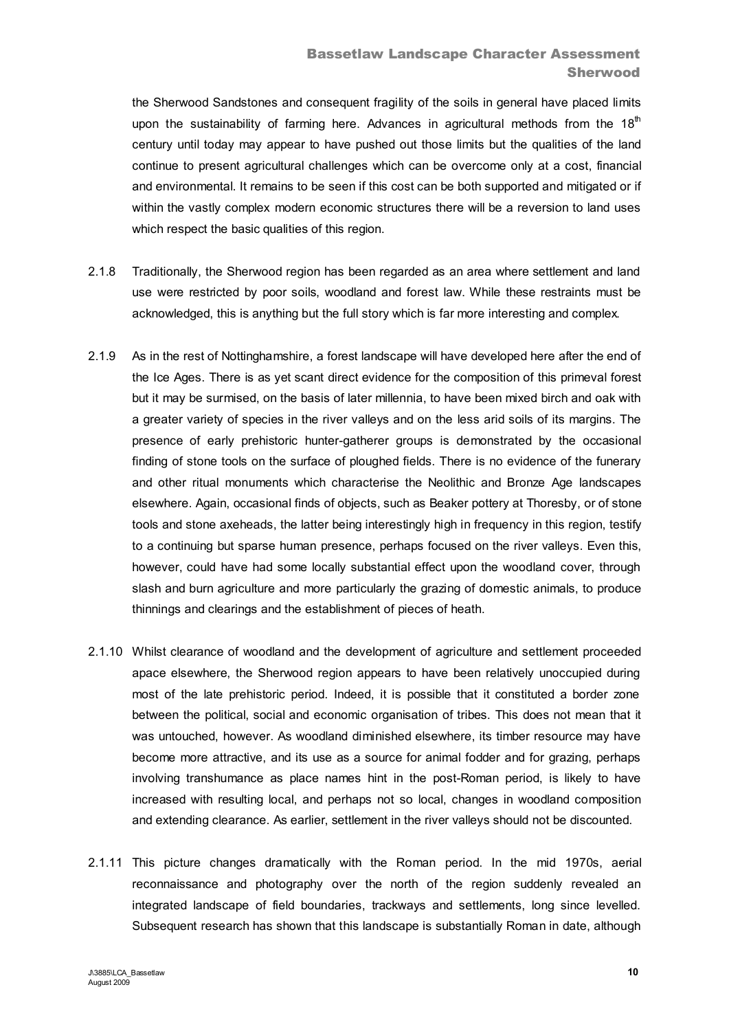the Sherwood Sandstones and consequent fragility of the soils in general have placed limits upon the sustainability of farming here. Advances in agricultural methods from the  $18<sup>th</sup>$ century until today may appear to have pushed out those limits but the qualities of the land continue to present agricultural challenges which can be overcome only at a cost, financial and environmental. It remains to be seen if this cost can be both supported and mitigated or if within the vastly complex modern economic structures there will be a reversion to land uses which respect the basic qualities of this region.

- 2.1.8 Traditionally, the Sherwood region has been regarded as an area where settlement and land use were restricted by poor soils, woodland and forest law. While these restraints must be acknowledged, this is anything but the full story which is far more interesting and complex.
- 2.1.9 As in the rest of Nottinghamshire, a forest landscape will have developed here after the end of the Ice Ages. There is as yet scant direct evidence for the composition of this primeval forest but it may be surmised, on the basis of later millennia, to have been mixed birch and oak with a greater variety of species in the river valleys and on the less arid soils of its margins. The presence of early prehistoric hunter-gatherer groups is demonstrated by the occasional finding of stone tools on the surface of ploughed fields. There is no evidence of the funerary and other ritual monuments which characterise the Neolithic and Bronze Age landscapes elsewhere. Again, occasional finds of objects, such as Beaker pottery at Thoresby, or of stone tools and stone axeheads, the latter being interestingly high in frequency in this region, testify to a continuing but sparse human presence, perhaps focused on the river valleys. Even this, however, could have had some locally substantial effect upon the woodland cover, through slash and burn agriculture and more particularly the grazing of domestic animals, to produce thinnings and clearings and the establishment of pieces of heath.
- 2.1.10 Whilst clearance of woodland and the development of agriculture and settlement proceeded apace elsewhere, the Sherwood region appears to have been relatively unoccupied during most of the late prehistoric period. Indeed, it is possible that it constituted a border zone between the political, social and economic organisation of tribes. This does not mean that it was untouched, however. As woodland diminished elsewhere, its timber resource may have become more attractive, and its use as a source for animal fodder and for grazing, perhaps involving transhumance as place names hint in the post-Roman period, is likely to have increased with resulting local, and perhaps not so local, changes in woodland composition and extending clearance. As earlier, settlement in the river valleys should not be discounted.
- 2.1.11 This picture changes dramatically with the Roman period. In the mid 1970s, aerial reconnaissance and photography over the north of the region suddenly revealed an integrated landscape of field boundaries, trackways and settlements, long since levelled. Subsequent research has shown that this landscape is substantially Roman in date, although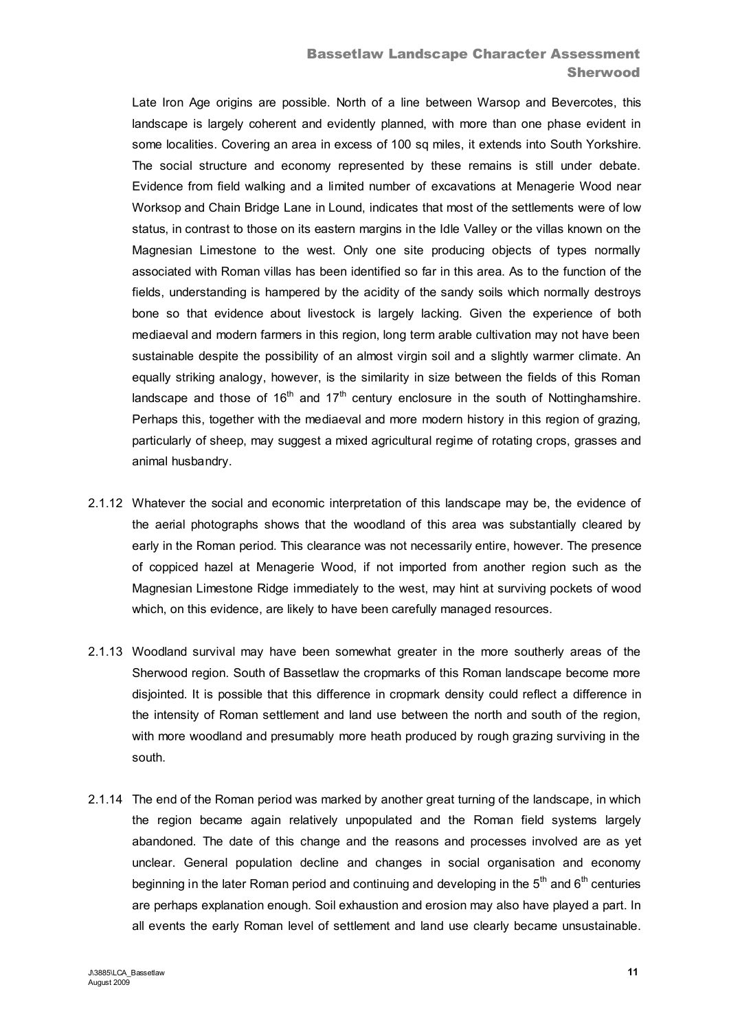# Bassetlaw Landscape Character Assessment **Sherwood**

Late Iron Age origins are possible. North of a line between Warsop and Bevercotes, this landscape is largely coherent and evidently planned, with more than one phase evident in some localities. Covering an area in excess of 100 sq miles, it extends into South Yorkshire. The social structure and economy represented by these remains is still under debate. Evidence from field walking and a limited number of excavations at Menagerie Wood near Worksop and Chain Bridge Lane in Lound, indicates that most of the settlements were of low status, in contrast to those on its eastern margins in the Idle Valley or the villas known on the Magnesian Limestone to the west. Only one site producing objects of types normally associated with Roman villas has been identified so far in this area. As to the function of the fields, understanding is hampered by the acidity of the sandy soils which normally destroys bone so that evidence about livestock is largely lacking. Given the experience of both mediaeval and modern farmers in this region, long term arable cultivation may not have been sustainable despite the possibility of an almost virgin soil and a slightly warmer climate. An equally striking analogy, however, is the similarity in size between the fields of this Roman landscape and those of  $16<sup>th</sup>$  and  $17<sup>th</sup>$  century enclosure in the south of Nottinghamshire. Perhaps this, together with the mediaeval and more modern history in this region of grazing, particularly of sheep, may suggest a mixed agricultural regime of rotating crops, grasses and animal husbandry.

- 2.1.12 Whatever the social and economic interpretation of this landscape may be, the evidence of the aerial photographs shows that the woodland of this area was substantially cleared by early in the Roman period. This clearance was not necessarily entire, however. The presence of coppiced hazel at Menagerie Wood, if not imported from another region such as the Magnesian Limestone Ridge immediately to the west, may hint at surviving pockets of wood which, on this evidence, are likely to have been carefully managed resources.
- 2.1.13 Woodland survival may have been somewhat greater in the more southerly areas of the Sherwood region. South of Bassetlaw the cropmarks of this Roman landscape become more disjointed. It is possible that this difference in cropmark density could reflect a difference in the intensity of Roman settlement and land use between the north and south of the region, with more woodland and presumably more heath produced by rough grazing surviving in the south.
- 2.1.14 The end of the Roman period was marked by another great turning of the landscape, in which the region became again relatively unpopulated and the Roman field systems largely abandoned. The date of this change and the reasons and processes involved are as yet unclear. General population decline and changes in social organisation and economy beginning in the later Roman period and continuing and developing in the  $5<sup>th</sup>$  and  $6<sup>th</sup>$  centuries are perhaps explanation enough. Soil exhaustion and erosion may also have played a part. In all events the early Roman level of settlement and land use clearly became unsustainable.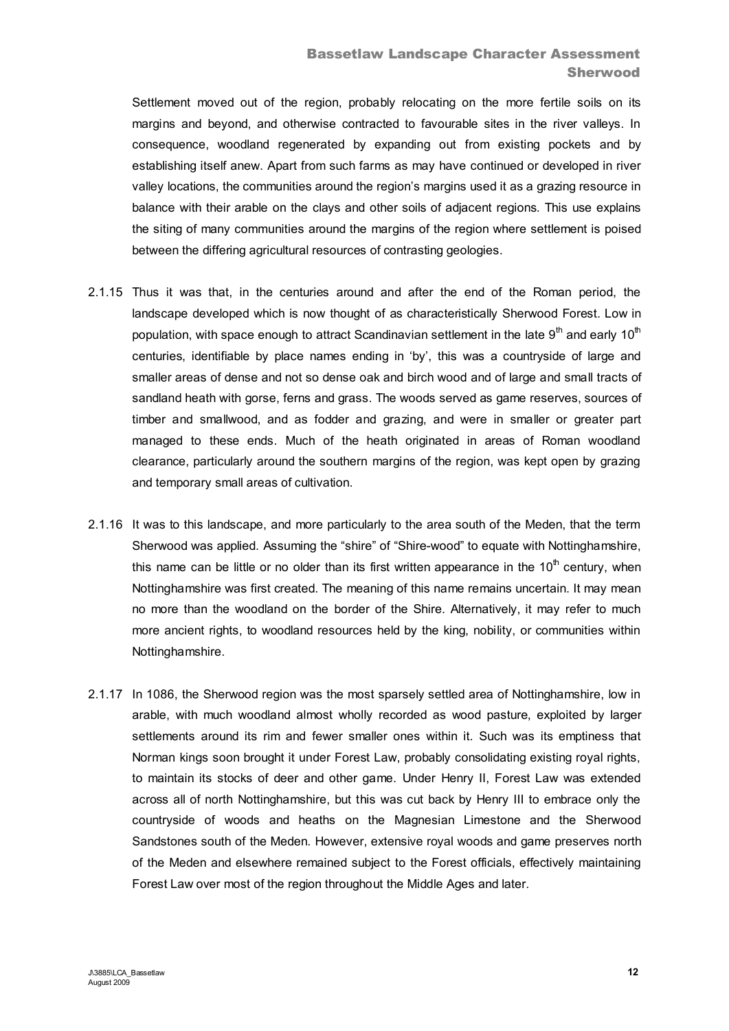Settlement moved out of the region, probably relocating on the more fertile soils on its margins and beyond, and otherwise contracted to favourable sites in the river valleys. In consequence, woodland regenerated by expanding out from existing pockets and by establishing itself anew. Apart from such farms as may have continued or developed in river valley locations, the communities around the region's margins used it as a grazing resource in balance with their arable on the clays and other soils of adjacent regions. This use explains the siting of many communities around the margins of the region where settlement is poised between the differing agricultural resources of contrasting geologies.

- 2.1.15 Thus it was that, in the centuries around and after the end of the Roman period, the landscape developed which is now thought of as characteristically Sherwood Forest. Low in population, with space enough to attract Scandinavian settlement in the late  $9<sup>th</sup>$  and early 10<sup>th</sup> centuries, identifiable by place names ending in 'by', this was a countryside of large and smaller areas of dense and not so dense oak and birch wood and of large and small tracts of sandland heath with gorse, ferns and grass. The woods served as game reserves, sources of timber and smallwood, and as fodder and grazing, and were in smaller or greater part managed to these ends. Much of the heath originated in areas of Roman woodland clearance, particularly around the southern margins of the region, was kept open by grazing and temporary small areas of cultivation.
- 2.1.16 It was to this landscape, and more particularly to the area south of the Meden, that the term Sherwood was applied. Assuming the "shire" of "Shire-wood" to equate with Nottinghamshire, this name can be little or no older than its first written appearance in the  $10<sup>th</sup>$  century, when Nottinghamshire was first created. The meaning of this name remains uncertain. It may mean no more than the woodland on the border of the Shire. Alternatively, it may refer to much more ancient rights, to woodland resources held by the king, nobility, or communities within Nottinghamshire.
- 2.1.17 In 1086, the Sherwood region was the most sparsely settled area of Nottinghamshire, low in arable, with much woodland almost wholly recorded as wood pasture, exploited by larger settlements around its rim and fewer smaller ones within it. Such was its emptiness that Norman kings soon brought it under Forest Law, probably consolidating existing royal rights, to maintain its stocks of deer and other game. Under Henry II, Forest Law was extended across all of north Nottinghamshire, but this was cut back by Henry III to embrace only the countryside of woods and heaths on the Magnesian Limestone and the Sherwood Sandstones south of the Meden. However, extensive royal woods and game preserves north of the Meden and elsewhere remained subject to the Forest officials, effectively maintaining Forest Law over most of the region throughout the Middle Ages and later.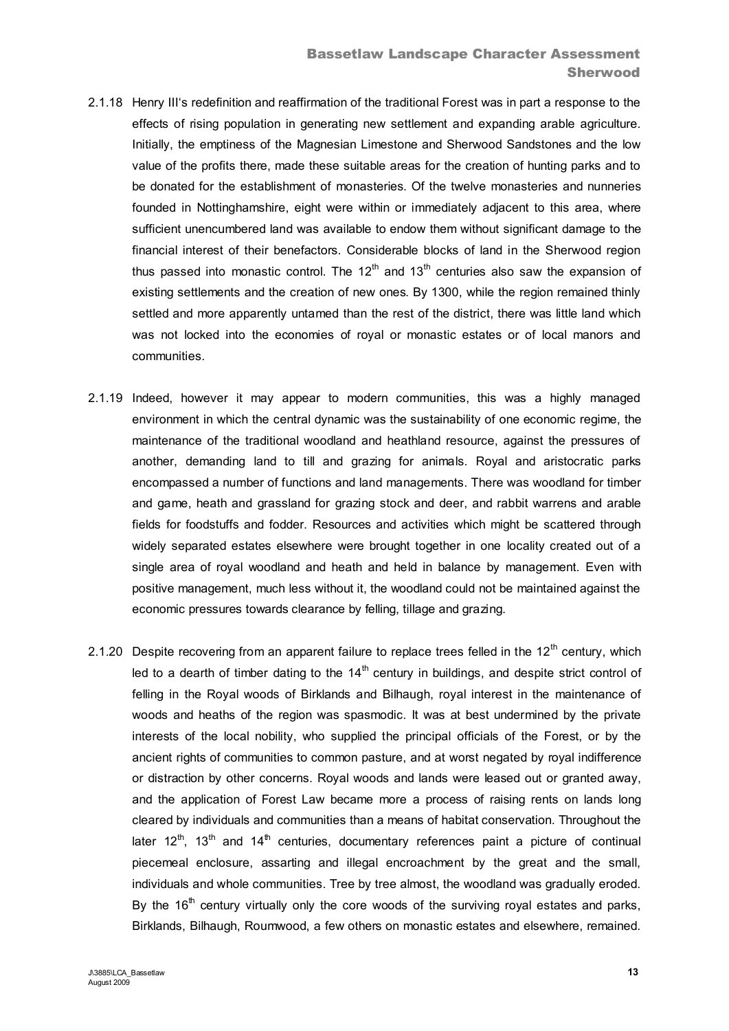- 2.1.18 Henry III's redefinition and reaffirmation of the traditional Forest was in part a response to the effects of rising population in generating new settlement and expanding arable agriculture. Initially, the emptiness of the Magnesian Limestone and Sherwood Sandstones and the low value of the profits there, made these suitable areas for the creation of hunting parks and to be donated for the establishment of monasteries. Of the twelve monasteries and nunneries founded in Nottinghamshire, eight were within or immediately adjacent to this area, where sufficient unencumbered land was available to endow them without significant damage to the financial interest of their benefactors. Considerable blocks of land in the Sherwood region thus passed into monastic control. The  $12<sup>th</sup>$  and  $13<sup>th</sup>$  centuries also saw the expansion of existing settlements and the creation of new ones. By 1300, while the region remained thinly settled and more apparently untamed than the rest of the district, there was little land which was not locked into the economies of royal or monastic estates or of local manors and communities.
- 2.1.19 Indeed, however it may appear to modern communities, this was a highly managed environment in which the central dynamic was the sustainability of one economic regime, the maintenance of the traditional woodland and heathland resource, against the pressures of another, demanding land to till and grazing for animals. Royal and aristocratic parks encompassed a number of functions and land managements. There was woodland for timber and game, heath and grassland for grazing stock and deer, and rabbit warrens and arable fields for foodstuffs and fodder. Resources and activities which might be scattered through widely separated estates elsewhere were brought together in one locality created out of a single area of royal woodland and heath and held in balance by management. Even with positive management, much less without it, the woodland could not be maintained against the economic pressures towards clearance by felling, tillage and grazing.
- 2.1.20 Despite recovering from an apparent failure to replace trees felled in the  $12<sup>th</sup>$  century, which led to a dearth of timber dating to the  $14<sup>th</sup>$  century in buildings, and despite strict control of felling in the Royal woods of Birklands and Bilhaugh, royal interest in the maintenance of woods and heaths of the region was spasmodic. It was at best undermined by the private interests of the local nobility, who supplied the principal officials of the Forest, or by the ancient rights of communities to common pasture, and at worst negated by royal indifference or distraction by other concerns. Royal woods and lands were leased out or granted away, and the application of Forest Law became more a process of raising rents on lands long cleared by individuals and communities than a means of habitat conservation. Throughout the later 12<sup>th</sup>, 13<sup>th</sup> and 14<sup>th</sup> centuries, documentary references paint a picture of continual piecemeal enclosure, assarting and illegal encroachment by the great and the small, individuals and whole communities. Tree by tree almost, the woodland was gradually eroded. By the  $16<sup>th</sup>$  century virtually only the core woods of the surviving royal estates and parks, Birklands, Bilhaugh, Roumwood, a few others on monastic estates and elsewhere, remained.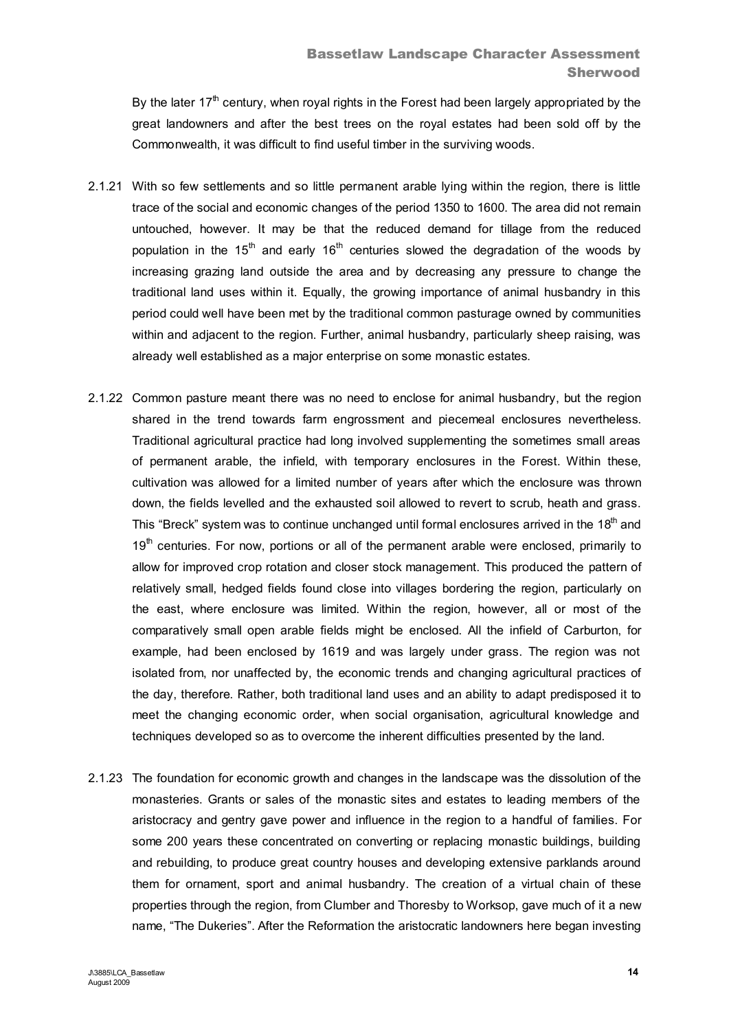By the later  $17<sup>th</sup>$  century, when royal rights in the Forest had been largely appropriated by the great landowners and after the best trees on the royal estates had been sold off by the Commonwealth, it was difficult to find useful timber in the surviving woods.

- 2.1.21 With so few settlements and so little permanent arable lying within the region, there is little trace of the social and economic changes of the period 1350 to 1600. The area did not remain untouched, however. It may be that the reduced demand for tillage from the reduced population in the 15<sup>th</sup> and early 16<sup>th</sup> centuries slowed the degradation of the woods by increasing grazing land outside the area and by decreasing any pressure to change the traditional land uses within it. Equally, the growing importance of animal husbandry in this period could well have been met by the traditional common pasturage owned by communities within and adjacent to the region. Further, animal husbandry, particularly sheep raising, was already well established as a major enterprise on some monastic estates.
- 2.1.22 Common pasture meant there was no need to enclose for animal husbandry, but the region shared in the trend towards farm engrossment and piecemeal enclosures nevertheless. Traditional agricultural practice had long involved supplementing the sometimes small areas of permanent arable, the infield, with temporary enclosures in the Forest. Within these, cultivation was allowed for a limited number of years after which the enclosure was thrown down, the fields levelled and the exhausted soil allowed to revert to scrub, heath and grass. This "Breck" system was to continue unchanged until formal enclosures arrived in the 18<sup>th</sup> and  $19<sup>th</sup>$  centuries. For now, portions or all of the permanent arable were enclosed, primarily to allow for improved crop rotation and closer stock management. This produced the pattern of relatively small, hedged fields found close into villages bordering the region, particularly on the east, where enclosure was limited. Within the region, however, all or most of the comparatively small open arable fields might be enclosed. All the infield of Carburton, for example, had been enclosed by 1619 and was largely under grass. The region was not isolated from, nor unaffected by, the economic trends and changing agricultural practices of the day, therefore. Rather, both traditional land uses and an ability to adapt predisposed it to meet the changing economic order, when social organisation, agricultural knowledge and techniques developed so as to overcome the inherent difficulties presented by the land.
- 2.1.23 The foundation for economic growth and changes in the landscape was the dissolution of the monasteries. Grants or sales of the monastic sites and estates to leading members of the aristocracy and gentry gave power and influence in the region to a handful of families. For some 200 years these concentrated on converting or replacing monastic buildings, building and rebuilding, to produce great country houses and developing extensive parklands around them for ornament, sport and animal husbandry. The creation of a virtual chain of these properties through the region, from Clumber and Thoresby to Worksop, gave much of it a new name, "The Dukeries". After the Reformation the aristocratic landowners here began investing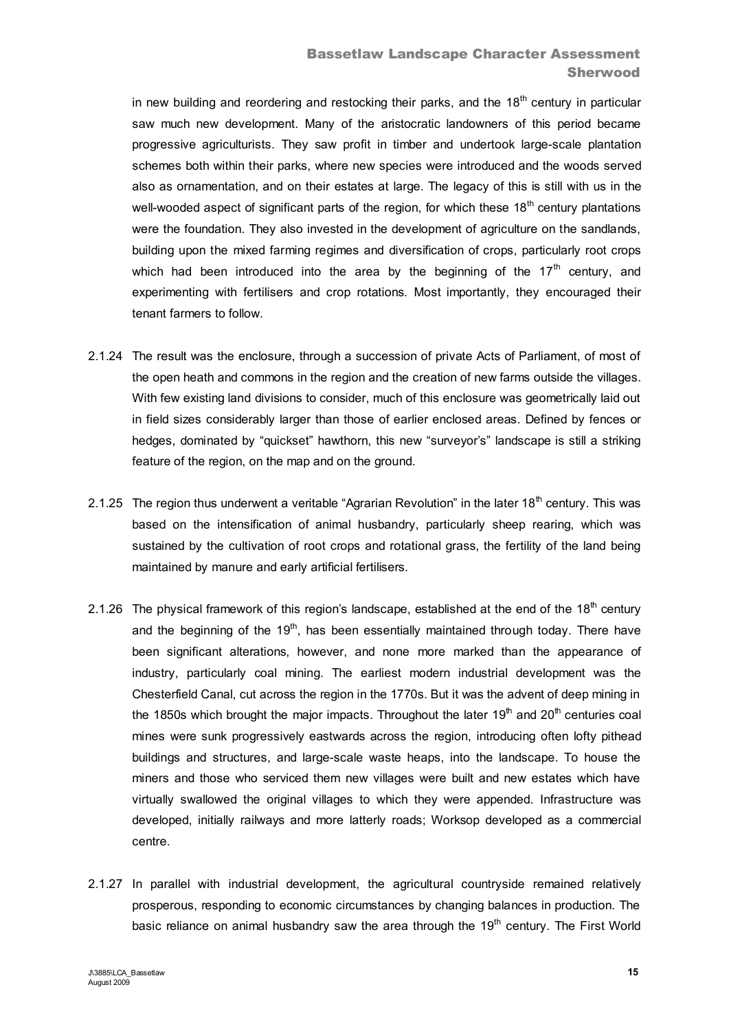in new building and reordering and restocking their parks, and the  $18<sup>th</sup>$  century in particular saw much new development. Many of the aristocratic landowners of this period became progressive agriculturists. They saw profit in timber and undertook large-scale plantation schemes both within their parks, where new species were introduced and the woods served also as ornamentation, and on their estates at large. The legacy of this is still with us in the well-wooded aspect of significant parts of the region, for which these  $18<sup>th</sup>$  century plantations were the foundation. They also invested in the development of agriculture on the sandlands, building upon the mixed farming regimes and diversification of crops, particularly root crops which had been introduced into the area by the beginning of the  $17<sup>th</sup>$  century, and experimenting with fertilisers and crop rotations. Most importantly, they encouraged their tenant farmers to follow.

- 2.1.24 The result was the enclosure, through a succession of private Acts of Parliament, of most of the open heath and commons in the region and the creation of new farms outside the villages. With few existing land divisions to consider, much of this enclosure was geometrically laid out in field sizes considerably larger than those of earlier enclosed areas. Defined by fences or hedges, dominated by "quickset" hawthorn, this new "surveyor's" landscape is still a striking feature of the region, on the map and on the ground.
- 2.1.25 The region thus underwent a veritable "Agrarian Revolution" in the later 18<sup>th</sup> century. This was based on the intensification of animal husbandry, particularly sheep rearing, which was sustained by the cultivation of root crops and rotational grass, the fertility of the land being maintained by manure and early artificial fertilisers.
- 2.1.26 The physical framework of this region's landscape, established at the end of the  $18<sup>th</sup>$  century and the beginning of the  $19<sup>th</sup>$ , has been essentially maintained through today. There have been significant alterations, however, and none more marked than the appearance of industry, particularly coal mining. The earliest modern industrial development was the Chesterfield Canal, cut across the region in the 1770s. But it was the advent of deep mining in the 1850s which brought the major impacts. Throughout the later  $19<sup>th</sup>$  and  $20<sup>th</sup>$  centuries coal mines were sunk progressively eastwards across the region, introducing often lofty pithead buildings and structures, and large-scale waste heaps, into the landscape. To house the miners and those who serviced them new villages were built and new estates which have virtually swallowed the original villages to which they were appended. Infrastructure was developed, initially railways and more latterly roads; Worksop developed as a commercial centre.
- 2.1.27 In parallel with industrial development, the agricultural countryside remained relatively prosperous, responding to economic circumstances by changing balances in production. The basic reliance on animal husbandry saw the area through the  $19<sup>th</sup>$  century. The First World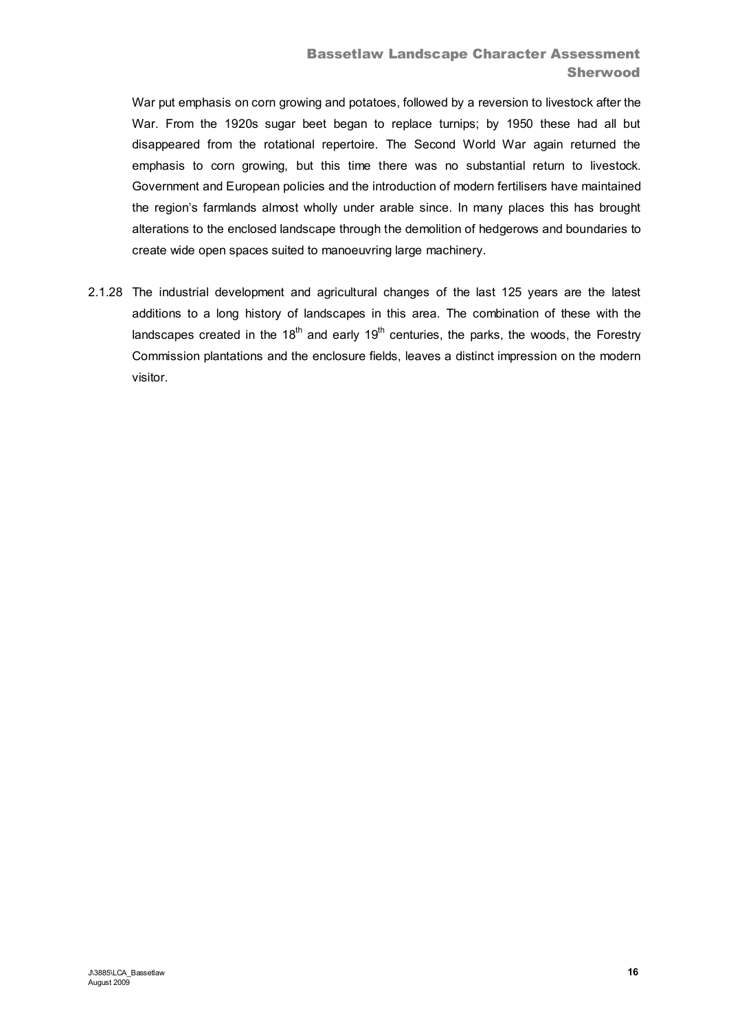War put emphasis on corn growing and potatoes, followed by a reversion to livestock after the War. From the 1920s sugar beet began to replace turnips; by 1950 these had all but disappeared from the rotational repertoire. The Second World War again returned the emphasis to corn growing, but this time there was no substantial return to livestock. Government and European policies and the introduction of modern fertilisers have maintained the region's farmlands almost wholly under arable since. In many places this has brought alterations to the enclosed landscape through the demolition of hedgerows and boundaries to create wide open spaces suited to manoeuvring large machinery.

2.1.28 The industrial development and agricultural changes of the last 125 years are the latest additions to a long history of landscapes in this area. The combination of these with the landscapes created in the 18<sup>th</sup> and early 19<sup>th</sup> centuries, the parks, the woods, the Forestry Commission plantations and the enclosure fields, leaves a distinct impression on the modern visitor.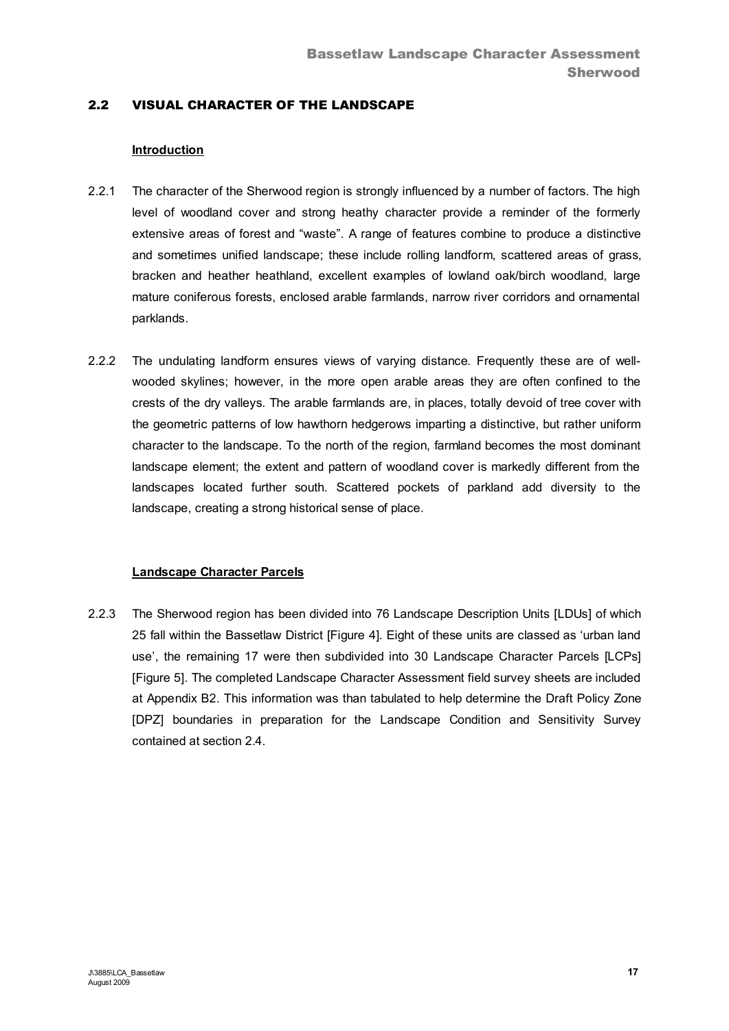# 2.2 VISUAL CHARACTER OF THE LANDSCAPE

## **Introduction**

- 2.2.1 The character of the Sherwood region is strongly influenced by a number of factors. The high level of woodland cover and strong heathy character provide a reminder of the formerly extensive areas of forest and "waste". A range of features combine to produce a distinctive and sometimes unified landscape; these include rolling landform, scattered areas of grass, bracken and heather heathland, excellent examples of lowland oak/birch woodland, large mature coniferous forests, enclosed arable farmlands, narrow river corridors and ornamental parklands.
- 2.2.2 The undulating landform ensures views of varying distance. Frequently these are of wellwooded skylines; however, in the more open arable areas they are often confined to the crests of the dry valleys. The arable farmlands are, in places, totally devoid of tree cover with the geometric patterns of low hawthorn hedgerows imparting a distinctive, but rather uniform character to the landscape. To the north of the region, farmland becomes the most dominant landscape element; the extent and pattern of woodland cover is markedly different from the landscapes located further south. Scattered pockets of parkland add diversity to the landscape, creating a strong historical sense of place.

## **Landscape Character Parcels**

2.2.3 The Sherwood region has been divided into 76 Landscape Description Units [LDUs] of which 25 fall within the Bassetlaw District [Figure 4]. Eight of these units are classed as 'urban land use', the remaining 17 were then subdivided into 30 Landscape Character Parcels [LCPs] [Figure 5]. The completed Landscape Character Assessment field survey sheets are included at Appendix B2. This information was than tabulated to help determine the Draft Policy Zone [DPZ] boundaries in preparation for the Landscape Condition and Sensitivity Survey contained at section 2.4.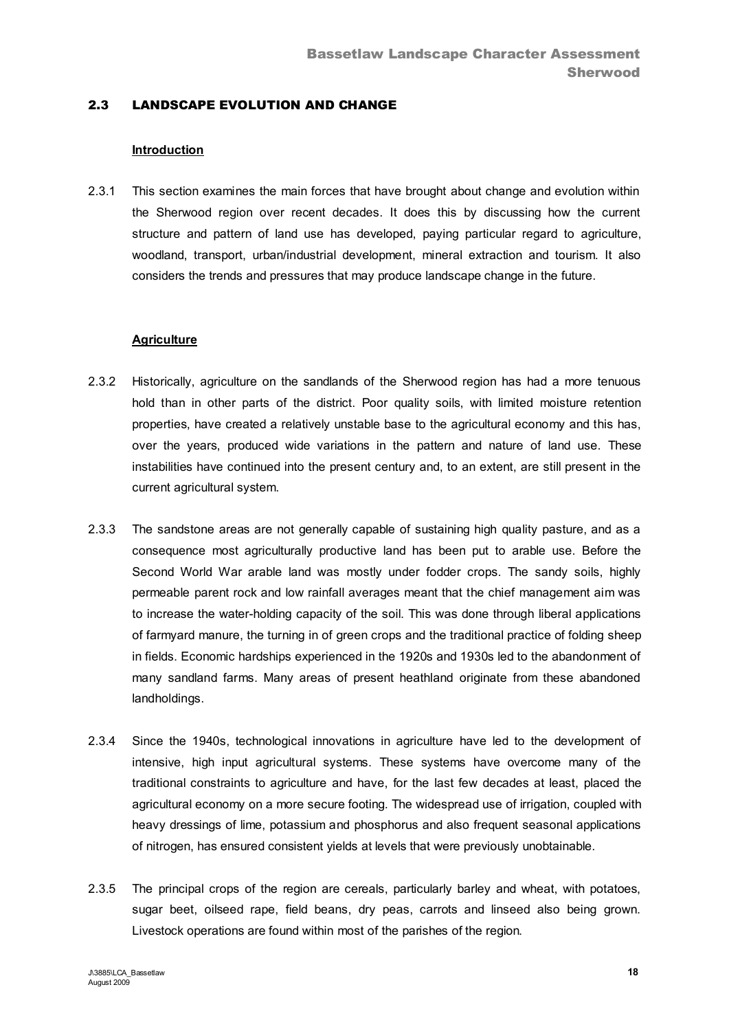# 2.3 LANDSCAPE EVOLUTION AND CHANGE

#### **Introduction**

2.3.1 This section examines the main forces that have brought about change and evolution within the Sherwood region over recent decades. It does this by discussing how the current structure and pattern of land use has developed, paying particular regard to agriculture, woodland, transport, urban/industrial development, mineral extraction and tourism. It also considers the trends and pressures that may produce landscape change in the future.

#### **Agriculture**

- 2.3.2 Historically, agriculture on the sandlands of the Sherwood region has had a more tenuous hold than in other parts of the district. Poor quality soils, with limited moisture retention properties, have created a relatively unstable base to the agricultural economy and this has, over the years, produced wide variations in the pattern and nature of land use. These instabilities have continued into the present century and, to an extent, are still present in the current agricultural system.
- 2.3.3 The sandstone areas are not generally capable of sustaining high quality pasture, and as a consequence most agriculturally productive land has been put to arable use. Before the Second World War arable land was mostly under fodder crops. The sandy soils, highly permeable parent rock and low rainfall averages meant that the chief management aim was to increase the water-holding capacity of the soil. This was done through liberal applications of farmyard manure, the turning in of green crops and the traditional practice of folding sheep in fields. Economic hardships experienced in the 1920s and 1930s led to the abandonment of many sandland farms. Many areas of present heathland originate from these abandoned landholdings.
- 2.3.4 Since the 1940s, technological innovations in agriculture have led to the development of intensive, high input agricultural systems. These systems have overcome many of the traditional constraints to agriculture and have, for the last few decades at least, placed the agricultural economy on a more secure footing. The widespread use of irrigation, coupled with heavy dressings of lime, potassium and phosphorus and also frequent seasonal applications of nitrogen, has ensured consistent yields at levels that were previously unobtainable.
- 2.3.5 The principal crops of the region are cereals, particularly barley and wheat, with potatoes, sugar beet, oilseed rape, field beans, dry peas, carrots and linseed also being grown. Livestock operations are found within most of the parishes of the region.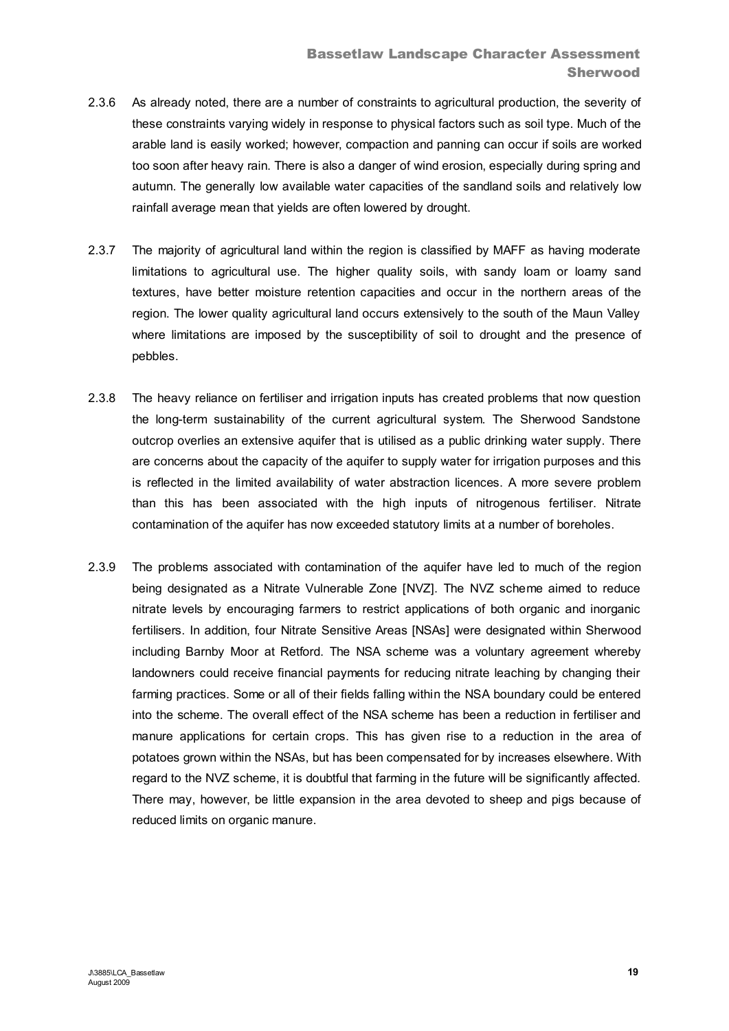- 2.3.6 As already noted, there are a number of constraints to agricultural production, the severity of these constraints varying widely in response to physical factors such as soil type. Much of the arable land is easily worked; however, compaction and panning can occur if soils are worked too soon after heavy rain. There is also a danger of wind erosion, especially during spring and autumn. The generally low available water capacities of the sandland soils and relatively low rainfall average mean that yields are often lowered by drought.
- 2.3.7 The majority of agricultural land within the region is classified by MAFF as having moderate limitations to agricultural use. The higher quality soils, with sandy loam or loamy sand textures, have better moisture retention capacities and occur in the northern areas of the region. The lower quality agricultural land occurs extensively to the south of the Maun Valley where limitations are imposed by the susceptibility of soil to drought and the presence of pebbles.
- 2.3.8 The heavy reliance on fertiliser and irrigation inputs has created problems that now question the long-term sustainability of the current agricultural system. The Sherwood Sandstone outcrop overlies an extensive aquifer that is utilised as a public drinking water supply. There are concerns about the capacity of the aquifer to supply water for irrigation purposes and this is reflected in the limited availability of water abstraction licences. A more severe problem than this has been associated with the high inputs of nitrogenous fertiliser. Nitrate contamination of the aquifer has now exceeded statutory limits at a number of boreholes.
- 2.3.9 The problems associated with contamination of the aquifer have led to much of the region being designated as a Nitrate Vulnerable Zone [NVZ]. The NVZ scheme aimed to reduce nitrate levels by encouraging farmers to restrict applications of both organic and inorganic fertilisers. In addition, four Nitrate Sensitive Areas [NSAs] were designated within Sherwood including Barnby Moor at Retford. The NSA scheme was a voluntary agreement whereby landowners could receive financial payments for reducing nitrate leaching by changing their farming practices. Some or all of their fields falling within the NSA boundary could be entered into the scheme. The overall effect of the NSA scheme has been a reduction in fertiliser and manure applications for certain crops. This has given rise to a reduction in the area of potatoes grown within the NSAs, but has been compensated for by increases elsewhere. With regard to the NVZ scheme, it is doubtful that farming in the future will be significantly affected. There may, however, be little expansion in the area devoted to sheep and pigs because of reduced limits on organic manure.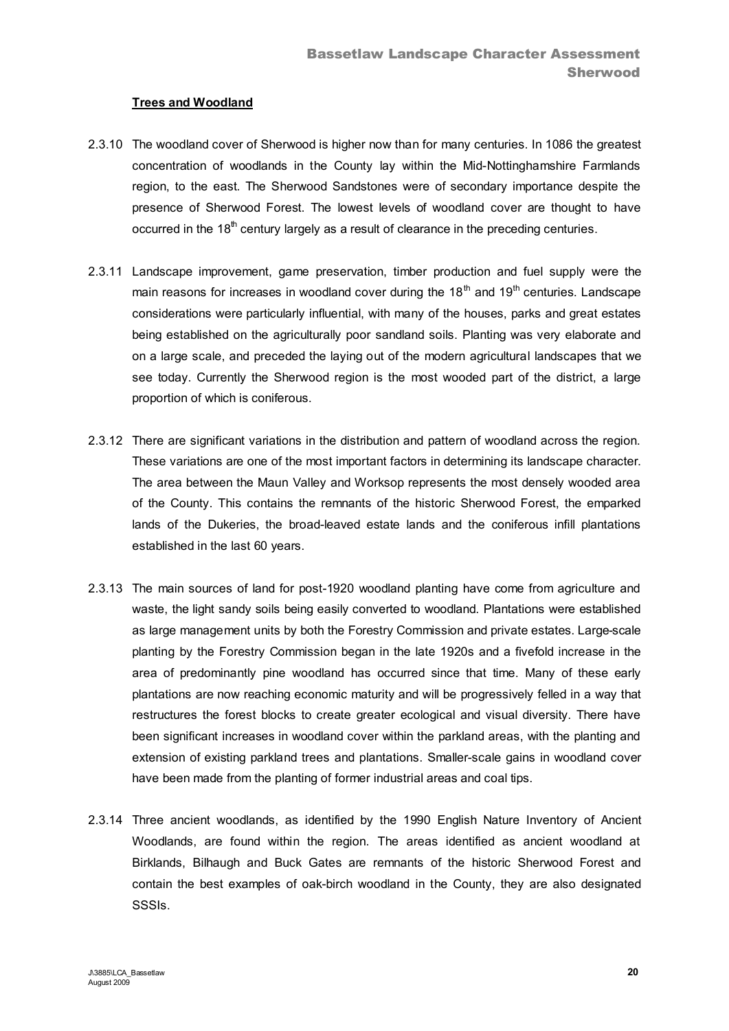# **Trees and Woodland**

- 2.3.10 The woodland cover of Sherwood is higher now than for many centuries. In 1086 the greatest concentration of woodlands in the County lay within the Mid-Nottinghamshire Farmlands region, to the east. The Sherwood Sandstones were of secondary importance despite the presence of Sherwood Forest. The lowest levels of woodland cover are thought to have occurred in the  $18<sup>th</sup>$  century largely as a result of clearance in the preceding centuries.
- 2.3.11 Landscape improvement, game preservation, timber production and fuel supply were the main reasons for increases in woodland cover during the  $18<sup>th</sup>$  and  $19<sup>th</sup>$  centuries. Landscape considerations were particularly influential, with many of the houses, parks and great estates being established on the agriculturally poor sandland soils. Planting was very elaborate and on a large scale, and preceded the laying out of the modern agricultural landscapes that we see today. Currently the Sherwood region is the most wooded part of the district, a large proportion of which is coniferous.
- 2.3.12 There are significant variations in the distribution and pattern of woodland across the region. These variations are one of the most important factors in determining its landscape character. The area between the Maun Valley and Worksop represents the most densely wooded area of the County. This contains the remnants of the historic Sherwood Forest, the emparked lands of the Dukeries, the broad-leaved estate lands and the coniferous infill plantations established in the last 60 years.
- 2.3.13 The main sources of land for post-1920 woodland planting have come from agriculture and waste, the light sandy soils being easily converted to woodland. Plantations were established as large management units by both the Forestry Commission and private estates. Large-scale planting by the Forestry Commission began in the late 1920s and a fivefold increase in the area of predominantly pine woodland has occurred since that time. Many of these early plantations are now reaching economic maturity and will be progressively felled in a way that restructures the forest blocks to create greater ecological and visual diversity. There have been significant increases in woodland cover within the parkland areas, with the planting and extension of existing parkland trees and plantations. Smaller-scale gains in woodland cover have been made from the planting of former industrial areas and coal tips.
- 2.3.14 Three ancient woodlands, as identified by the 1990 English Nature Inventory of Ancient Woodlands, are found within the region. The areas identified as ancient woodland at Birklands, Bilhaugh and Buck Gates are remnants of the historic Sherwood Forest and contain the best examples of oak-birch woodland in the County, they are also designated SSSIs.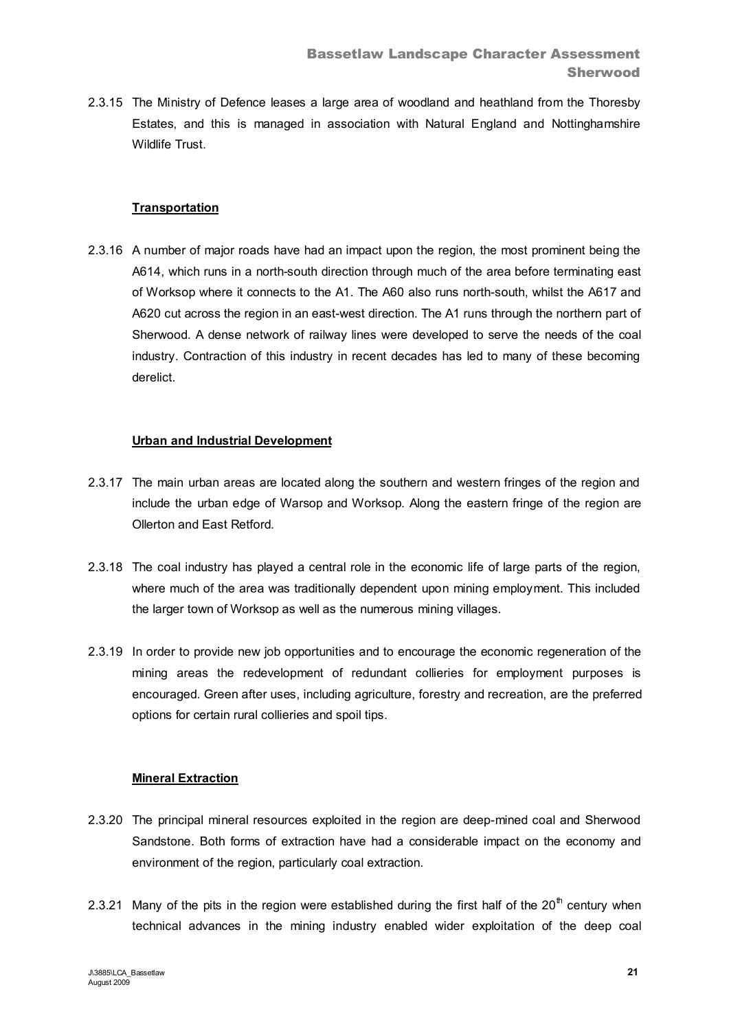2.3.15 The Ministry of Defence leases a large area of woodland and heathland from the Thoresby Estates, and this is managed in association with Natural England and Nottinghamshire Wildlife Trust

# **Transportation**

2.3.16 A number of major roads have had an impact upon the region, the most prominent being the A614, which runs in a north-south direction through much of the area before terminating east of Worksop where it connects to the A1. The A60 also runs north-south, whilst the A617 and A620 cut across the region in an east-west direction. The A1 runs through the northern part of Sherwood. A dense network of railway lines were developed to serve the needs of the coal industry. Contraction of this industry in recent decades has led to many of these becoming derelict.

# **Urban and Industrial Development**

- 2.3.17 The main urban areas are located along the southern and western fringes of the region and include the urban edge of Warsop and Worksop. Along the eastern fringe of the region are Ollerton and East Retford.
- 2.3.18 The coal industry has played a central role in the economic life of large parts of the region, where much of the area was traditionally dependent upon mining employment. This included the larger town of Worksop as well as the numerous mining villages.
- 2.3.19 In order to provide new job opportunities and to encourage the economic regeneration of the mining areas the redevelopment of redundant collieries for employment purposes is encouraged. Green after uses, including agriculture, forestry and recreation, are the preferred options for certain rural collieries and spoil tips.

# **Mineral Extraction**

- 2.3.20 The principal mineral resources exploited in the region are deep-mined coal and Sherwood Sandstone. Both forms of extraction have had a considerable impact on the economy and environment of the region, particularly coal extraction.
- 2.3.21 Many of the pits in the region were established during the first half of the  $20<sup>th</sup>$  century when technical advances in the mining industry enabled wider exploitation of the deep coal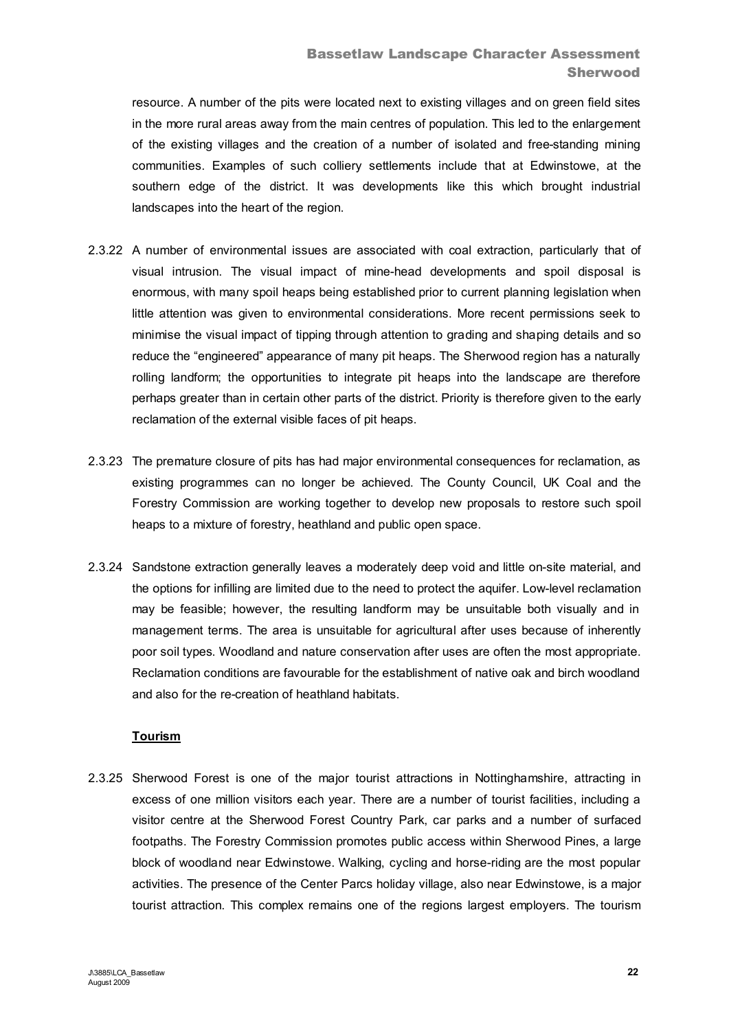resource. A number of the pits were located next to existing villages and on green field sites in the more rural areas away from the main centres of population. This led to the enlargement of the existing villages and the creation of a number of isolated and free-standing mining communities. Examples of such colliery settlements include that at Edwinstowe, at the southern edge of the district. It was developments like this which brought industrial landscapes into the heart of the region.

- 2.3.22 A number of environmental issues are associated with coal extraction, particularly that of visual intrusion. The visual impact of mine-head developments and spoil disposal is enormous, with many spoil heaps being established prior to current planning legislation when little attention was given to environmental considerations. More recent permissions seek to minimise the visual impact of tipping through attention to grading and shaping details and so reduce the "engineered" appearance of many pit heaps. The Sherwood region has a naturally rolling landform; the opportunities to integrate pit heaps into the landscape are therefore perhaps greater than in certain other parts of the district. Priority is therefore given to the early reclamation of the external visible faces of pit heaps.
- 2.3.23 The premature closure of pits has had major environmental consequences for reclamation, as existing programmes can no longer be achieved. The County Council, UK Coal and the Forestry Commission are working together to develop new proposals to restore such spoil heaps to a mixture of forestry, heathland and public open space.
- 2.3.24 Sandstone extraction generally leaves a moderately deep void and little on-site material, and the options for infilling are limited due to the need to protect the aquifer. Low-level reclamation may be feasible; however, the resulting landform may be unsuitable both visually and in management terms. The area is unsuitable for agricultural after uses because of inherently poor soil types. Woodland and nature conservation after uses are often the most appropriate. Reclamation conditions are favourable for the establishment of native oak and birch woodland and also for the re-creation of heathland habitats.

# **Tourism**

2.3.25 Sherwood Forest is one of the major tourist attractions in Nottinghamshire, attracting in excess of one million visitors each year. There are a number of tourist facilities, including a visitor centre at the Sherwood Forest Country Park, car parks and a number of surfaced footpaths. The Forestry Commission promotes public access within Sherwood Pines, a large block of woodland near Edwinstowe. Walking, cycling and horse-riding are the most popular activities. The presence of the Center Parcs holiday village, also near Edwinstowe, is a major tourist attraction. This complex remains one of the regions largest employers. The tourism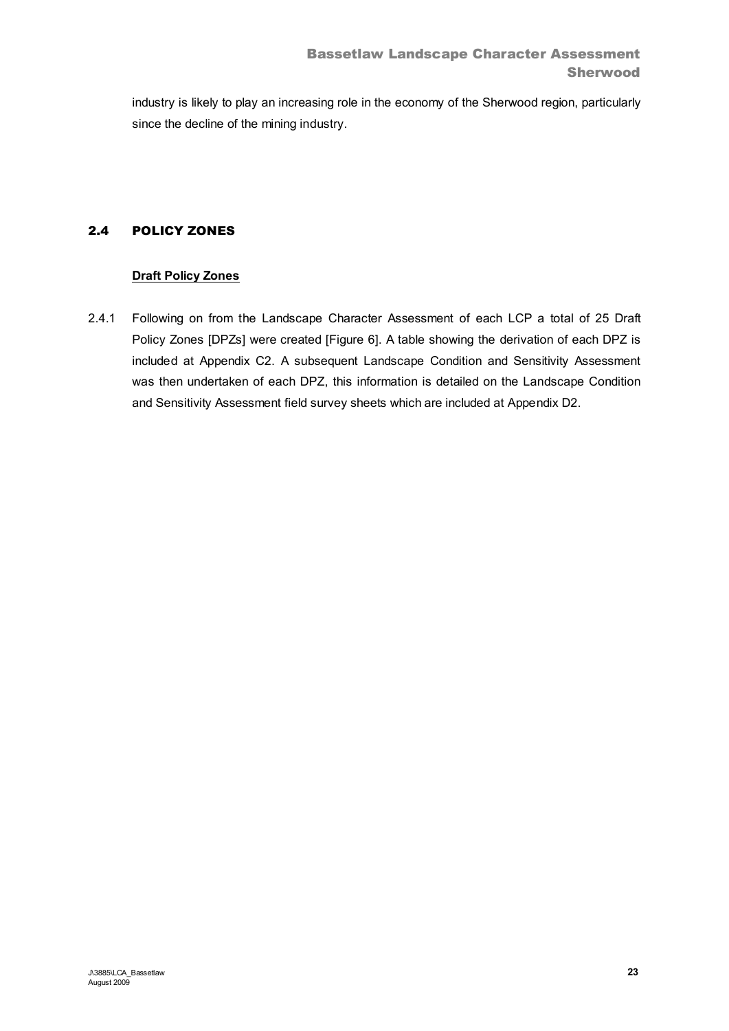industry is likely to play an increasing role in the economy of the Sherwood region, particularly since the decline of the mining industry.

# 2.4 POLICY ZONES

# **Draft Policy Zones**

2.4.1 Following on from the Landscape Character Assessment of each LCP a total of 25 Draft Policy Zones [DPZs] were created [Figure 6]. A table showing the derivation of each DPZ is included at Appendix C2. A subsequent Landscape Condition and Sensitivity Assessment was then undertaken of each DPZ, this information is detailed on the Landscape Condition and Sensitivity Assessment field survey sheets which are included at Appendix D2.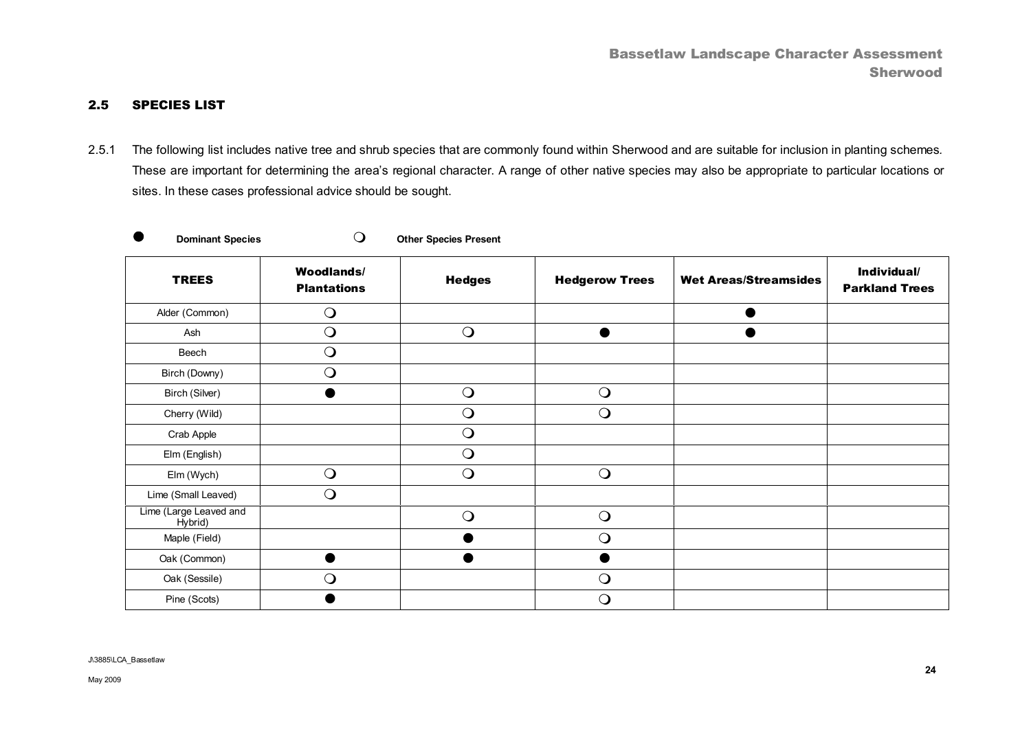## 2.5 SPECIES LIST

2.5.1 The following list includes native tree and shrub species that are commonly found within Sherwood and are suitable for inclusion in planting schemes*.*  These are important for determining the area's regional character. A range of other native species may also be appropriate to particular locations or sites. In these cases professional advice should be sought.

**Dominant Species Calculated Construction Dominant Species Present** 

| <b>TREES</b>                      | <b>Woodlands/</b><br><b>Plantations</b> | <b>Hedges</b> | <b>Hedgerow Trees</b> | <b>Wet Areas/Streamsides</b> | Individual/<br><b>Parkland Trees</b> |
|-----------------------------------|-----------------------------------------|---------------|-----------------------|------------------------------|--------------------------------------|
| Alder (Common)                    | $\bigcirc$                              |               |                       |                              |                                      |
| Ash                               | $\bigcirc$                              | $\bigcirc$    | $\bullet$             |                              |                                      |
| Beech                             | $\bigcirc$                              |               |                       |                              |                                      |
| Birch (Downy)                     | $\bigcirc$                              |               |                       |                              |                                      |
| Birch (Silver)                    |                                         | $\bigcirc$    | $\bigcirc$            |                              |                                      |
| Cherry (Wild)                     |                                         | $\bigcirc$    | $\bigcirc$            |                              |                                      |
| Crab Apple                        |                                         | $\bigcirc$    |                       |                              |                                      |
| Elm (English)                     |                                         | $\bigcirc$    |                       |                              |                                      |
| Elm (Wych)                        | $\bigcirc$                              | $\bigcirc$    | $\bigcirc$            |                              |                                      |
| Lime (Small Leaved)               | $\bigcirc$                              |               |                       |                              |                                      |
| Lime (Large Leaved and<br>Hybrid) |                                         | $\bigcirc$    | $\bigcirc$            |                              |                                      |
| Maple (Field)                     |                                         |               | $\bigcirc$            |                              |                                      |
| Oak (Common)                      |                                         |               |                       |                              |                                      |
| Oak (Sessile)                     | $\bigcirc$                              |               | $\bigcirc$            |                              |                                      |
| Pine (Scots)                      |                                         |               | $\mathsf{O}$          |                              |                                      |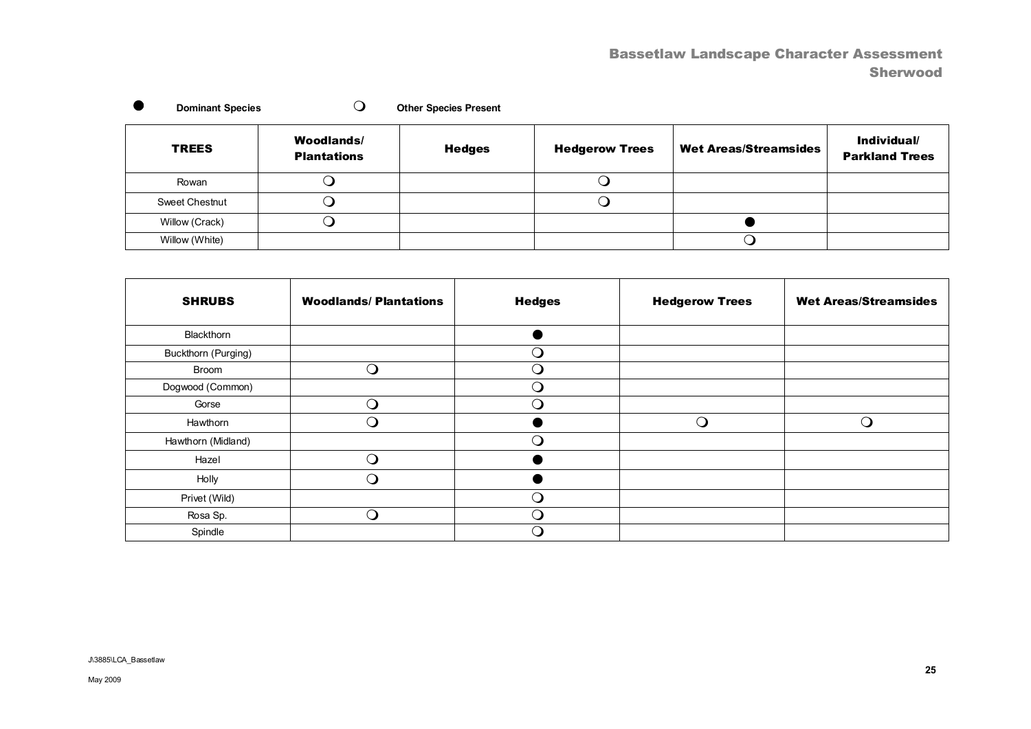# Bassetlaw Landscape Character Assessment Sherwood

| <b>TREES</b>   | <b>Woodlands/</b><br><b>Plantations</b> | <b>Hedges</b> | <b>Hedgerow Trees</b> | <b>Wet Areas/Streamsides</b> | Individual/<br><b>Parkland Trees</b> |
|----------------|-----------------------------------------|---------------|-----------------------|------------------------------|--------------------------------------|
| Rowan          |                                         |               |                       |                              |                                      |
| Sweet Chestnut |                                         |               |                       |                              |                                      |
| Willow (Crack) |                                         |               |                       |                              |                                      |
| Willow (White) |                                         |               |                       |                              |                                      |

**o** Dominant Species **Demand Species** Demand Species Present

| <b>SHRUBS</b>       | <b>Woodlands/Plantations</b> | <b>Hedges</b> | <b>Hedgerow Trees</b> | <b>Wet Areas/Streamsides</b> |
|---------------------|------------------------------|---------------|-----------------------|------------------------------|
| Blackthorn          |                              |               |                       |                              |
| Buckthorn (Purging) |                              | ு             |                       |                              |
| Broom               | ❑                            | ∩             |                       |                              |
| Dogwood (Common)    |                              | ∩             |                       |                              |
| Gorse               | ∩                            | ⌒             |                       |                              |
| Hawthorn            | O                            |               | $\bigcirc$            | ∩                            |
| Hawthorn (Midland)  |                              | Э.            |                       |                              |
| Hazel               | ∩                            |               |                       |                              |
| Holly               | $\Omega$                     |               |                       |                              |
| Privet (Wild)       |                              | ு             |                       |                              |
| Rosa Sp.            | $\mathsf{O}$                 | - 1           |                       |                              |
| Spindle             |                              | - 1           |                       |                              |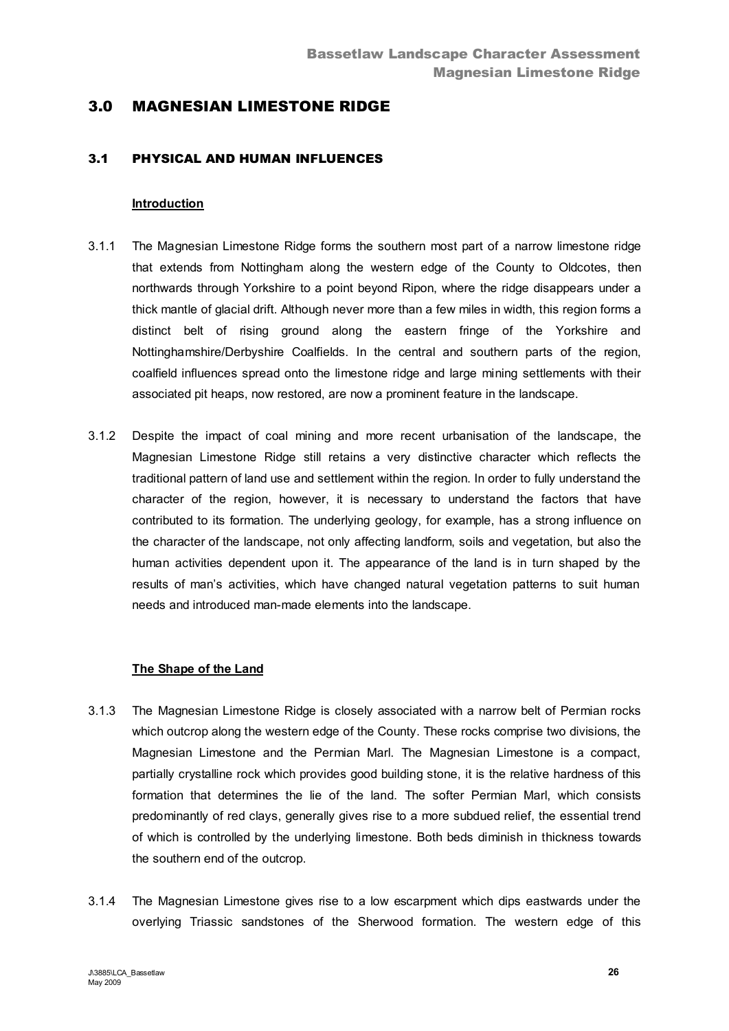# 3.0 MAGNESIAN LIMESTONE RIDGE

## 3.1 PHYSICAL AND HUMAN INFLUENCES

#### **Introduction**

- 3.1.1 The Magnesian Limestone Ridge forms the southern most part of a narrow limestone ridge that extends from Nottingham along the western edge of the County to Oldcotes, then northwards through Yorkshire to a point beyond Ripon, where the ridge disappears under a thick mantle of glacial drift. Although never more than a few miles in width, this region forms a distinct belt of rising ground along the eastern fringe of the Yorkshire and Nottinghamshire/Derbyshire Coalfields. In the central and southern parts of the region, coalfield influences spread onto the limestone ridge and large mining settlements with their associated pit heaps, now restored, are now a prominent feature in the landscape.
- 3.1.2 Despite the impact of coal mining and more recent urbanisation of the landscape, the Magnesian Limestone Ridge still retains a very distinctive character which reflects the traditional pattern of land use and settlement within the region. In order to fully understand the character of the region, however, it is necessary to understand the factors that have contributed to its formation. The underlying geology, for example, has a strong influence on the character of the landscape, not only affecting landform, soils and vegetation, but also the human activities dependent upon it. The appearance of the land is in turn shaped by the results of man's activities, which have changed natural vegetation patterns to suit human needs and introduced man-made elements into the landscape.

## **The Shape of the Land**

- 3.1.3 The Magnesian Limestone Ridge is closely associated with a narrow belt of Permian rocks which outcrop along the western edge of the County. These rocks comprise two divisions, the Magnesian Limestone and the Permian Marl. The Magnesian Limestone is a compact, partially crystalline rock which provides good building stone, it is the relative hardness of this formation that determines the lie of the land. The softer Permian Marl, which consists predominantly of red clays, generally gives rise to a more subdued relief, the essential trend of which is controlled by the underlying limestone. Both beds diminish in thickness towards the southern end of the outcrop.
- 3.1.4 The Magnesian Limestone gives rise to a low escarpment which dips eastwards under the overlying Triassic sandstones of the Sherwood formation. The western edge of this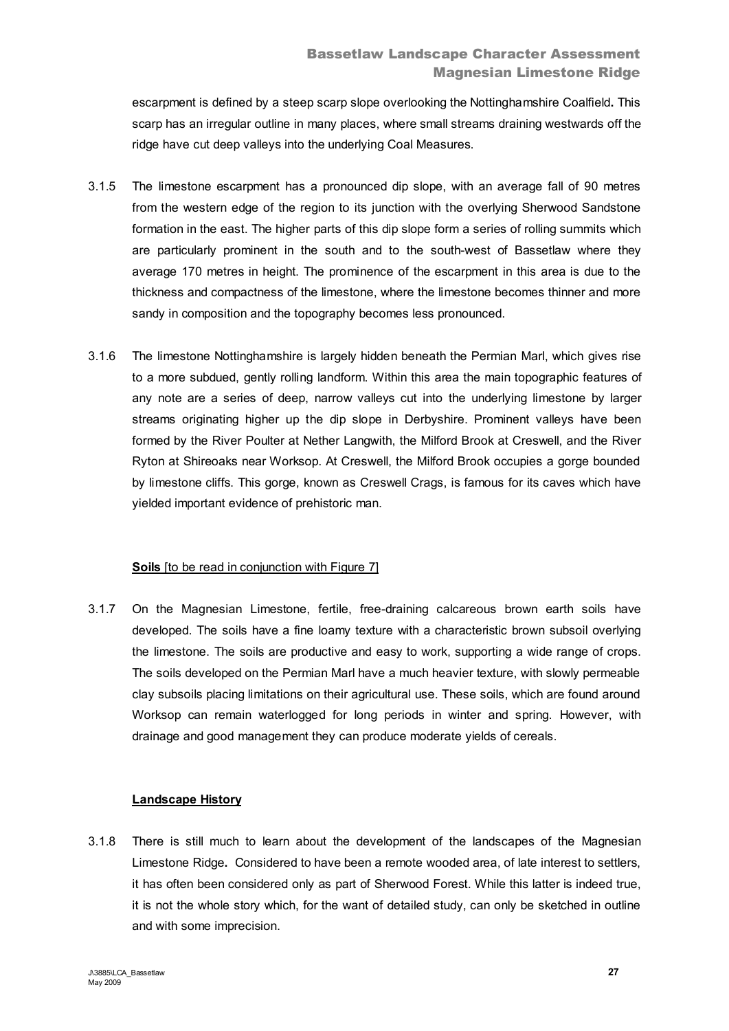escarpment is defined by a steep scarp slope overlooking the Nottinghamshire Coalfield**.** This scarp has an irregular outline in many places, where small streams draining westwards off the ridge have cut deep valleys into the underlying Coal Measures.

- 3.1.5 The limestone escarpment has a pronounced dip slope, with an average fall of 90 metres from the western edge of the region to its junction with the overlying Sherwood Sandstone formation in the east. The higher parts of this dip slope form a series of rolling summits which are particularly prominent in the south and to the south-west of Bassetlaw where they average 170 metres in height. The prominence of the escarpment in this area is due to the thickness and compactness of the limestone, where the limestone becomes thinner and more sandy in composition and the topography becomes less pronounced.
- 3.1.6 The limestone Nottinghamshire is largely hidden beneath the Permian Marl, which gives rise to a more subdued, gently rolling landform. Within this area the main topographic features of any note are a series of deep, narrow valleys cut into the underlying limestone by larger streams originating higher up the dip slope in Derbyshire. Prominent valleys have been formed by the River Poulter at Nether Langwith, the Milford Brook at Creswell, and the River Ryton at Shireoaks near Worksop. At Creswell, the Milford Brook occupies a gorge bounded by limestone cliffs. This gorge, known as Creswell Crags, is famous for its caves which have yielded important evidence of prehistoric man.

## **Soils** Ito be read in conjunction with Figure 71

3.1.7 On the Magnesian Limestone, fertile, free-draining calcareous brown earth soils have developed. The soils have a fine loamy texture with a characteristic brown subsoil overlying the limestone. The soils are productive and easy to work, supporting a wide range of crops. The soils developed on the Permian Marl have a much heavier texture, with slowly permeable clay subsoils placing limitations on their agricultural use. These soils, which are found around Worksop can remain waterlogged for long periods in winter and spring. However, with drainage and good management they can produce moderate yields of cereals.

# **Landscape History**

3.1.8 There is still much to learn about the development of the landscapes of the Magnesian Limestone Ridge**.** Considered to have been a remote wooded area, of late interest to settlers, it has often been considered only as part of Sherwood Forest. While this latter is indeed true, it is not the whole story which, for the want of detailed study, can only be sketched in outline and with some imprecision.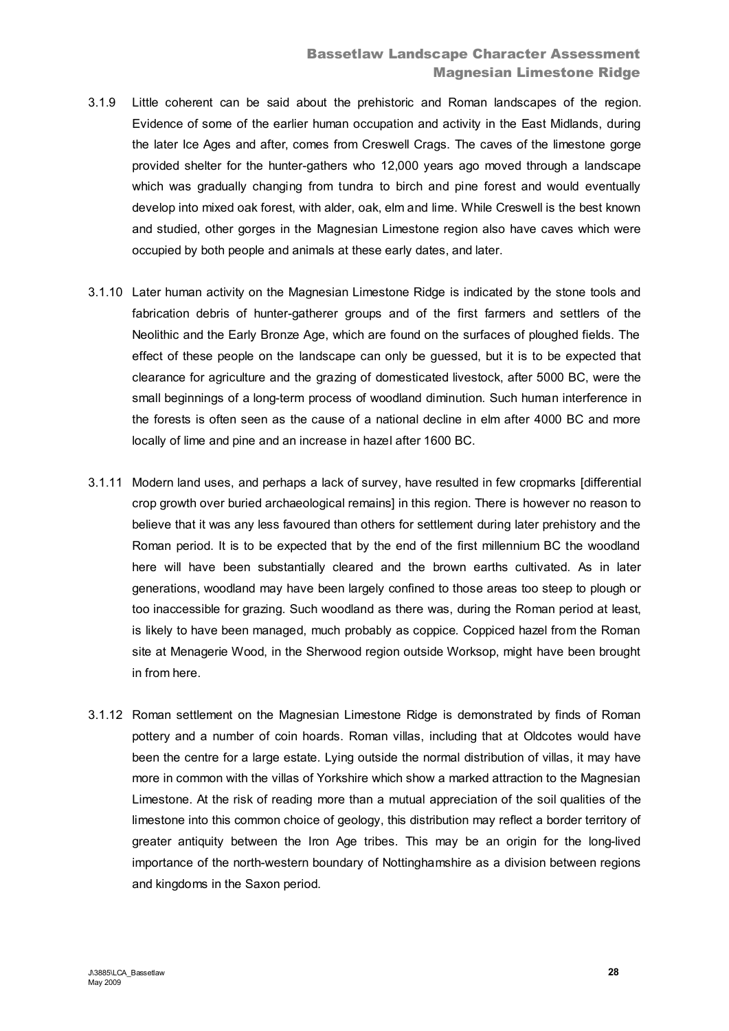- 3.1.9 Little coherent can be said about the prehistoric and Roman landscapes of the region. Evidence of some of the earlier human occupation and activity in the East Midlands, during the later Ice Ages and after, comes from Creswell Crags. The caves of the limestone gorge provided shelter for the hunter-gathers who 12,000 years ago moved through a landscape which was gradually changing from tundra to birch and pine forest and would eventually develop into mixed oak forest, with alder, oak, elm and lime. While Creswell is the best known and studied, other gorges in the Magnesian Limestone region also have caves which were occupied by both people and animals at these early dates, and later.
- 3.1.10 Later human activity on the Magnesian Limestone Ridge is indicated by the stone tools and fabrication debris of hunter-gatherer groups and of the first farmers and settlers of the Neolithic and the Early Bronze Age, which are found on the surfaces of ploughed fields. The effect of these people on the landscape can only be guessed, but it is to be expected that clearance for agriculture and the grazing of domesticated livestock, after 5000 BC, were the small beginnings of a long-term process of woodland diminution. Such human interference in the forests is often seen as the cause of a national decline in elm after 4000 BC and more locally of lime and pine and an increase in hazel after 1600 BC.
- 3.1.11 Modern land uses, and perhaps a lack of survey, have resulted in few cropmarks [differential crop growth over buried archaeological remains] in this region. There is however no reason to believe that it was any less favoured than others for settlement during later prehistory and the Roman period. It is to be expected that by the end of the first millennium BC the woodland here will have been substantially cleared and the brown earths cultivated. As in later generations, woodland may have been largely confined to those areas too steep to plough or too inaccessible for grazing. Such woodland as there was, during the Roman period at least, is likely to have been managed, much probably as coppice. Coppiced hazel from the Roman site at Menagerie Wood, in the Sherwood region outside Worksop, might have been brought in from here.
- 3.1.12 Roman settlement on the Magnesian Limestone Ridge is demonstrated by finds of Roman pottery and a number of coin hoards. Roman villas, including that at Oldcotes would have been the centre for a large estate. Lying outside the normal distribution of villas, it may have more in common with the villas of Yorkshire which show a marked attraction to the Magnesian Limestone. At the risk of reading more than a mutual appreciation of the soil qualities of the limestone into this common choice of geology, this distribution may reflect a border territory of greater antiquity between the Iron Age tribes. This may be an origin for the long-lived importance of the north-western boundary of Nottinghamshire as a division between regions and kingdoms in the Saxon period.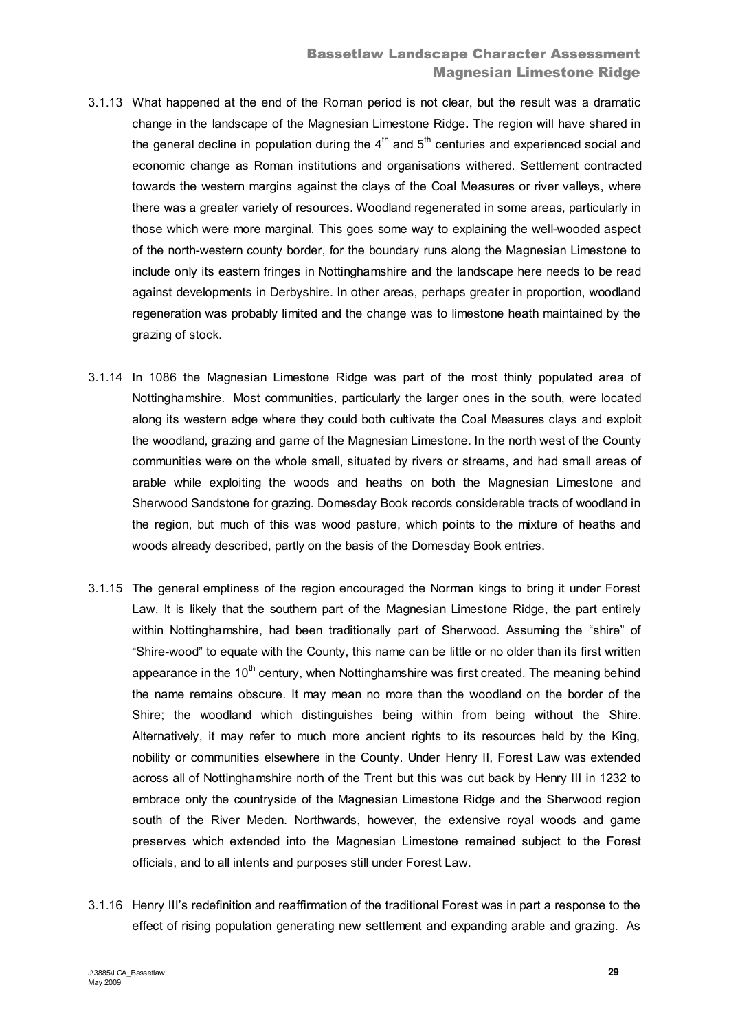- 3.1.13 What happened at the end of the Roman period is not clear, but the result was a dramatic change in the landscape of the Magnesian Limestone Ridge**.** The region will have shared in the general decline in population during the  $4<sup>th</sup>$  and  $5<sup>th</sup>$  centuries and experienced social and economic change as Roman institutions and organisations withered. Settlement contracted towards the western margins against the clays of the Coal Measures or river valleys, where there was a greater variety of resources. Woodland regenerated in some areas, particularly in those which were more marginal. This goes some way to explaining the well-wooded aspect of the north-western county border, for the boundary runs along the Magnesian Limestone to include only its eastern fringes in Nottinghamshire and the landscape here needs to be read against developments in Derbyshire. In other areas, perhaps greater in proportion, woodland regeneration was probably limited and the change was to limestone heath maintained by the grazing of stock.
- 3.1.14 In 1086 the Magnesian Limestone Ridge was part of the most thinly populated area of Nottinghamshire. Most communities, particularly the larger ones in the south, were located along its western edge where they could both cultivate the Coal Measures clays and exploit the woodland, grazing and game of the Magnesian Limestone. In the north west of the County communities were on the whole small, situated by rivers or streams, and had small areas of arable while exploiting the woods and heaths on both the Magnesian Limestone and Sherwood Sandstone for grazing. Domesday Book records considerable tracts of woodland in the region, but much of this was wood pasture, which points to the mixture of heaths and woods already described, partly on the basis of the Domesday Book entries.
- 3.1.15 The general emptiness of the region encouraged the Norman kings to bring it under Forest Law. It is likely that the southern part of the Magnesian Limestone Ridge, the part entirely within Nottinghamshire, had been traditionally part of Sherwood. Assuming the "shire" of "Shire-wood" to equate with the County, this name can be little or no older than its first written appearance in the  $10<sup>th</sup>$  century, when Nottinghamshire was first created. The meaning behind the name remains obscure. It may mean no more than the woodland on the border of the Shire; the woodland which distinguishes being within from being without the Shire. Alternatively, it may refer to much more ancient rights to its resources held by the King, nobility or communities elsewhere in the County. Under Henry II, Forest Law was extended across all of Nottinghamshire north of the Trent but this was cut back by Henry III in 1232 to embrace only the countryside of the Magnesian Limestone Ridge and the Sherwood region south of the River Meden. Northwards, however, the extensive royal woods and game preserves which extended into the Magnesian Limestone remained subject to the Forest officials, and to all intents and purposes still under Forest Law.
- 3.1.16 Henry III's redefinition and reaffirmation of the traditional Forest was in part a response to the effect of rising population generating new settlement and expanding arable and grazing. As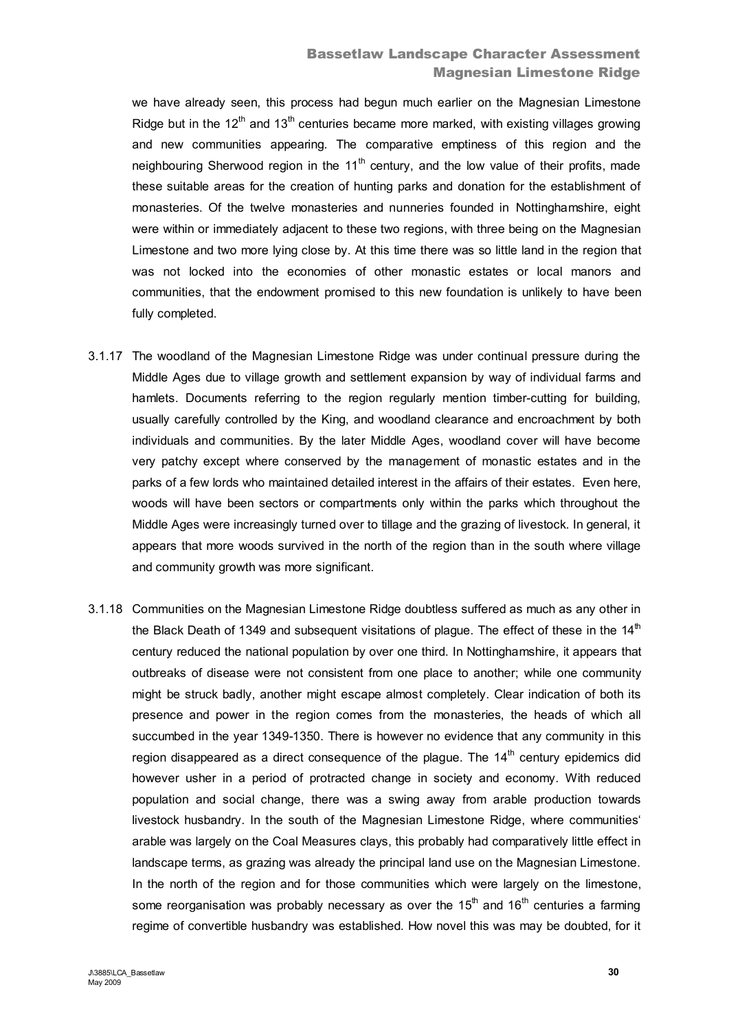# Bassetlaw Landscape Character Assessment Magnesian Limestone Ridge

we have already seen, this process had begun much earlier on the Magnesian Limestone Ridge but in the 12<sup>th</sup> and 13<sup>th</sup> centuries became more marked, with existing villages growing and new communities appearing. The comparative emptiness of this region and the neighbouring Sherwood region in the  $11<sup>th</sup>$  century, and the low value of their profits, made these suitable areas for the creation of hunting parks and donation for the establishment of monasteries. Of the twelve monasteries and nunneries founded in Nottinghamshire, eight were within or immediately adjacent to these two regions, with three being on the Magnesian Limestone and two more lying close by. At this time there was so little land in the region that was not locked into the economies of other monastic estates or local manors and communities, that the endowment promised to this new foundation is unlikely to have been fully completed.

- 3.1.17 The woodland of the Magnesian Limestone Ridge was under continual pressure during the Middle Ages due to village growth and settlement expansion by way of individual farms and hamlets. Documents referring to the region regularly mention timber-cutting for building, usually carefully controlled by the King, and woodland clearance and encroachment by both individuals and communities. By the later Middle Ages, woodland cover will have become very patchy except where conserved by the management of monastic estates and in the parks of a few lords who maintained detailed interest in the affairs of their estates. Even here, woods will have been sectors or compartments only within the parks which throughout the Middle Ages were increasingly turned over to tillage and the grazing of livestock. In general, it appears that more woods survived in the north of the region than in the south where village and community growth was more significant.
- 3.1.18 Communities on the Magnesian Limestone Ridge doubtless suffered as much as any other in the Black Death of 1349 and subsequent visitations of plague. The effect of these in the  $14<sup>th</sup>$ century reduced the national population by over one third. In Nottinghamshire, it appears that outbreaks of disease were not consistent from one place to another; while one community might be struck badly, another might escape almost completely. Clear indication of both its presence and power in the region comes from the monasteries, the heads of which all succumbed in the year 1349-1350. There is however no evidence that any community in this region disappeared as a direct consequence of the plague. The  $14<sup>th</sup>$  century epidemics did however usher in a period of protracted change in society and economy. With reduced population and social change, there was a swing away from arable production towards livestock husbandry. In the south of the Magnesian Limestone Ridge, where communities' arable was largely on the Coal Measures clays, this probably had comparatively little effect in landscape terms, as grazing was already the principal land use on the Magnesian Limestone. In the north of the region and for those communities which were largely on the limestone, some reorganisation was probably necessary as over the  $15<sup>th</sup>$  and  $16<sup>th</sup>$  centuries a farming regime of convertible husbandry was established. How novel this was may be doubted, for it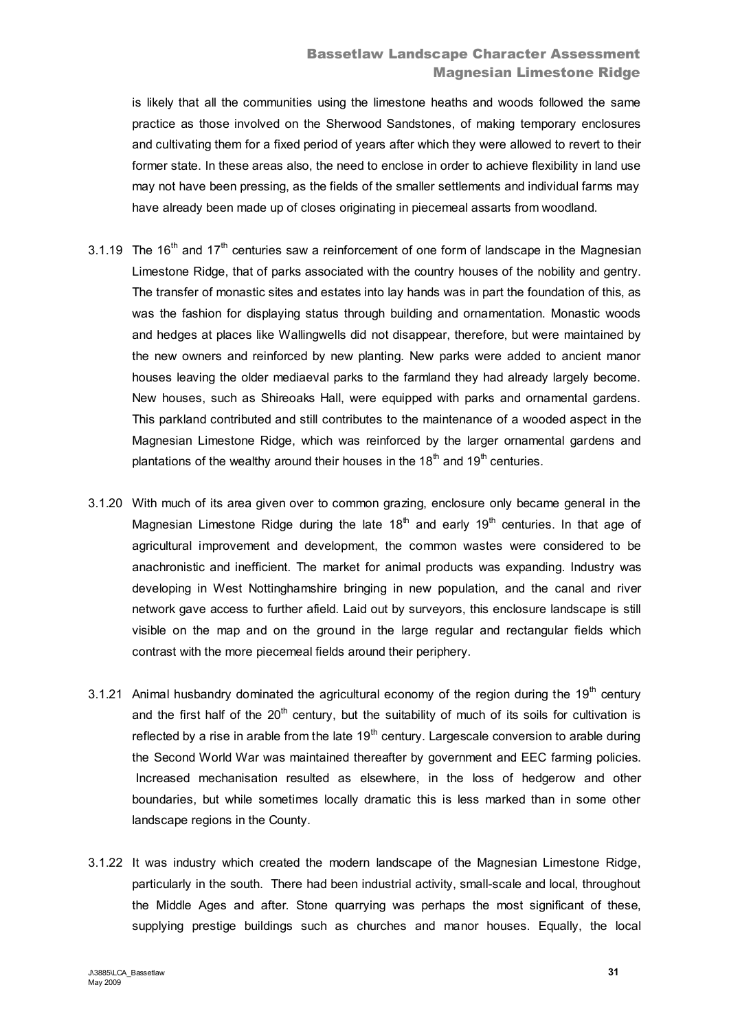is likely that all the communities using the limestone heaths and woods followed the same practice as those involved on the Sherwood Sandstones, of making temporary enclosures and cultivating them for a fixed period of years after which they were allowed to revert to their former state. In these areas also, the need to enclose in order to achieve flexibility in land use may not have been pressing, as the fields of the smaller settlements and individual farms may have already been made up of closes originating in piecemeal assarts from woodland.

- 3.1.19 The 16<sup>th</sup> and 17<sup>th</sup> centuries saw a reinforcement of one form of landscape in the Magnesian Limestone Ridge, that of parks associated with the country houses of the nobility and gentry. The transfer of monastic sites and estates into lay hands was in part the foundation of this, as was the fashion for displaying status through building and ornamentation. Monastic woods and hedges at places like Wallingwells did not disappear, therefore, but were maintained by the new owners and reinforced by new planting. New parks were added to ancient manor houses leaving the older mediaeval parks to the farmland they had already largely become. New houses, such as Shireoaks Hall, were equipped with parks and ornamental gardens. This parkland contributed and still contributes to the maintenance of a wooded aspect in the Magnesian Limestone Ridge, which was reinforced by the larger ornamental gardens and plantations of the wealthy around their houses in the 18<sup>th</sup> and 19<sup>th</sup> centuries.
- 3.1.20 With much of its area given over to common grazing, enclosure only became general in the Magnesian Limestone Ridge during the late  $18<sup>th</sup>$  and early  $19<sup>th</sup>$  centuries. In that age of agricultural improvement and development, the common wastes were considered to be anachronistic and inefficient. The market for animal products was expanding. Industry was developing in West Nottinghamshire bringing in new population, and the canal and river network gave access to further afield. Laid out by surveyors, this enclosure landscape is still visible on the map and on the ground in the large regular and rectangular fields which contrast with the more piecemeal fields around their periphery.
- 3.1.21 Animal husbandry dominated the agricultural economy of the region during the  $19<sup>th</sup>$  century and the first half of the  $20<sup>th</sup>$  century, but the suitability of much of its soils for cultivation is reflected by a rise in arable from the late  $19<sup>th</sup>$  century. Largescale conversion to arable during the Second World War was maintained thereafter by government and EEC farming policies. Increased mechanisation resulted as elsewhere, in the loss of hedgerow and other boundaries, but while sometimes locally dramatic this is less marked than in some other landscape regions in the County.
- 3.1.22 It was industry which created the modern landscape of the Magnesian Limestone Ridge, particularly in the south. There had been industrial activity, small-scale and local, throughout the Middle Ages and after. Stone quarrying was perhaps the most significant of these, supplying prestige buildings such as churches and manor houses. Equally, the local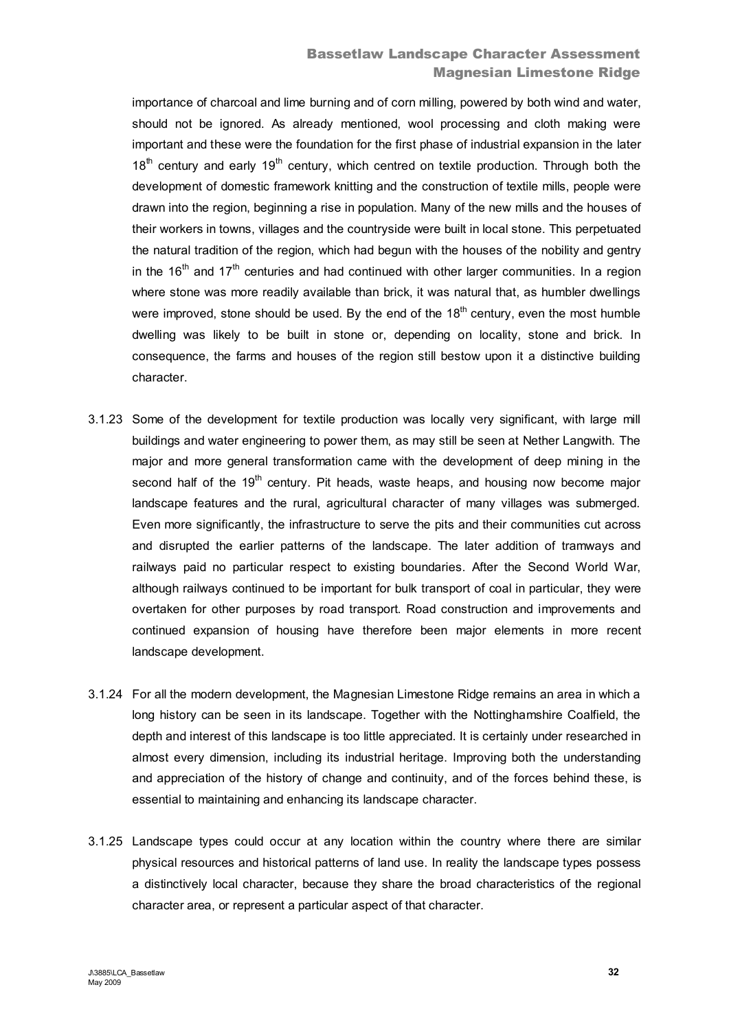# Bassetlaw Landscape Character Assessment Magnesian Limestone Ridge

importance of charcoal and lime burning and of corn milling, powered by both wind and water, should not be ignored. As already mentioned, wool processing and cloth making were important and these were the foundation for the first phase of industrial expansion in the later  $18<sup>th</sup>$  century and early 19<sup>th</sup> century, which centred on textile production. Through both the development of domestic framework knitting and the construction of textile mills, people were drawn into the region, beginning a rise in population. Many of the new mills and the houses of their workers in towns, villages and the countryside were built in local stone. This perpetuated the natural tradition of the region, which had begun with the houses of the nobility and gentry in the 16<sup>th</sup> and 17<sup>th</sup> centuries and had continued with other larger communities. In a region where stone was more readily available than brick, it was natural that, as humbler dwellings were improved, stone should be used. By the end of the  $18<sup>th</sup>$  century, even the most humble dwelling was likely to be built in stone or, depending on locality, stone and brick. In consequence, the farms and houses of the region still bestow upon it a distinctive building character.

- 3.1.23 Some of the development for textile production was locally very significant, with large mill buildings and water engineering to power them, as may still be seen at Nether Langwith. The major and more general transformation came with the development of deep mining in the second half of the  $19<sup>th</sup>$  century. Pit heads, waste heaps, and housing now become major landscape features and the rural, agricultural character of many villages was submerged. Even more significantly, the infrastructure to serve the pits and their communities cut across and disrupted the earlier patterns of the landscape. The later addition of tramways and railways paid no particular respect to existing boundaries. After the Second World War, although railways continued to be important for bulk transport of coal in particular, they were overtaken for other purposes by road transport. Road construction and improvements and continued expansion of housing have therefore been major elements in more recent landscape development.
- 3.1.24 For all the modern development, the Magnesian Limestone Ridge remains an area in which a long history can be seen in its landscape. Together with the Nottinghamshire Coalfield, the depth and interest of this landscape is too little appreciated. It is certainly under researched in almost every dimension, including its industrial heritage. Improving both the understanding and appreciation of the history of change and continuity, and of the forces behind these, is essential to maintaining and enhancing its landscape character.
- 3.1.25 Landscape types could occur at any location within the country where there are similar physical resources and historical patterns of land use. In reality the landscape types possess a distinctively local character, because they share the broad characteristics of the regional character area, or represent a particular aspect of that character.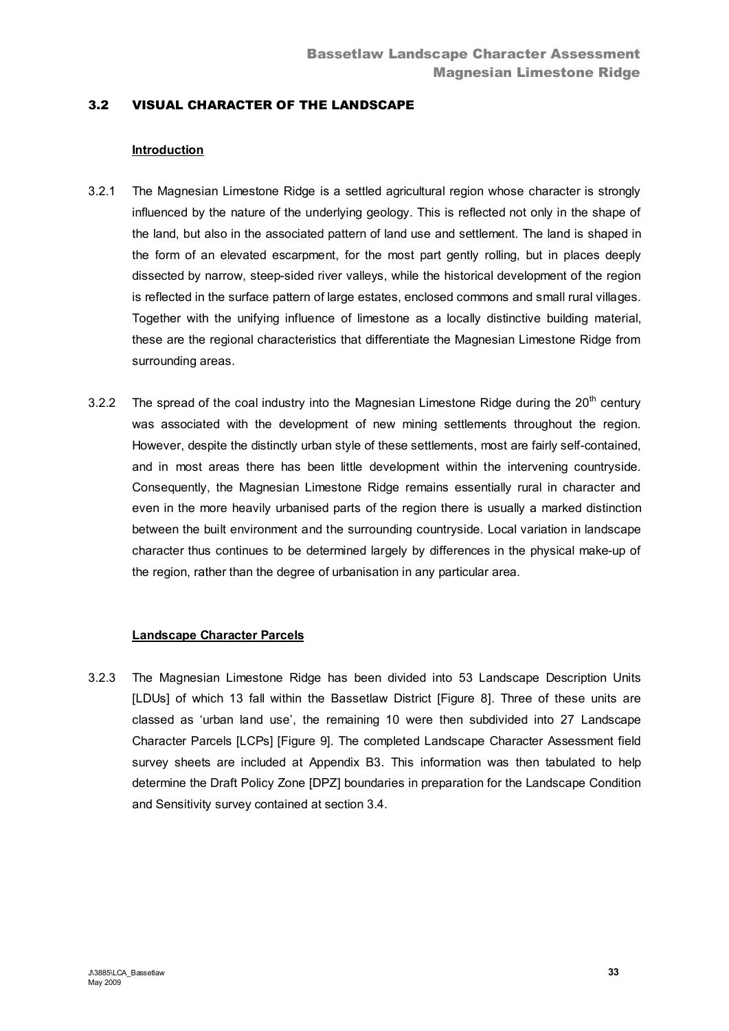## 3.2 VISUAL CHARACTER OF THE LANDSCAPE

## **Introduction**

- 3.2.1 The Magnesian Limestone Ridge is a settled agricultural region whose character is strongly influenced by the nature of the underlying geology. This is reflected not only in the shape of the land, but also in the associated pattern of land use and settlement. The land is shaped in the form of an elevated escarpment, for the most part gently rolling, but in places deeply dissected by narrow, steep-sided river valleys, while the historical development of the region is reflected in the surface pattern of large estates, enclosed commons and small rural villages. Together with the unifying influence of limestone as a locally distinctive building material, these are the regional characteristics that differentiate the Magnesian Limestone Ridge from surrounding areas.
- 3.2.2 The spread of the coal industry into the Magnesian Limestone Ridge during the  $20<sup>th</sup>$  century was associated with the development of new mining settlements throughout the region. However, despite the distinctly urban style of these settlements, most are fairly self-contained, and in most areas there has been little development within the intervening countryside. Consequently, the Magnesian Limestone Ridge remains essentially rural in character and even in the more heavily urbanised parts of the region there is usually a marked distinction between the built environment and the surrounding countryside. Local variation in landscape character thus continues to be determined largely by differences in the physical make-up of the region, rather than the degree of urbanisation in any particular area.

## **Landscape Character Parcels**

3.2.3 The Magnesian Limestone Ridge has been divided into 53 Landscape Description Units [LDUs] of which 13 fall within the Bassetlaw District [Figure 8]. Three of these units are classed as 'urban land use', the remaining 10 were then subdivided into 27 Landscape Character Parcels [LCPs] [Figure 9]. The completed Landscape Character Assessment field survey sheets are included at Appendix B3. This information was then tabulated to help determine the Draft Policy Zone [DPZ] boundaries in preparation for the Landscape Condition and Sensitivity survey contained at section 3.4.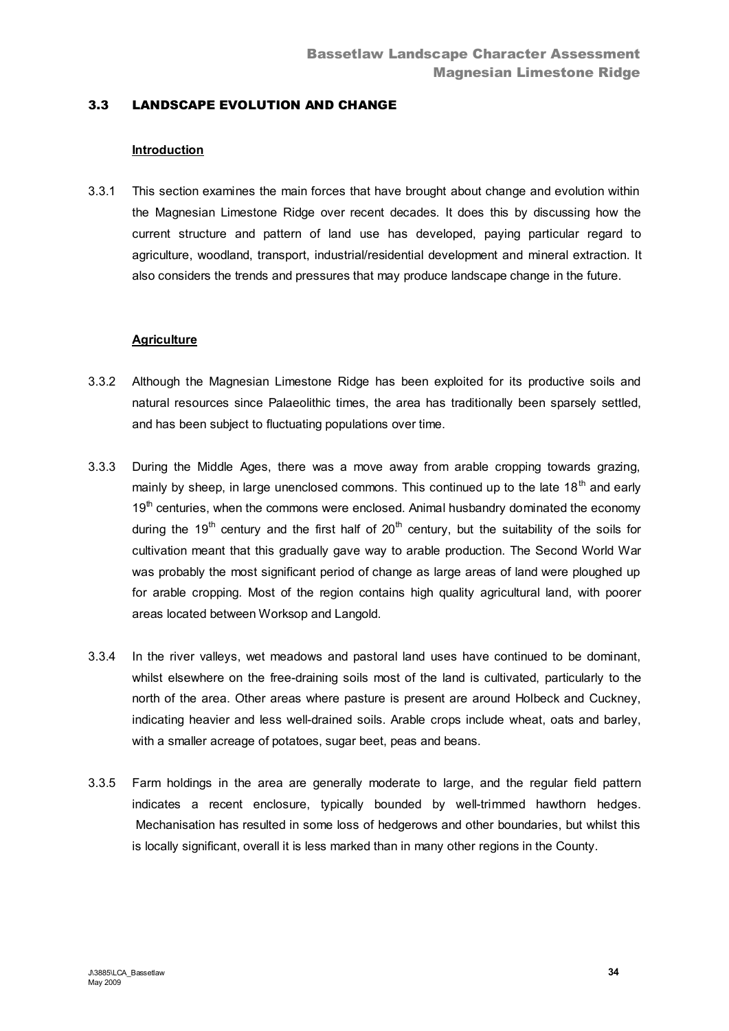# 3.3 LANDSCAPE EVOLUTION AND CHANGE

#### **Introduction**

3.3.1 This section examines the main forces that have brought about change and evolution within the Magnesian Limestone Ridge over recent decades. It does this by discussing how the current structure and pattern of land use has developed, paying particular regard to agriculture, woodland, transport, industrial/residential development and mineral extraction. It also considers the trends and pressures that may produce landscape change in the future.

#### **Agriculture**

- 3.3.2 Although the Magnesian Limestone Ridge has been exploited for its productive soils and natural resources since Palaeolithic times, the area has traditionally been sparsely settled, and has been subject to fluctuating populations over time.
- 3.3.3 During the Middle Ages, there was a move away from arable cropping towards grazing, mainly by sheep, in large unenclosed commons. This continued up to the late  $18<sup>th</sup>$  and early  $19<sup>th</sup>$  centuries, when the commons were enclosed. Animal husbandry dominated the economy during the 19<sup>th</sup> century and the first half of  $20<sup>th</sup>$  century, but the suitability of the soils for cultivation meant that this gradually gave way to arable production. The Second World War was probably the most significant period of change as large areas of land were ploughed up for arable cropping. Most of the region contains high quality agricultural land, with poorer areas located between Worksop and Langold.
- 3.3.4 In the river valleys, wet meadows and pastoral land uses have continued to be dominant, whilst elsewhere on the free-draining soils most of the land is cultivated, particularly to the north of the area. Other areas where pasture is present are around Holbeck and Cuckney, indicating heavier and less well-drained soils. Arable crops include wheat, oats and barley, with a smaller acreage of potatoes, sugar beet, peas and beans.
- 3.3.5 Farm holdings in the area are generally moderate to large, and the regular field pattern indicates a recent enclosure, typically bounded by well-trimmed hawthorn hedges. Mechanisation has resulted in some loss of hedgerows and other boundaries, but whilst this is locally significant, overall it is less marked than in many other regions in the County.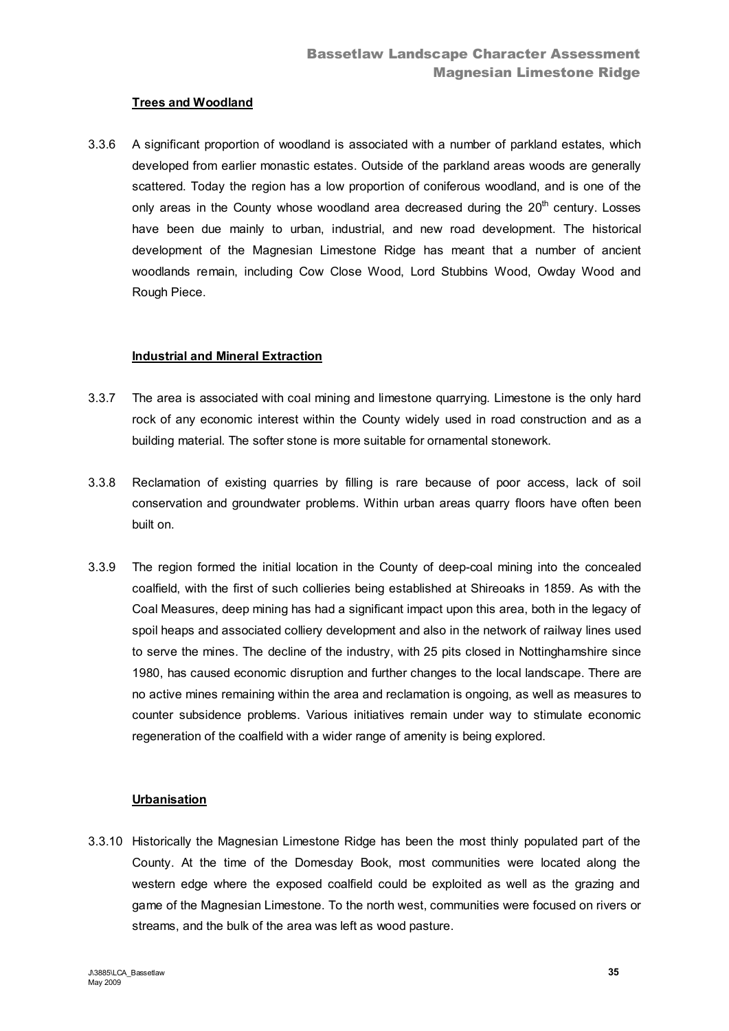## **Trees and Woodland**

3.3.6 A significant proportion of woodland is associated with a number of parkland estates, which developed from earlier monastic estates. Outside of the parkland areas woods are generally scattered. Today the region has a low proportion of coniferous woodland, and is one of the only areas in the County whose woodland area decreased during the  $20<sup>th</sup>$  century. Losses have been due mainly to urban, industrial, and new road development. The historical development of the Magnesian Limestone Ridge has meant that a number of ancient woodlands remain, including Cow Close Wood, Lord Stubbins Wood, Owday Wood and Rough Piece.

# **Industrial and Mineral Extraction**

- 3.3.7 The area is associated with coal mining and limestone quarrying. Limestone is the only hard rock of any economic interest within the County widely used in road construction and as a building material. The softer stone is more suitable for ornamental stonework.
- 3.3.8 Reclamation of existing quarries by filling is rare because of poor access, lack of soil conservation and groundwater problems. Within urban areas quarry floors have often been built on.
- 3.3.9 The region formed the initial location in the County of deep-coal mining into the concealed coalfield, with the first of such collieries being established at Shireoaks in 1859. As with the Coal Measures, deep mining has had a significant impact upon this area, both in the legacy of spoil heaps and associated colliery development and also in the network of railway lines used to serve the mines. The decline of the industry, with 25 pits closed in Nottinghamshire since 1980, has caused economic disruption and further changes to the local landscape. There are no active mines remaining within the area and reclamation is ongoing, as well as measures to counter subsidence problems. Various initiatives remain under way to stimulate economic regeneration of the coalfield with a wider range of amenity is being explored.

# **Urbanisation**

3.3.10 Historically the Magnesian Limestone Ridge has been the most thinly populated part of the County. At the time of the Domesday Book, most communities were located along the western edge where the exposed coalfield could be exploited as well as the grazing and game of the Magnesian Limestone. To the north west, communities were focused on rivers or streams, and the bulk of the area was left as wood pasture.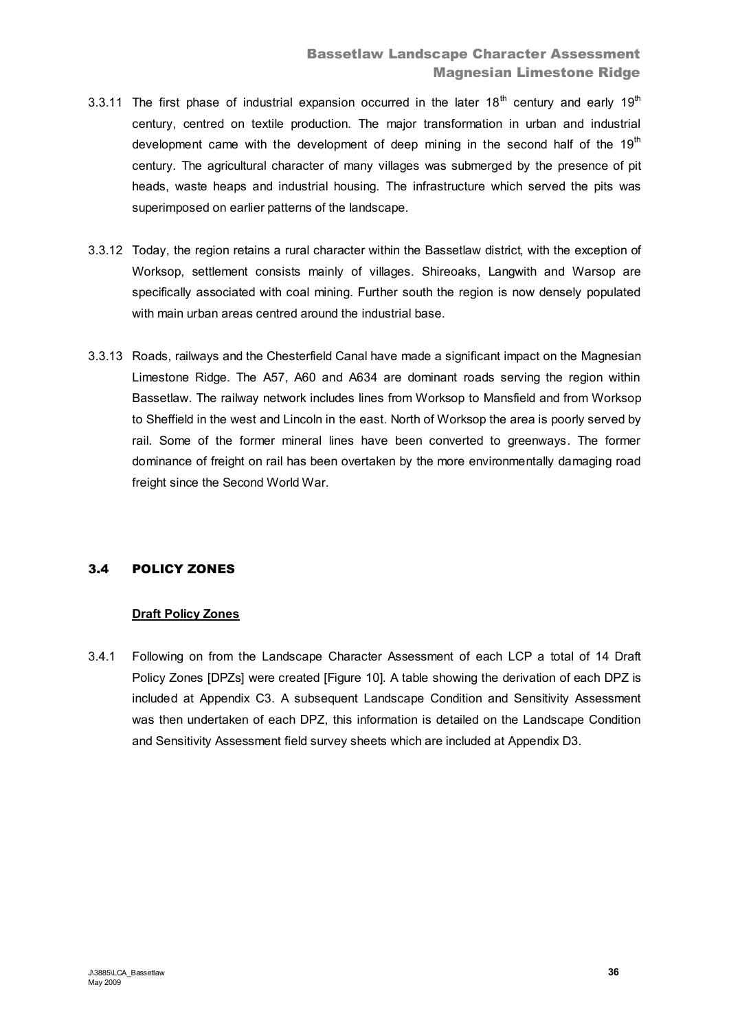- 3.3.11 The first phase of industrial expansion occurred in the later 18<sup>th</sup> century and early 19<sup>th</sup> century, centred on textile production. The major transformation in urban and industrial development came with the development of deep mining in the second half of the  $19<sup>th</sup>$ century. The agricultural character of many villages was submerged by the presence of pit heads, waste heaps and industrial housing. The infrastructure which served the pits was superimposed on earlier patterns of the landscape.
- 3.3.12 Today, the region retains a rural character within the Bassetlaw district, with the exception of Worksop, settlement consists mainly of villages. Shireoaks, Langwith and Warsop are specifically associated with coal mining. Further south the region is now densely populated with main urban areas centred around the industrial base.
- 3.3.13 Roads, railways and the Chesterfield Canal have made a significant impact on the Magnesian Limestone Ridge. The A57, A60 and A634 are dominant roads serving the region within Bassetlaw. The railway network includes lines from Worksop to Mansfield and from Worksop to Sheffield in the west and Lincoln in the east. North of Worksop the area is poorly served by rail. Some of the former mineral lines have been converted to greenways. The former dominance of freight on rail has been overtaken by the more environmentally damaging road freight since the Second World War.

# 3.4 POLICY ZONES

# **Draft Policy Zones**

3.4.1 Following on from the Landscape Character Assessment of each LCP a total of 14 Draft Policy Zones [DPZs] were created [Figure 10]. A table showing the derivation of each DPZ is included at Appendix C3. A subsequent Landscape Condition and Sensitivity Assessment was then undertaken of each DPZ, this information is detailed on the Landscape Condition and Sensitivity Assessment field survey sheets which are included at Appendix D3.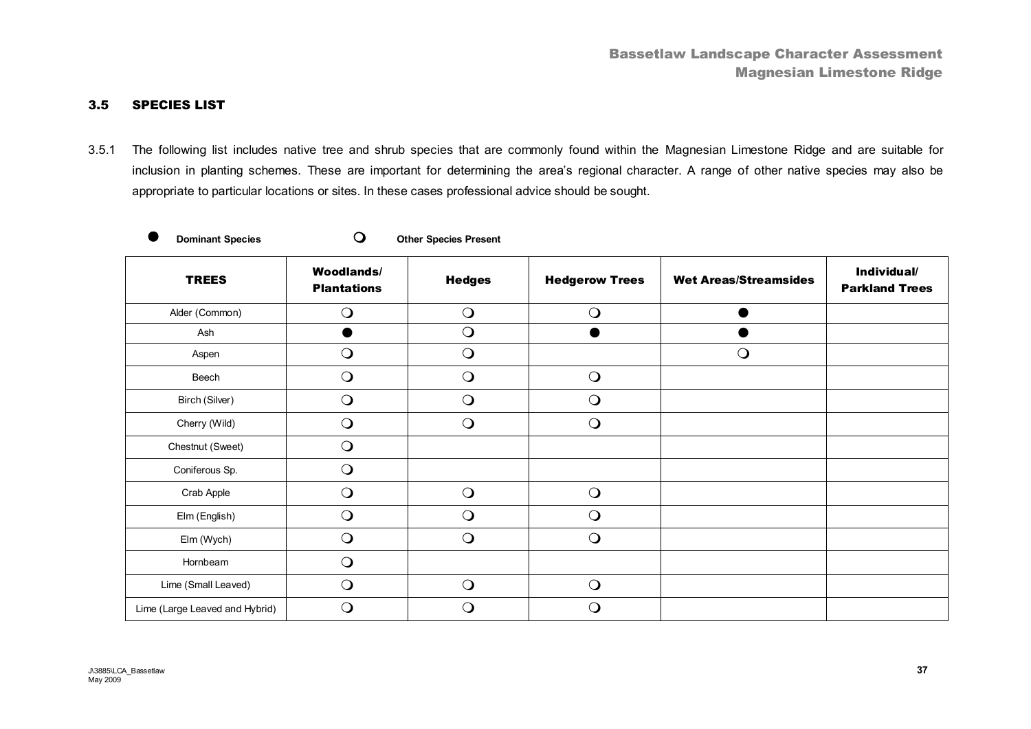### 3.5 SPECIES LIST

3.5.1 The following list includes native tree and shrub species that are commonly found within the Magnesian Limestone Ridge and are suitable for inclusion in planting schemes*.* These are important for determining the area's regional character. A range of other native species may also be appropriate to particular locations or sites. In these cases professional advice should be sought.

|  | <b>Dominant Specie</b> |
|--|------------------------|

**O** Dominant Species **O** Other Species Present

| <b>TREES</b>                   | <b>Woodlands/</b><br><b>Plantations</b> | <b>Hedges</b>  | <b>Hedgerow Trees</b> | <b>Wet Areas/Streamsides</b> | Individual/<br><b>Parkland Trees</b> |
|--------------------------------|-----------------------------------------|----------------|-----------------------|------------------------------|--------------------------------------|
| Alder (Common)                 | $\bigcirc$                              | $\bigcirc$     | $\bigcirc$            |                              |                                      |
| Ash                            |                                         | $\bigcirc$     | $\bullet$             |                              |                                      |
| Aspen                          | $\bigcirc$                              | $\bigcirc$     |                       | $\bigcirc$                   |                                      |
| Beech                          | $\bigcirc$                              | $\bigcirc$     | $\bigcirc$            |                              |                                      |
| Birch (Silver)                 | $\overline{O}$                          | $\overline{O}$ | $\bigcirc$            |                              |                                      |
| Cherry (Wild)                  | $\mathbf{O}$                            | $\bigcirc$     | $\bigcirc$            |                              |                                      |
| Chestnut (Sweet)               | $\bigcirc$                              |                |                       |                              |                                      |
| Coniferous Sp.                 | $\bigcirc$                              |                |                       |                              |                                      |
| Crab Apple                     | $\bigcirc$                              | $\bigcirc$     | $\bigcirc$            |                              |                                      |
| Elm (English)                  | $\bigcirc$                              | $\bigcirc$     | $\bigcirc$            |                              |                                      |
| Elm (Wych)                     | $\bigcirc$                              | $\bigcirc$     | $\bigcirc$            |                              |                                      |
| Hornbeam                       | $\bigcirc$                              |                |                       |                              |                                      |
| Lime (Small Leaved)            | $\bigcirc$                              | $\bigcirc$     | $\bigcirc$            |                              |                                      |
| Lime (Large Leaved and Hybrid) | $\bigcirc$                              | O              | $\bigcirc$            |                              |                                      |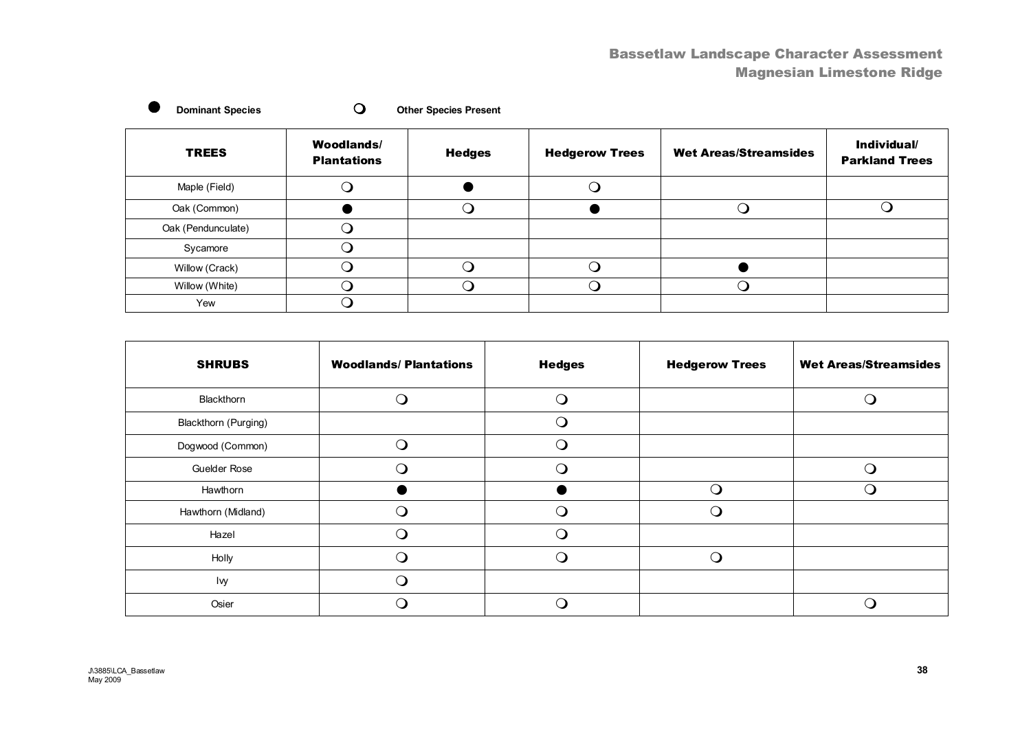# Bassetlaw Landscape Character Assessment Magnesian Limestone Ridge

| <b>Dominant Species</b> |                                         | <b>Other Species Present</b> |                       |                              |                                      |
|-------------------------|-----------------------------------------|------------------------------|-----------------------|------------------------------|--------------------------------------|
| <b>TREES</b>            | <b>Woodlands/</b><br><b>Plantations</b> | <b>Hedges</b>                | <b>Hedgerow Trees</b> | <b>Wet Areas/Streamsides</b> | Individual/<br><b>Parkland Trees</b> |
| Maple (Field)           |                                         |                              |                       |                              |                                      |
| Oak (Common)            |                                         |                              |                       |                              |                                      |
| Oak (Pendunculate)      |                                         |                              |                       |                              |                                      |
| Sycamore                | ∩                                       |                              |                       |                              |                                      |
| Willow (Crack)          |                                         |                              |                       |                              |                                      |
| Willow (White)          |                                         |                              |                       | . . )                        |                                      |
| Yew                     |                                         |                              |                       |                              |                                      |

| <b>SHRUBS</b>        | <b>Woodlands/Plantations</b> | <b>Hedges</b> | <b>Hedgerow Trees</b> | <b>Wet Areas/Streamsides</b> |
|----------------------|------------------------------|---------------|-----------------------|------------------------------|
| Blackthorn           |                              | ∩             |                       |                              |
| Blackthorn (Purging) |                              | Ω.            |                       |                              |
| Dogwood (Common)     | ∩                            | $\Omega$      |                       |                              |
| Guelder Rose         |                              | ∩             |                       |                              |
| Hawthorn             |                              |               | ∩                     | ( )                          |
| Hawthorn (Midland)   |                              | ∩             |                       |                              |
| Hazel                | ∩                            | ⌒             |                       |                              |
| Holly                |                              | ∩             | ◠                     |                              |
| lvy                  |                              |               |                       |                              |
| Osier                |                              |               |                       |                              |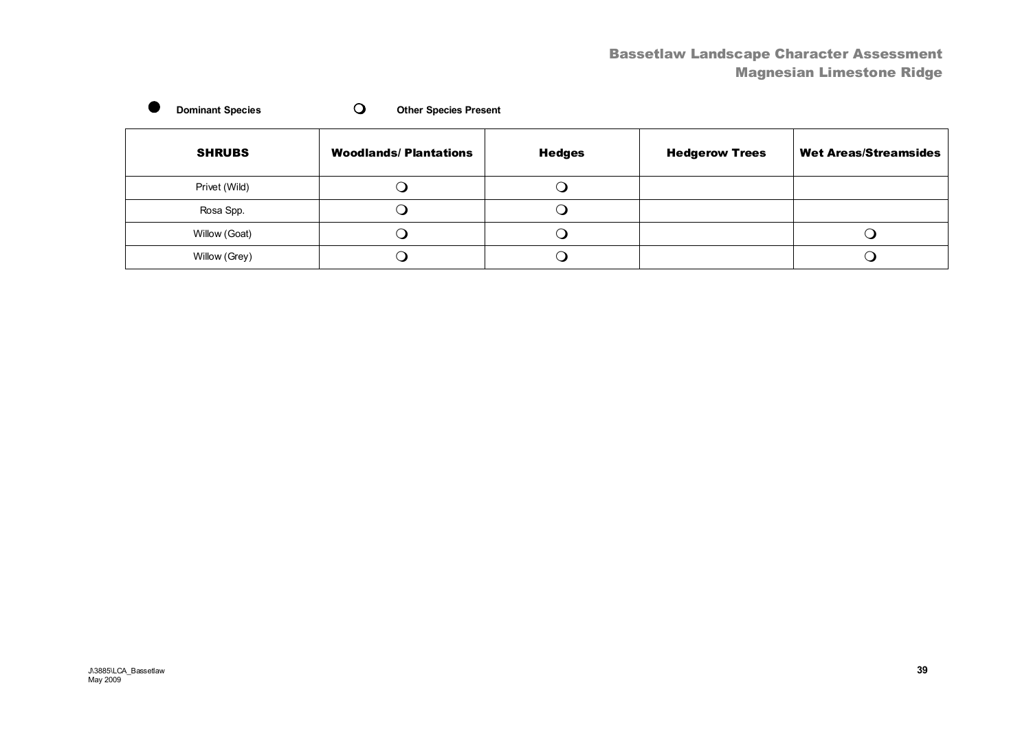# Bassetlaw Landscape Character Assessment Magnesian Limestone Ridge

| <b>Dominant Species</b> | <b>Other Species Present</b> |               |                       |                              |
|-------------------------|------------------------------|---------------|-----------------------|------------------------------|
| <b>SHRUBS</b>           | <b>Woodlands/Plantations</b> | <b>Hedges</b> | <b>Hedgerow Trees</b> | <b>Wet Areas/Streamsides</b> |
| Privet (Wild)           |                              |               |                       |                              |
| Rosa Spp.               |                              |               |                       |                              |
| Willow (Goat)           |                              |               |                       |                              |
| Willow (Grey)           |                              |               |                       |                              |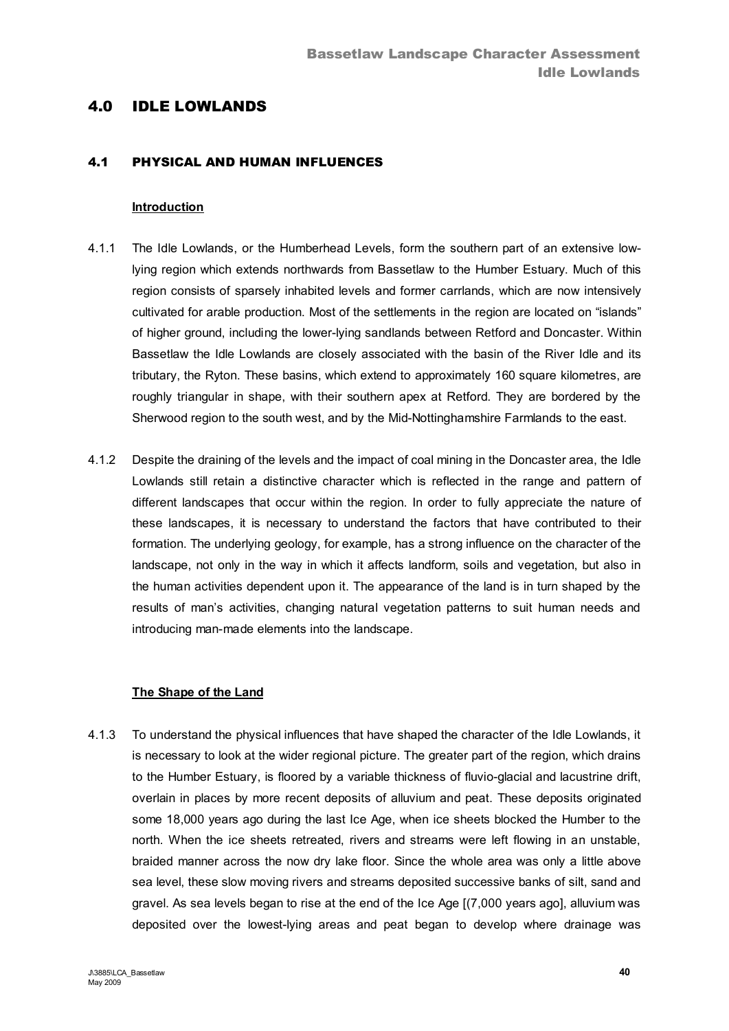# 4.0 IDLE LOWLANDS

### 4.1 PHYSICAL AND HUMAN INFLUENCES

#### **Introduction**

- 4.1.1 The Idle Lowlands, or the Humberhead Levels, form the southern part of an extensive lowlying region which extends northwards from Bassetlaw to the Humber Estuary. Much of this region consists of sparsely inhabited levels and former carrlands, which are now intensively cultivated for arable production. Most of the settlements in the region are located on "islands" of higher ground, including the lower-lying sandlands between Retford and Doncaster. Within Bassetlaw the Idle Lowlands are closely associated with the basin of the River Idle and its tributary, the Ryton. These basins, which extend to approximately 160 square kilometres, are roughly triangular in shape, with their southern apex at Retford. They are bordered by the Sherwood region to the south west, and by the Mid-Nottinghamshire Farmlands to the east.
- 4.1.2 Despite the draining of the levels and the impact of coal mining in the Doncaster area, the Idle Lowlands still retain a distinctive character which is reflected in the range and pattern of different landscapes that occur within the region. In order to fully appreciate the nature of these landscapes, it is necessary to understand the factors that have contributed to their formation. The underlying geology, for example, has a strong influence on the character of the landscape, not only in the way in which it affects landform, soils and vegetation, but also in the human activities dependent upon it. The appearance of the land is in turn shaped by the results of man's activities, changing natural vegetation patterns to suit human needs and introducing man-made elements into the landscape.

### **The Shape of the Land**

4.1.3 To understand the physical influences that have shaped the character of the Idle Lowlands, it is necessary to look at the wider regional picture. The greater part of the region, which drains to the Humber Estuary, is floored by a variable thickness of fluvio-glacial and lacustrine drift, overlain in places by more recent deposits of alluvium and peat. These deposits originated some 18,000 years ago during the last Ice Age, when ice sheets blocked the Humber to the north. When the ice sheets retreated, rivers and streams were left flowing in an unstable, braided manner across the now dry lake floor. Since the whole area was only a little above sea level, these slow moving rivers and streams deposited successive banks of silt, sand and gravel. As sea levels began to rise at the end of the Ice Age [(7,000 years ago], alluvium was deposited over the lowest-lying areas and peat began to develop where drainage was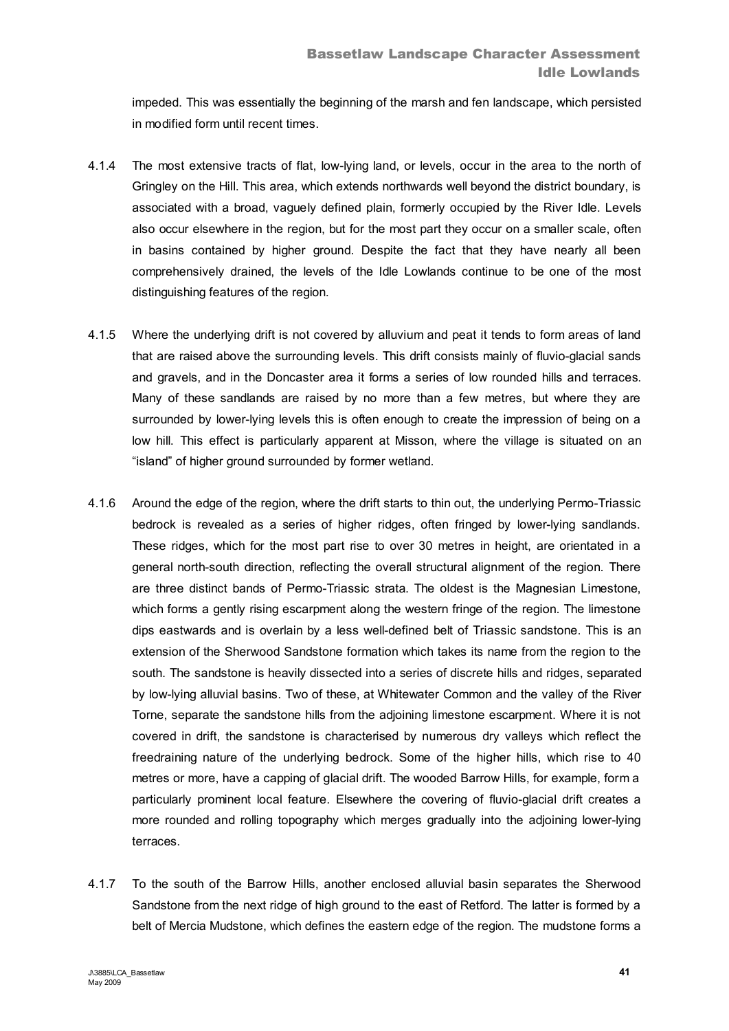impeded. This was essentially the beginning of the marsh and fen landscape, which persisted in modified form until recent times.

- 4.1.4 The most extensive tracts of flat, low-lying land, or levels, occur in the area to the north of Gringley on the Hill. This area, which extends northwards well beyond the district boundary, is associated with a broad, vaguely defined plain, formerly occupied by the River Idle. Levels also occur elsewhere in the region, but for the most part they occur on a smaller scale, often in basins contained by higher ground. Despite the fact that they have nearly all been comprehensively drained, the levels of the Idle Lowlands continue to be one of the most distinguishing features of the region.
- 4.1.5 Where the underlying drift is not covered by alluvium and peat it tends to form areas of land that are raised above the surrounding levels. This drift consists mainly of fluvio-glacial sands and gravels, and in the Doncaster area it forms a series of low rounded hills and terraces. Many of these sandlands are raised by no more than a few metres, but where they are surrounded by lower-lying levels this is often enough to create the impression of being on a low hill. This effect is particularly apparent at Misson, where the village is situated on an "island" of higher ground surrounded by former wetland.
- 4.1.6 Around the edge of the region, where the drift starts to thin out, the underlying Permo-Triassic bedrock is revealed as a series of higher ridges, often fringed by lower-lying sandlands. These ridges, which for the most part rise to over 30 metres in height, are orientated in a general north-south direction, reflecting the overall structural alignment of the region. There are three distinct bands of Permo-Triassic strata. The oldest is the Magnesian Limestone, which forms a gently rising escarpment along the western fringe of the region. The limestone dips eastwards and is overlain by a less well-defined belt of Triassic sandstone. This is an extension of the Sherwood Sandstone formation which takes its name from the region to the south. The sandstone is heavily dissected into a series of discrete hills and ridges, separated by low-lying alluvial basins. Two of these, at Whitewater Common and the valley of the River Torne, separate the sandstone hills from the adjoining limestone escarpment. Where it is not covered in drift, the sandstone is characterised by numerous dry valleys which reflect the freedraining nature of the underlying bedrock. Some of the higher hills, which rise to 40 metres or more, have a capping of glacial drift. The wooded Barrow Hills, for example, form a particularly prominent local feature. Elsewhere the covering of fluvio-glacial drift creates a more rounded and rolling topography which merges gradually into the adjoining lower-lying terraces.
- 4.1.7 To the south of the Barrow Hills, another enclosed alluvial basin separates the Sherwood Sandstone from the next ridge of high ground to the east of Retford. The latter is formed by a belt of Mercia Mudstone, which defines the eastern edge of the region. The mudstone forms a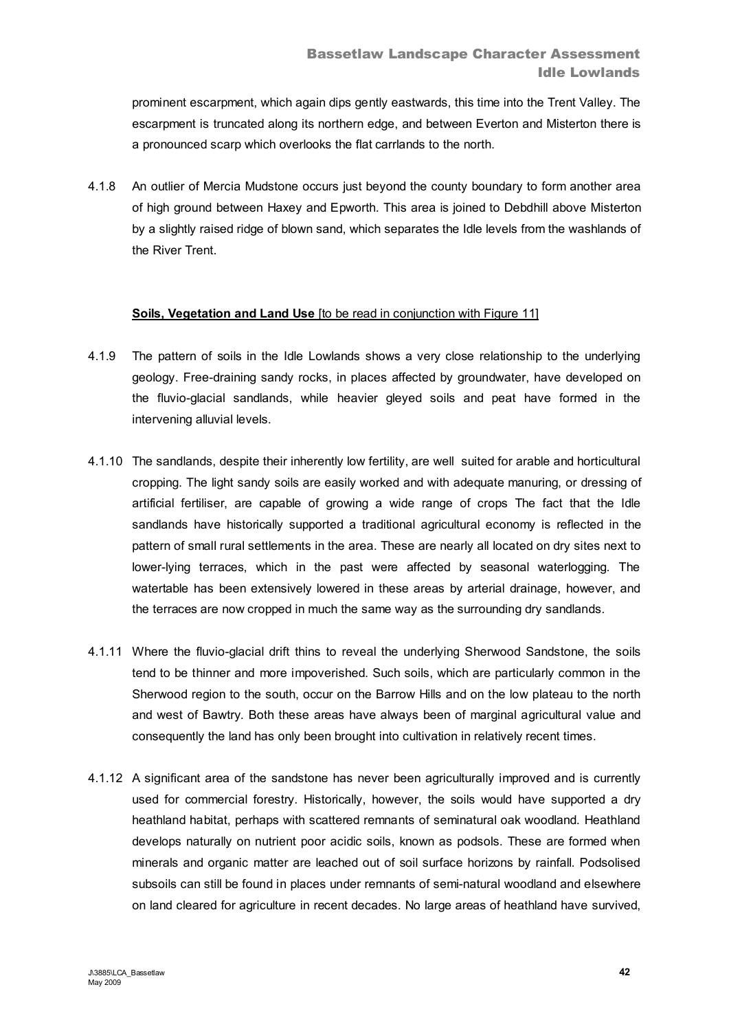prominent escarpment, which again dips gently eastwards, this time into the Trent Valley. The escarpment is truncated along its northern edge, and between Everton and Misterton there is a pronounced scarp which overlooks the flat carrlands to the north.

4.1.8 An outlier of Mercia Mudstone occurs just beyond the county boundary to form another area of high ground between Haxey and Epworth. This area is joined to Debdhill above Misterton by a slightly raised ridge of blown sand, which separates the Idle levels from the washlands of the River Trent.

### **Soils, Vegetation and Land Use** Ito be read in conjunction with Figure 111

- 4.1.9 The pattern of soils in the Idle Lowlands shows a very close relationship to the underlying geology. Free-draining sandy rocks, in places affected by groundwater, have developed on the fluvio-glacial sandlands, while heavier gleyed soils and peat have formed in the intervening alluvial levels.
- 4.1.10 The sandlands, despite their inherently low fertility, are well suited for arable and horticultural cropping. The light sandy soils are easily worked and with adequate manuring, or dressing of artificial fertiliser, are capable of growing a wide range of crops The fact that the Idle sandlands have historically supported a traditional agricultural economy is reflected in the pattern of small rural settlements in the area. These are nearly all located on dry sites next to lower-lying terraces, which in the past were affected by seasonal waterlogging. The watertable has been extensively lowered in these areas by arterial drainage, however, and the terraces are now cropped in much the same way as the surrounding dry sandlands.
- 4.1.11 Where the fluvio-glacial drift thins to reveal the underlying Sherwood Sandstone, the soils tend to be thinner and more impoverished. Such soils, which are particularly common in the Sherwood region to the south, occur on the Barrow Hills and on the low plateau to the north and west of Bawtry. Both these areas have always been of marginal agricultural value and consequently the land has only been brought into cultivation in relatively recent times.
- 4.1.12 A significant area of the sandstone has never been agriculturally improved and is currently used for commercial forestry. Historically, however, the soils would have supported a dry heathland habitat, perhaps with scattered remnants of seminatural oak woodland. Heathland develops naturally on nutrient poor acidic soils, known as podsols. These are formed when minerals and organic matter are leached out of soil surface horizons by rainfall. Podsolised subsoils can still be found in places under remnants of semi-natural woodland and elsewhere on land cleared for agriculture in recent decades. No large areas of heathland have survived,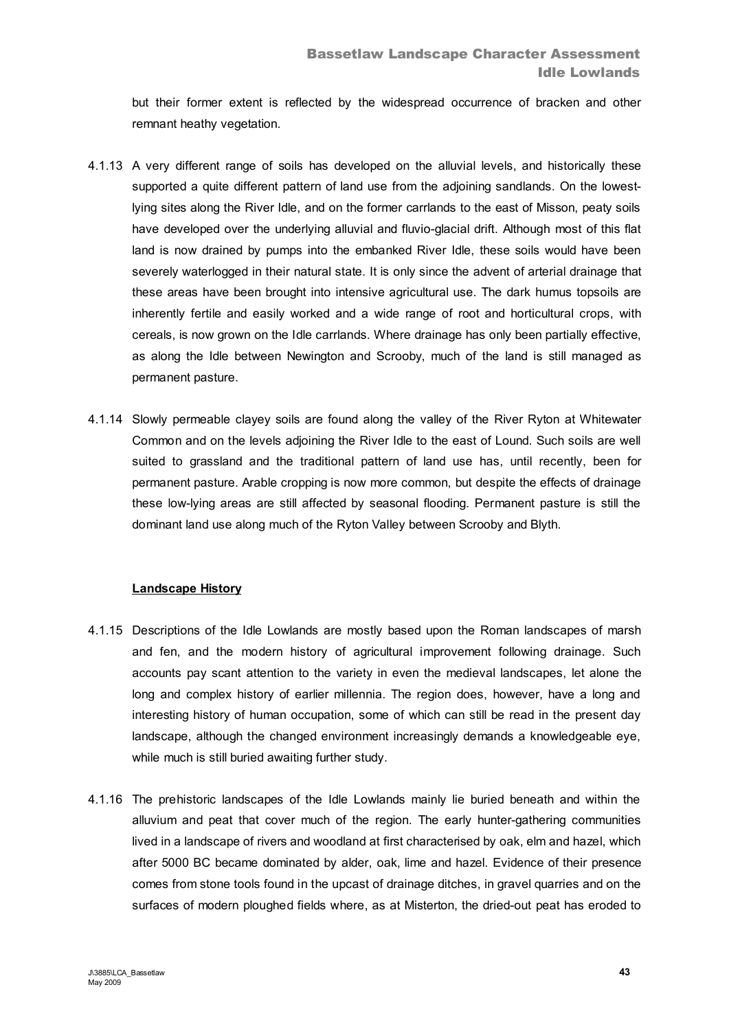but their former extent is reflected by the widespread occurrence of bracken and other remnant heathy vegetation.

- 4.1.13 A very different range of soils has developed on the alluvial levels, and historically these supported a quite different pattern of land use from the adjoining sandlands. On the lowestlying sites along the River Idle, and on the former carrlands to the east of Misson, peaty soils have developed over the underlying alluvial and fluvio-glacial drift. Although most of this flat land is now drained by pumps into the embanked River Idle, these soils would have been severely waterlogged in their natural state. It is only since the advent of arterial drainage that these areas have been brought into intensive agricultural use. The dark humus topsoils are inherently fertile and easily worked and a wide range of root and horticultural crops, with cereals, is now grown on the Idle carrlands. Where drainage has only been partially effective, as along the Idle between Newington and Scrooby, much of the land is still managed as permanent pasture.
- 4.1.14 Slowly permeable clayey soils are found along the valley of the River Ryton at Whitewater Common and on the levels adjoining the River Idle to the east of Lound. Such soils are well suited to grassland and the traditional pattern of land use has, until recently, been for permanent pasture. Arable cropping is now more common, but despite the effects of drainage these low-lying areas are still affected by seasonal flooding. Permanent pasture is still the dominant land use along much of the Ryton Valley between Scrooby and Blyth.

# **Landscape History**

- 4.1.15 Descriptions of the Idle Lowlands are mostly based upon the Roman landscapes of marsh and fen, and the modern history of agricultural improvement following drainage. Such accounts pay scant attention to the variety in even the medieval landscapes, let alone the long and complex history of earlier millennia. The region does, however, have a long and interesting history of human occupation, some of which can still be read in the present day landscape, although the changed environment increasingly demands a knowledgeable eye, while much is still buried awaiting further study.
- 4.1.16 The prehistoric landscapes of the Idle Lowlands mainly lie buried beneath and within the alluvium and peat that cover much of the region. The early hunter-gathering communities lived in a landscape of rivers and woodland at first characterised by oak, elm and hazel, which after 5000 BC became dominated by alder, oak, lime and hazel. Evidence of their presence comes from stone tools found in the upcast of drainage ditches, in gravel quarries and on the surfaces of modern ploughed fields where, as at Misterton, the dried-out peat has eroded to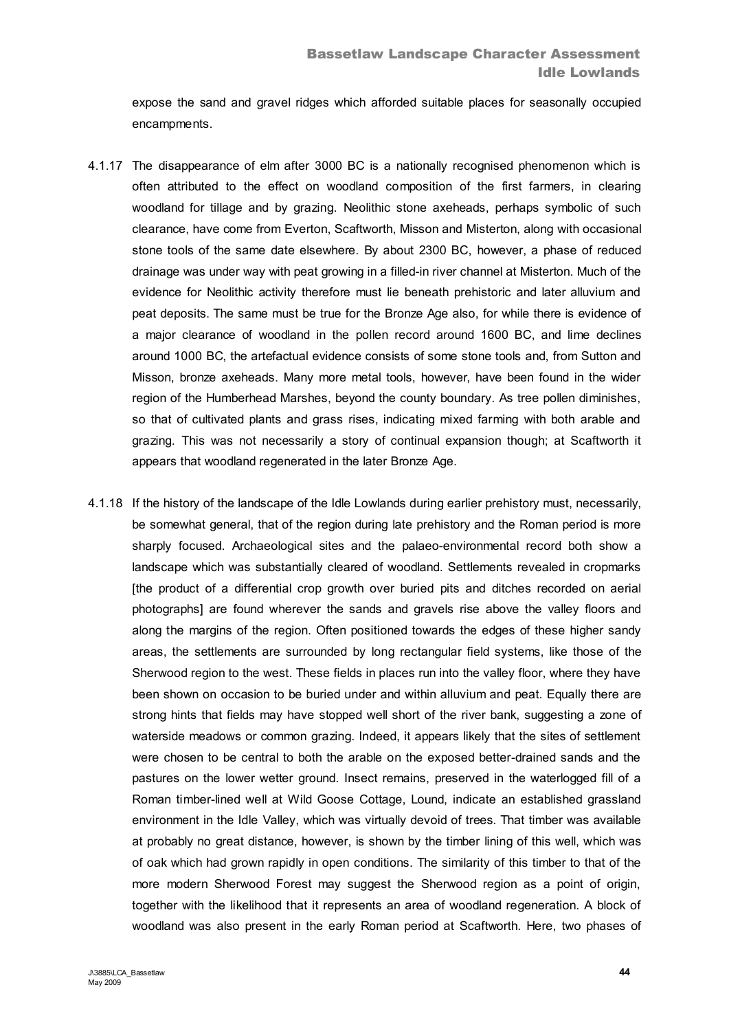expose the sand and gravel ridges which afforded suitable places for seasonally occupied encampments.

- 4.1.17 The disappearance of elm after 3000 BC is a nationally recognised phenomenon which is often attributed to the effect on woodland composition of the first farmers, in clearing woodland for tillage and by grazing. Neolithic stone axeheads, perhaps symbolic of such clearance, have come from Everton, Scaftworth, Misson and Misterton, along with occasional stone tools of the same date elsewhere. By about 2300 BC, however, a phase of reduced drainage was under way with peat growing in a filled-in river channel at Misterton. Much of the evidence for Neolithic activity therefore must lie beneath prehistoric and later alluvium and peat deposits. The same must be true for the Bronze Age also, for while there is evidence of a major clearance of woodland in the pollen record around 1600 BC, and lime declines around 1000 BC, the artefactual evidence consists of some stone tools and, from Sutton and Misson, bronze axeheads. Many more metal tools, however, have been found in the wider region of the Humberhead Marshes, beyond the county boundary. As tree pollen diminishes, so that of cultivated plants and grass rises, indicating mixed farming with both arable and grazing. This was not necessarily a story of continual expansion though; at Scaftworth it appears that woodland regenerated in the later Bronze Age.
- 4.1.18 If the history of the landscape of the Idle Lowlands during earlier prehistory must, necessarily, be somewhat general, that of the region during late prehistory and the Roman period is more sharply focused. Archaeological sites and the palaeo-environmental record both show a landscape which was substantially cleared of woodland. Settlements revealed in cropmarks [the product of a differential crop growth over buried pits and ditches recorded on aerial photographs] are found wherever the sands and gravels rise above the valley floors and along the margins of the region. Often positioned towards the edges of these higher sandy areas, the settlements are surrounded by long rectangular field systems, like those of the Sherwood region to the west. These fields in places run into the valley floor, where they have been shown on occasion to be buried under and within alluvium and peat. Equally there are strong hints that fields may have stopped well short of the river bank, suggesting a zone of waterside meadows or common grazing. Indeed, it appears likely that the sites of settlement were chosen to be central to both the arable on the exposed better-drained sands and the pastures on the lower wetter ground. Insect remains, preserved in the waterlogged fill of a Roman timber-lined well at Wild Goose Cottage, Lound, indicate an established grassland environment in the Idle Valley, which was virtually devoid of trees. That timber was available at probably no great distance, however, is shown by the timber lining of this well, which was of oak which had grown rapidly in open conditions. The similarity of this timber to that of the more modern Sherwood Forest may suggest the Sherwood region as a point of origin, together with the likelihood that it represents an area of woodland regeneration. A block of woodland was also present in the early Roman period at Scaftworth. Here, two phases of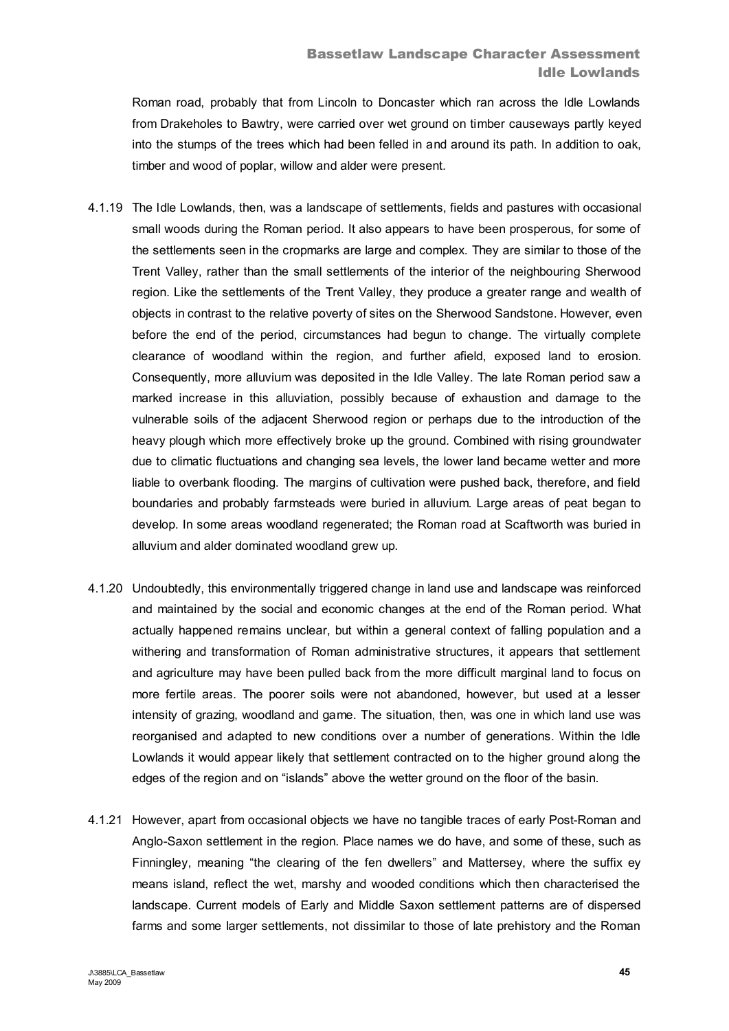Roman road, probably that from Lincoln to Doncaster which ran across the Idle Lowlands from Drakeholes to Bawtry, were carried over wet ground on timber causeways partly keyed into the stumps of the trees which had been felled in and around its path. In addition to oak, timber and wood of poplar, willow and alder were present.

- 4.1.19 The Idle Lowlands, then, was a landscape of settlements, fields and pastures with occasional small woods during the Roman period. It also appears to have been prosperous, for some of the settlements seen in the cropmarks are large and complex. They are similar to those of the Trent Valley, rather than the small settlements of the interior of the neighbouring Sherwood region. Like the settlements of the Trent Valley, they produce a greater range and wealth of objects in contrast to the relative poverty of sites on the Sherwood Sandstone. However, even before the end of the period, circumstances had begun to change. The virtually complete clearance of woodland within the region, and further afield, exposed land to erosion. Consequently, more alluvium was deposited in the Idle Valley. The late Roman period saw a marked increase in this alluviation, possibly because of exhaustion and damage to the vulnerable soils of the adjacent Sherwood region or perhaps due to the introduction of the heavy plough which more effectively broke up the ground. Combined with rising groundwater due to climatic fluctuations and changing sea levels, the lower land became wetter and more liable to overbank flooding. The margins of cultivation were pushed back, therefore, and field boundaries and probably farmsteads were buried in alluvium. Large areas of peat began to develop. In some areas woodland regenerated; the Roman road at Scaftworth was buried in alluvium and alder dominated woodland grew up.
- 4.1.20 Undoubtedly, this environmentally triggered change in land use and landscape was reinforced and maintained by the social and economic changes at the end of the Roman period. What actually happened remains unclear, but within a general context of falling population and a withering and transformation of Roman administrative structures, it appears that settlement and agriculture may have been pulled back from the more difficult marginal land to focus on more fertile areas. The poorer soils were not abandoned, however, but used at a lesser intensity of grazing, woodland and game. The situation, then, was one in which land use was reorganised and adapted to new conditions over a number of generations. Within the Idle Lowlands it would appear likely that settlement contracted on to the higher ground along the edges of the region and on "islands" above the wetter ground on the floor of the basin.
- 4.1.21 However, apart from occasional objects we have no tangible traces of early Post-Roman and Anglo-Saxon settlement in the region. Place names we do have, and some of these, such as Finningley, meaning "the clearing of the fen dwellers" and Mattersey, where the suffix ey means island, reflect the wet, marshy and wooded conditions which then characterised the landscape. Current models of Early and Middle Saxon settlement patterns are of dispersed farms and some larger settlements, not dissimilar to those of late prehistory and the Roman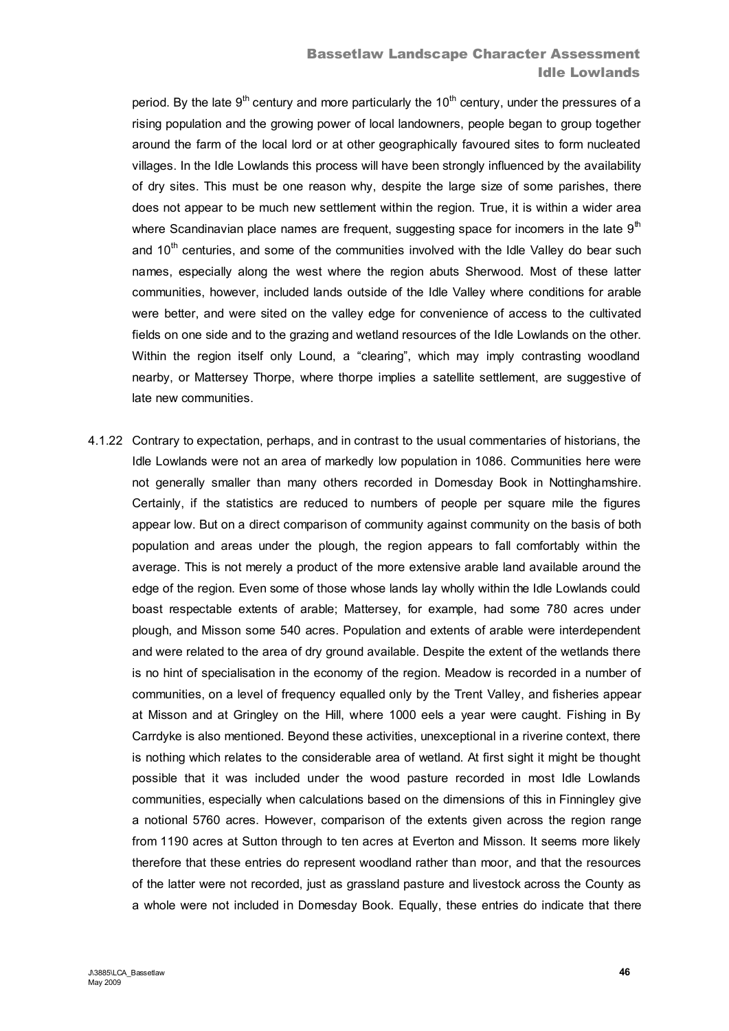# Bassetlaw Landscape Character Assessment Idle Lowlands

period. By the late  $9<sup>th</sup>$  century and more particularly the  $10<sup>th</sup>$  century, under the pressures of a rising population and the growing power of local landowners, people began to group together around the farm of the local lord or at other geographically favoured sites to form nucleated villages. In the Idle Lowlands this process will have been strongly influenced by the availability of dry sites. This must be one reason why, despite the large size of some parishes, there does not appear to be much new settlement within the region. True, it is within a wider area where Scandinavian place names are frequent, suggesting space for incomers in the late  $9<sup>th</sup>$ and 10<sup>th</sup> centuries, and some of the communities involved with the Idle Valley do bear such names, especially along the west where the region abuts Sherwood. Most of these latter communities, however, included lands outside of the Idle Valley where conditions for arable were better, and were sited on the valley edge for convenience of access to the cultivated fields on one side and to the grazing and wetland resources of the Idle Lowlands on the other. Within the region itself only Lound, a "clearing", which may imply contrasting woodland nearby, or Mattersey Thorpe, where thorpe implies a satellite settlement, are suggestive of late new communities.

4.1.22 Contrary to expectation, perhaps, and in contrast to the usual commentaries of historians, the Idle Lowlands were not an area of markedly low population in 1086. Communities here were not generally smaller than many others recorded in Domesday Book in Nottinghamshire. Certainly, if the statistics are reduced to numbers of people per square mile the figures appear low. But on a direct comparison of community against community on the basis of both population and areas under the plough, the region appears to fall comfortably within the average. This is not merely a product of the more extensive arable land available around the edge of the region. Even some of those whose lands lay wholly within the Idle Lowlands could boast respectable extents of arable; Mattersey, for example, had some 780 acres under plough, and Misson some 540 acres. Population and extents of arable were interdependent and were related to the area of dry ground available. Despite the extent of the wetlands there is no hint of specialisation in the economy of the region. Meadow is recorded in a number of communities, on a level of frequency equalled only by the Trent Valley, and fisheries appear at Misson and at Gringley on the Hill, where 1000 eels a year were caught. Fishing in By Carrdyke is also mentioned. Beyond these activities, unexceptional in a riverine context, there is nothing which relates to the considerable area of wetland. At first sight it might be thought possible that it was included under the wood pasture recorded in most Idle Lowlands communities, especially when calculations based on the dimensions of this in Finningley give a notional 5760 acres. However, comparison of the extents given across the region range from 1190 acres at Sutton through to ten acres at Everton and Misson. It seems more likely therefore that these entries do represent woodland rather than moor, and that the resources of the latter were not recorded, just as grassland pasture and livestock across the County as a whole were not included in Domesday Book. Equally, these entries do indicate that there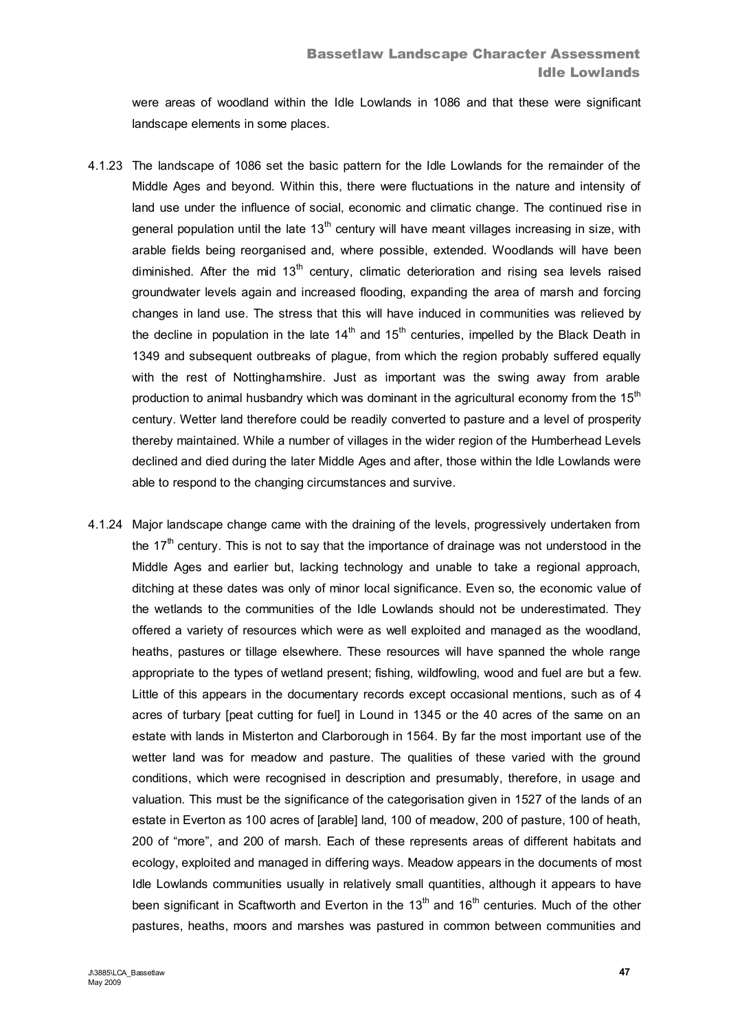were areas of woodland within the Idle Lowlands in 1086 and that these were significant landscape elements in some places.

- 4.1.23 The landscape of 1086 set the basic pattern for the Idle Lowlands for the remainder of the Middle Ages and beyond. Within this, there were fluctuations in the nature and intensity of land use under the influence of social, economic and climatic change. The continued rise in general population until the late  $13<sup>th</sup>$  century will have meant villages increasing in size, with arable fields being reorganised and, where possible, extended. Woodlands will have been diminished. After the mid  $13<sup>th</sup>$  century, climatic deterioration and rising sea levels raised groundwater levels again and increased flooding, expanding the area of marsh and forcing changes in land use. The stress that this will have induced in communities was relieved by the decline in population in the late  $14<sup>th</sup>$  and  $15<sup>th</sup>$  centuries, impelled by the Black Death in 1349 and subsequent outbreaks of plague, from which the region probably suffered equally with the rest of Nottinghamshire. Just as important was the swing away from arable production to animal husbandry which was dominant in the agricultural economy from the 15<sup>th</sup> century. Wetter land therefore could be readily converted to pasture and a level of prosperity thereby maintained. While a number of villages in the wider region of the Humberhead Levels declined and died during the later Middle Ages and after, those within the Idle Lowlands were able to respond to the changing circumstances and survive.
- 4.1.24 Major landscape change came with the draining of the levels, progressively undertaken from the 17<sup>th</sup> century. This is not to say that the importance of drainage was not understood in the Middle Ages and earlier but, lacking technology and unable to take a regional approach, ditching at these dates was only of minor local significance. Even so, the economic value of the wetlands to the communities of the Idle Lowlands should not be underestimated. They offered a variety of resources which were as well exploited and managed as the woodland, heaths, pastures or tillage elsewhere. These resources will have spanned the whole range appropriate to the types of wetland present; fishing, wildfowling, wood and fuel are but a few. Little of this appears in the documentary records except occasional mentions, such as of 4 acres of turbary [peat cutting for fuel] in Lound in 1345 or the 40 acres of the same on an estate with lands in Misterton and Clarborough in 1564. By far the most important use of the wetter land was for meadow and pasture. The qualities of these varied with the ground conditions, which were recognised in description and presumably, therefore, in usage and valuation. This must be the significance of the categorisation given in 1527 of the lands of an estate in Everton as 100 acres of [arable] land, 100 of meadow, 200 of pasture, 100 of heath, 200 of "more", and 200 of marsh. Each of these represents areas of different habitats and ecology, exploited and managed in differing ways. Meadow appears in the documents of most Idle Lowlands communities usually in relatively small quantities, although it appears to have been significant in Scaftworth and Everton in the  $13<sup>th</sup>$  and  $16<sup>th</sup>$  centuries. Much of the other pastures, heaths, moors and marshes was pastured in common between communities and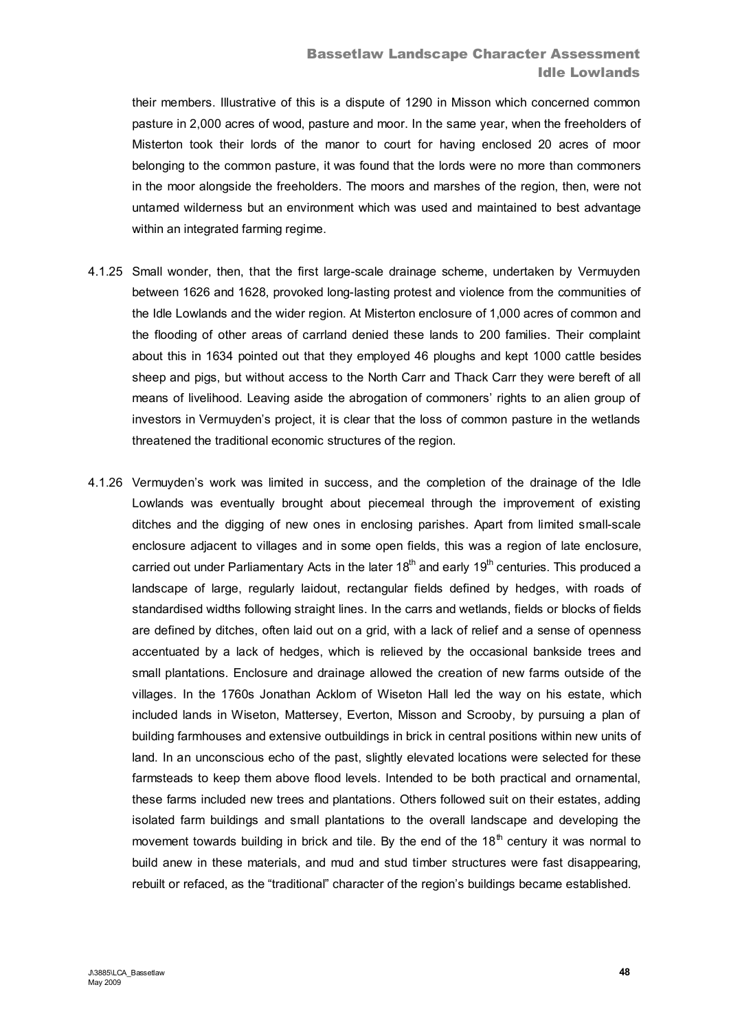# Bassetlaw Landscape Character Assessment Idle Lowlands

their members. Illustrative of this is a dispute of 1290 in Misson which concerned common pasture in 2,000 acres of wood, pasture and moor. In the same year, when the freeholders of Misterton took their lords of the manor to court for having enclosed 20 acres of moor belonging to the common pasture, it was found that the lords were no more than commoners in the moor alongside the freeholders. The moors and marshes of the region, then, were not untamed wilderness but an environment which was used and maintained to best advantage within an integrated farming regime.

- 4.1.25 Small wonder, then, that the first large-scale drainage scheme, undertaken by Vermuyden between 1626 and 1628, provoked long-lasting protest and violence from the communities of the Idle Lowlands and the wider region. At Misterton enclosure of 1,000 acres of common and the flooding of other areas of carrland denied these lands to 200 families. Their complaint about this in 1634 pointed out that they employed 46 ploughs and kept 1000 cattle besides sheep and pigs, but without access to the North Carr and Thack Carr they were bereft of all means of livelihood. Leaving aside the abrogation of commoners' rights to an alien group of investors in Vermuyden's project, it is clear that the loss of common pasture in the wetlands threatened the traditional economic structures of the region.
- 4.1.26 Vermuyden's work was limited in success, and the completion of the drainage of the Idle Lowlands was eventually brought about piecemeal through the improvement of existing ditches and the digging of new ones in enclosing parishes. Apart from limited small-scale enclosure adjacent to villages and in some open fields, this was a region of late enclosure, carried out under Parliamentary Acts in the later  $18<sup>th</sup>$  and early  $19<sup>th</sup>$  centuries. This produced a landscape of large, regularly laidout, rectangular fields defined by hedges, with roads of standardised widths following straight lines. In the carrs and wetlands, fields or blocks of fields are defined by ditches, often laid out on a grid, with a lack of relief and a sense of openness accentuated by a lack of hedges, which is relieved by the occasional bankside trees and small plantations. Enclosure and drainage allowed the creation of new farms outside of the villages. In the 1760s Jonathan Acklom of Wiseton Hall led the way on his estate, which included lands in Wiseton, Mattersey, Everton, Misson and Scrooby, by pursuing a plan of building farmhouses and extensive outbuildings in brick in central positions within new units of land. In an unconscious echo of the past, slightly elevated locations were selected for these farmsteads to keep them above flood levels. Intended to be both practical and ornamental, these farms included new trees and plantations. Others followed suit on their estates, adding isolated farm buildings and small plantations to the overall landscape and developing the movement towards building in brick and tile. By the end of the 18<sup>th</sup> century it was normal to build anew in these materials, and mud and stud timber structures were fast disappearing, rebuilt or refaced, as the "traditional" character of the region's buildings became established.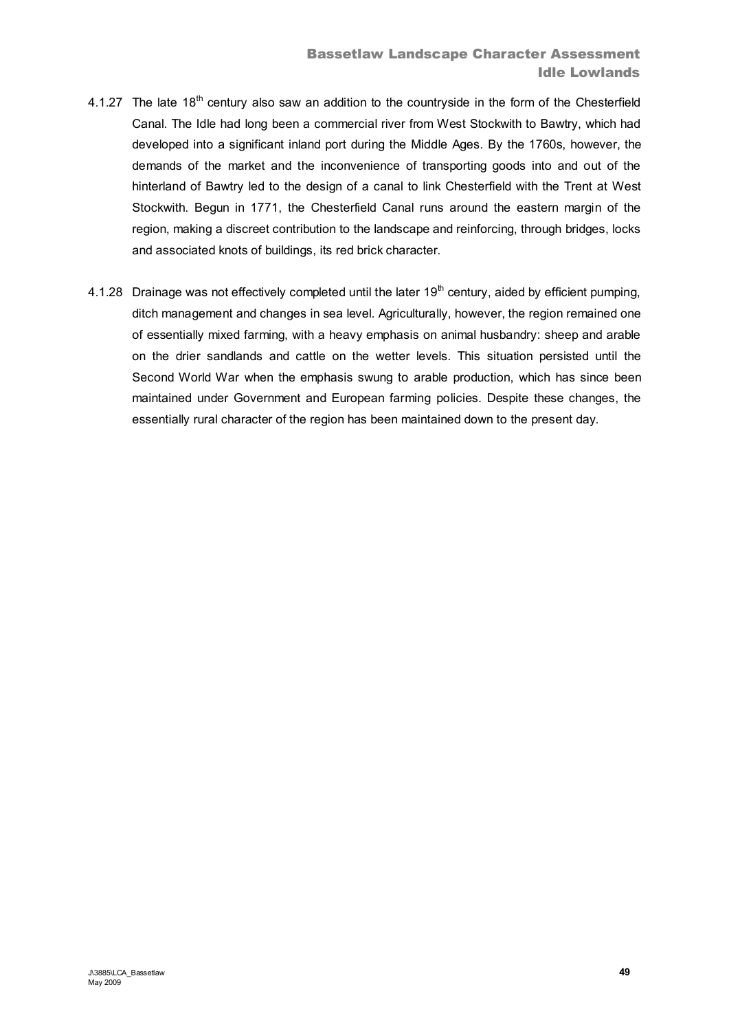- 4.1.27 The late  $18<sup>th</sup>$  century also saw an addition to the countryside in the form of the Chesterfield Canal. The Idle had long been a commercial river from West Stockwith to Bawtry, which had developed into a significant inland port during the Middle Ages. By the 1760s, however, the demands of the market and the inconvenience of transporting goods into and out of the hinterland of Bawtry led to the design of a canal to link Chesterfield with the Trent at West Stockwith. Begun in 1771, the Chesterfield Canal runs around the eastern margin of the region, making a discreet contribution to the landscape and reinforcing, through bridges, locks and associated knots of buildings, its red brick character.
- 4.1.28 Drainage was not effectively completed until the later  $19<sup>th</sup>$  century, aided by efficient pumping, ditch management and changes in sea level. Agriculturally, however, the region remained one of essentially mixed farming, with a heavy emphasis on animal husbandry: sheep and arable on the drier sandlands and cattle on the wetter levels. This situation persisted until the Second World War when the emphasis swung to arable production, which has since been maintained under Government and European farming policies. Despite these changes, the essentially rural character of the region has been maintained down to the present day.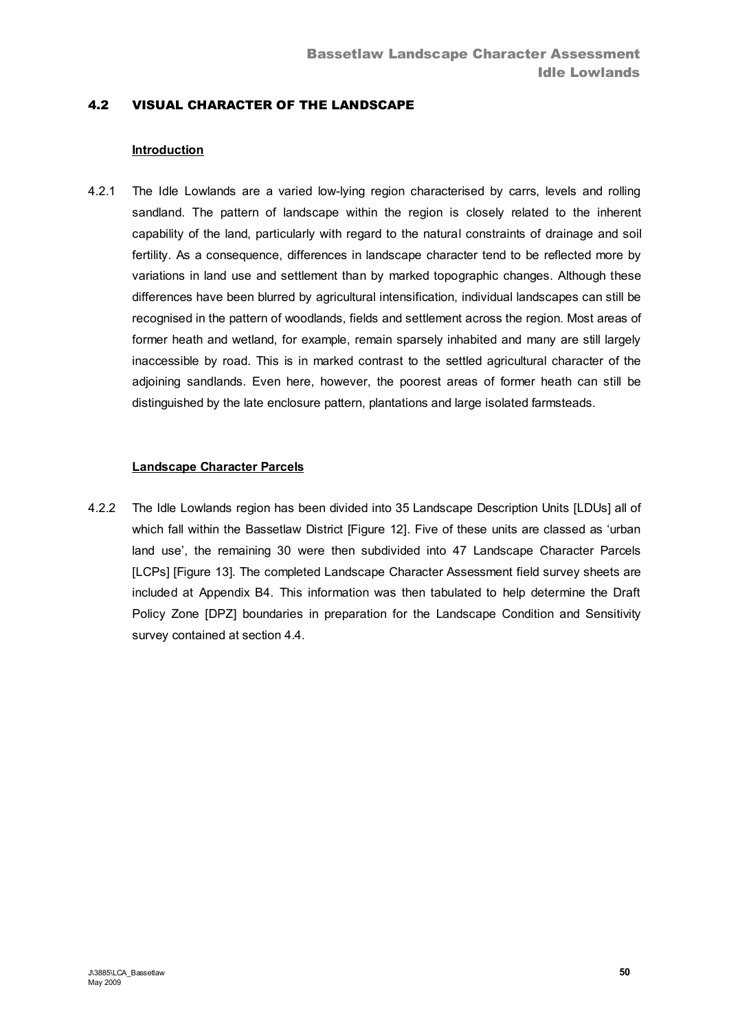# 4.2 VISUAL CHARACTER OF THE LANDSCAPE

### **Introduction**

4.2.1 The Idle Lowlands are a varied low-lying region characterised by carrs, levels and rolling sandland. The pattern of landscape within the region is closely related to the inherent capability of the land, particularly with regard to the natural constraints of drainage and soil fertility. As a consequence, differences in landscape character tend to be reflected more by variations in land use and settlement than by marked topographic changes. Although these differences have been blurred by agricultural intensification, individual landscapes can still be recognised in the pattern of woodlands, fields and settlement across the region. Most areas of former heath and wetland, for example, remain sparsely inhabited and many are still largely inaccessible by road. This is in marked contrast to the settled agricultural character of the adjoining sandlands. Even here, however, the poorest areas of former heath can still be distinguished by the late enclosure pattern, plantations and large isolated farmsteads.

#### **Landscape Character Parcels**

4.2.2 The Idle Lowlands region has been divided into 35 Landscape Description Units [LDUs] all of which fall within the Bassetlaw District [Figure 12]. Five of these units are classed as 'urban land use', the remaining 30 were then subdivided into 47 Landscape Character Parcels [LCPs] [Figure 13]. The completed Landscape Character Assessment field survey sheets are included at Appendix B4. This information was then tabulated to help determine the Draft Policy Zone [DPZ] boundaries in preparation for the Landscape Condition and Sensitivity survey contained at section 4.4.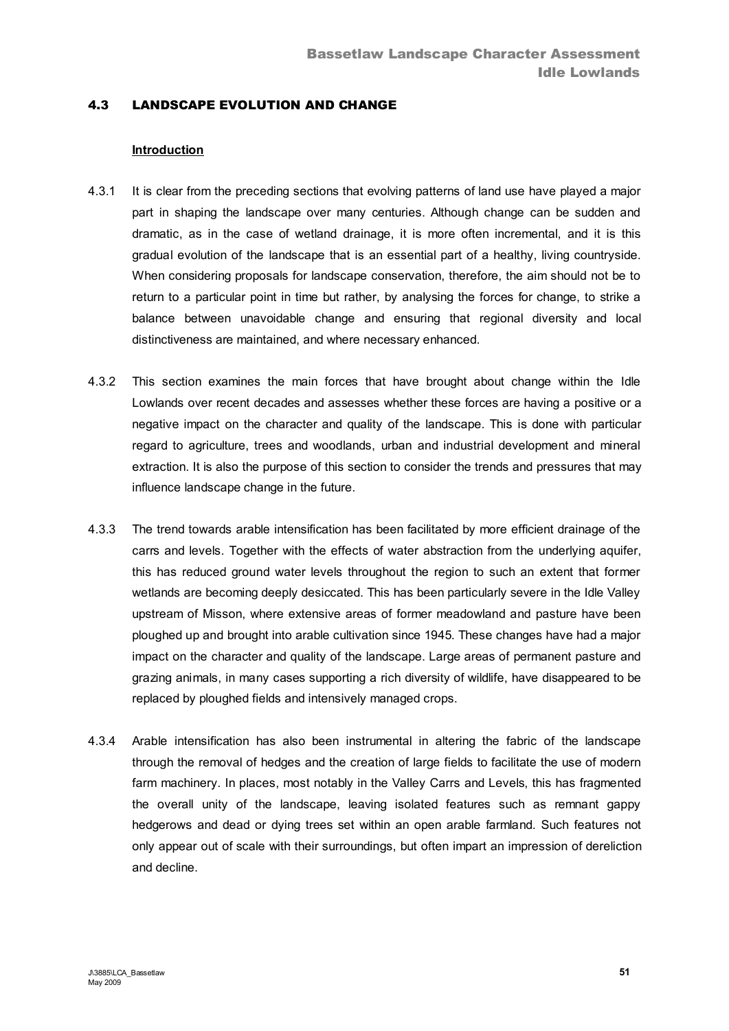## 4.3 LANDSCAPE EVOLUTION AND CHANGE

#### **Introduction**

- 4.3.1 It is clear from the preceding sections that evolving patterns of land use have played a major part in shaping the landscape over many centuries. Although change can be sudden and dramatic, as in the case of wetland drainage, it is more often incremental, and it is this gradual evolution of the landscape that is an essential part of a healthy, living countryside. When considering proposals for landscape conservation, therefore, the aim should not be to return to a particular point in time but rather, by analysing the forces for change, to strike a balance between unavoidable change and ensuring that regional diversity and local distinctiveness are maintained, and where necessary enhanced.
- 4.3.2 This section examines the main forces that have brought about change within the Idle Lowlands over recent decades and assesses whether these forces are having a positive or a negative impact on the character and quality of the landscape. This is done with particular regard to agriculture, trees and woodlands, urban and industrial development and mineral extraction. It is also the purpose of this section to consider the trends and pressures that may influence landscape change in the future.
- 4.3.3 The trend towards arable intensification has been facilitated by more efficient drainage of the carrs and levels. Together with the effects of water abstraction from the underlying aquifer, this has reduced ground water levels throughout the region to such an extent that former wetlands are becoming deeply desiccated. This has been particularly severe in the Idle Valley upstream of Misson, where extensive areas of former meadowland and pasture have been ploughed up and brought into arable cultivation since 1945. These changes have had a major impact on the character and quality of the landscape. Large areas of permanent pasture and grazing animals, in many cases supporting a rich diversity of wildlife, have disappeared to be replaced by ploughed fields and intensively managed crops.
- 4.3.4 Arable intensification has also been instrumental in altering the fabric of the landscape through the removal of hedges and the creation of large fields to facilitate the use of modern farm machinery. In places, most notably in the Valley Carrs and Levels, this has fragmented the overall unity of the landscape, leaving isolated features such as remnant gappy hedgerows and dead or dying trees set within an open arable farmland. Such features not only appear out of scale with their surroundings, but often impart an impression of dereliction and decline.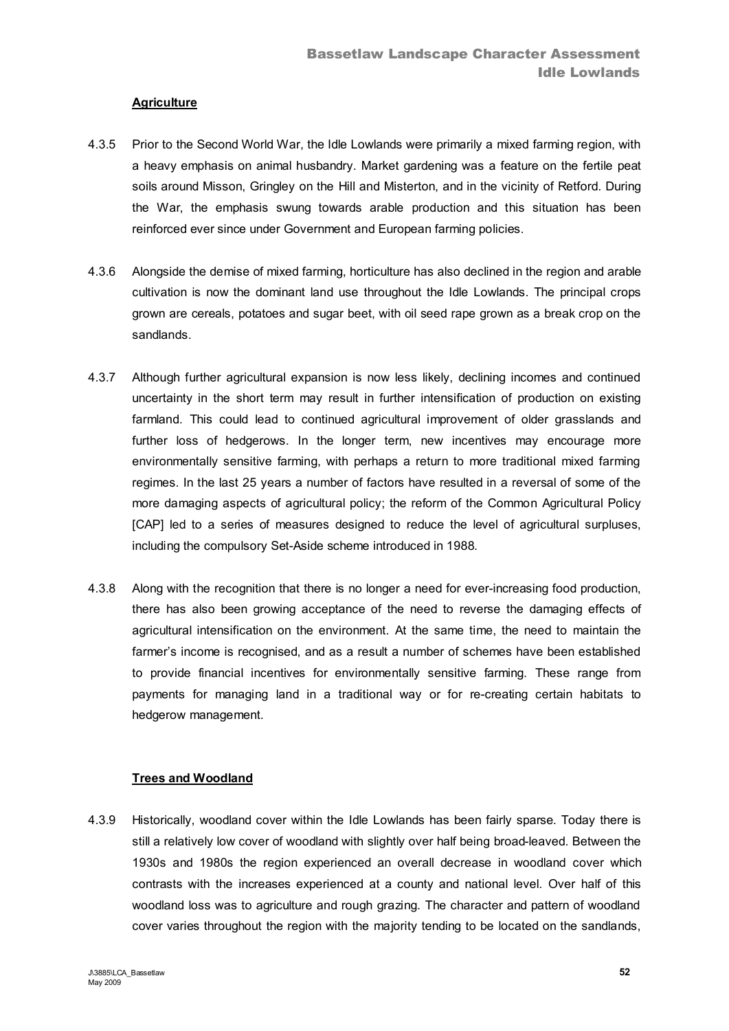### **Agriculture**

- 4.3.5 Prior to the Second World War, the Idle Lowlands were primarily a mixed farming region, with a heavy emphasis on animal husbandry. Market gardening was a feature on the fertile peat soils around Misson, Gringley on the Hill and Misterton, and in the vicinity of Retford. During the War, the emphasis swung towards arable production and this situation has been reinforced ever since under Government and European farming policies.
- 4.3.6 Alongside the demise of mixed farming, horticulture has also declined in the region and arable cultivation is now the dominant land use throughout the Idle Lowlands. The principal crops grown are cereals, potatoes and sugar beet, with oil seed rape grown as a break crop on the sandlands.
- 4.3.7 Although further agricultural expansion is now less likely, declining incomes and continued uncertainty in the short term may result in further intensification of production on existing farmland. This could lead to continued agricultural improvement of older grasslands and further loss of hedgerows. In the longer term, new incentives may encourage more environmentally sensitive farming, with perhaps a return to more traditional mixed farming regimes. In the last 25 years a number of factors have resulted in a reversal of some of the more damaging aspects of agricultural policy; the reform of the Common Agricultural Policy [CAP] led to a series of measures designed to reduce the level of agricultural surpluses, including the compulsory Set-Aside scheme introduced in 1988.
- 4.3.8 Along with the recognition that there is no longer a need for ever-increasing food production, there has also been growing acceptance of the need to reverse the damaging effects of agricultural intensification on the environment. At the same time, the need to maintain the farmer's income is recognised, and as a result a number of schemes have been established to provide financial incentives for environmentally sensitive farming. These range from payments for managing land in a traditional way or for re-creating certain habitats to hedgerow management.

### **Trees and Woodland**

4.3.9 Historically, woodland cover within the Idle Lowlands has been fairly sparse. Today there is still a relatively low cover of woodland with slightly over half being broad-leaved. Between the 1930s and 1980s the region experienced an overall decrease in woodland cover which contrasts with the increases experienced at a county and national level. Over half of this woodland loss was to agriculture and rough grazing. The character and pattern of woodland cover varies throughout the region with the majority tending to be located on the sandlands,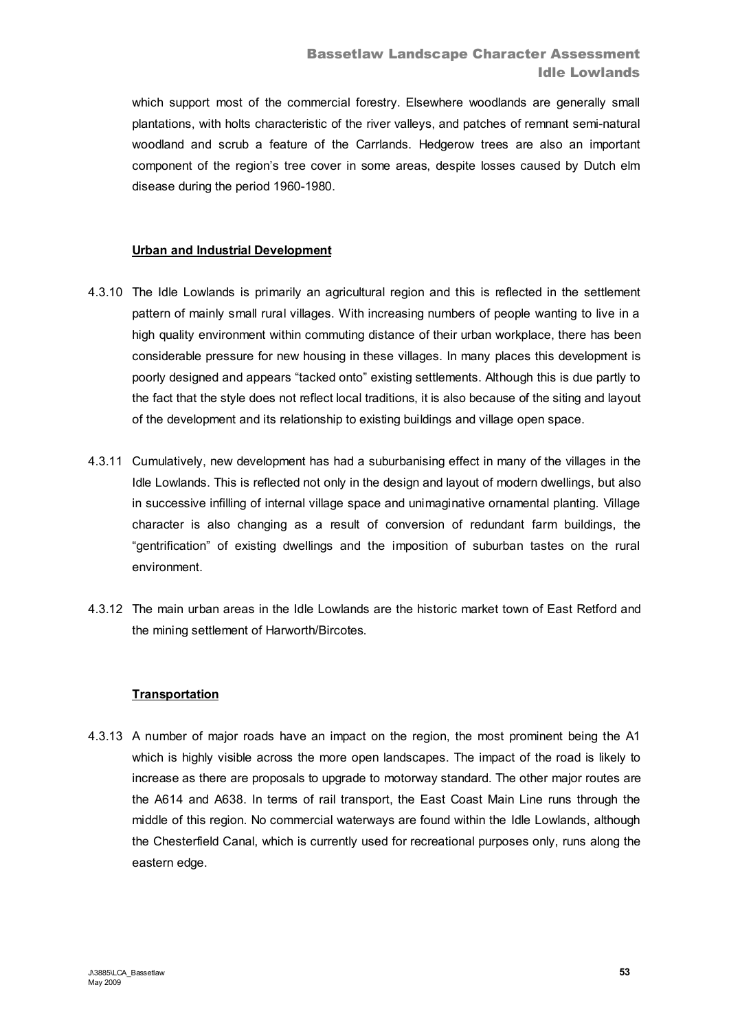which support most of the commercial forestry. Elsewhere woodlands are generally small plantations, with holts characteristic of the river valleys, and patches of remnant semi-natural woodland and scrub a feature of the Carrlands. Hedgerow trees are also an important component of the region's tree cover in some areas, despite losses caused by Dutch elm disease during the period 1960-1980.

### **Urban and Industrial Development**

- 4.3.10 The Idle Lowlands is primarily an agricultural region and this is reflected in the settlement pattern of mainly small rural villages. With increasing numbers of people wanting to live in a high quality environment within commuting distance of their urban workplace, there has been considerable pressure for new housing in these villages. In many places this development is poorly designed and appears "tacked onto" existing settlements. Although this is due partly to the fact that the style does not reflect local traditions, it is also because of the siting and layout of the development and its relationship to existing buildings and village open space.
- 4.3.11 Cumulatively, new development has had a suburbanising effect in many of the villages in the Idle Lowlands. This is reflected not only in the design and layout of modern dwellings, but also in successive infilling of internal village space and unimaginative ornamental planting. Village character is also changing as a result of conversion of redundant farm buildings, the "gentrification" of existing dwellings and the imposition of suburban tastes on the rural environment.
- 4.3.12 The main urban areas in the Idle Lowlands are the historic market town of East Retford and the mining settlement of Harworth/Bircotes.

### **Transportation**

4.3.13 A number of major roads have an impact on the region, the most prominent being the A1 which is highly visible across the more open landscapes. The impact of the road is likely to increase as there are proposals to upgrade to motorway standard. The other major routes are the A614 and A638. In terms of rail transport, the East Coast Main Line runs through the middle of this region. No commercial waterways are found within the Idle Lowlands, although the Chesterfield Canal, which is currently used for recreational purposes only, runs along the eastern edge.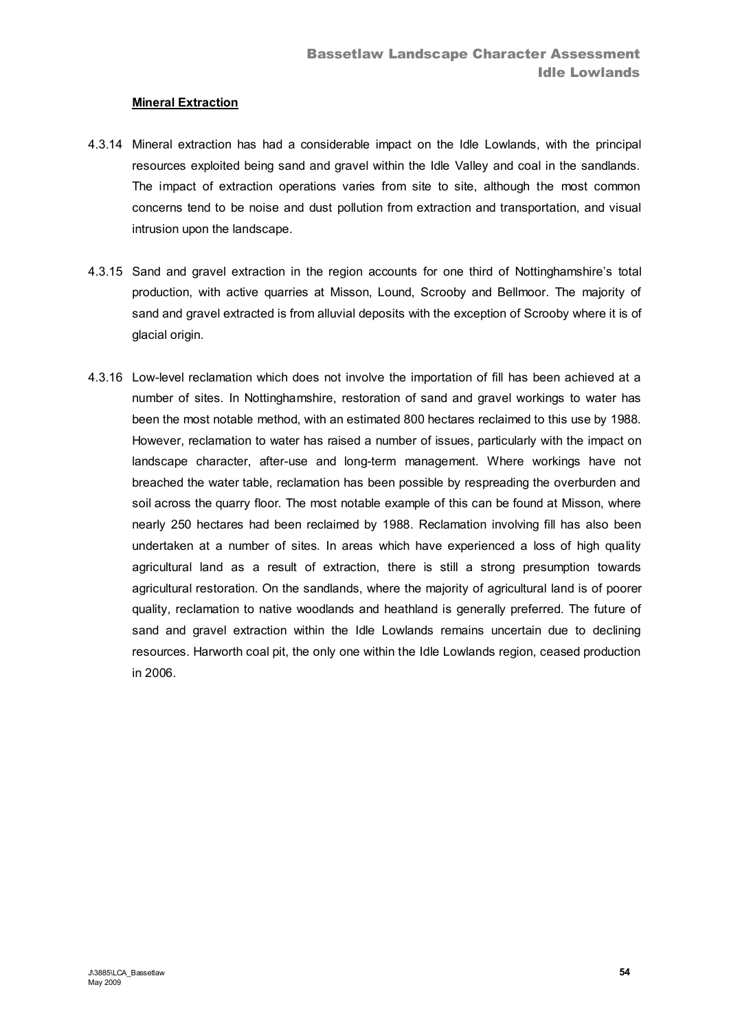### **Mineral Extraction**

- 4.3.14 Mineral extraction has had a considerable impact on the Idle Lowlands, with the principal resources exploited being sand and gravel within the Idle Valley and coal in the sandlands. The impact of extraction operations varies from site to site, although the most common concerns tend to be noise and dust pollution from extraction and transportation, and visual intrusion upon the landscape.
- 4.3.15 Sand and gravel extraction in the region accounts for one third of Nottinghamshire's total production, with active quarries at Misson, Lound, Scrooby and Bellmoor. The majority of sand and gravel extracted is from alluvial deposits with the exception of Scrooby where it is of glacial origin.
- 4.3.16 Low-level reclamation which does not involve the importation of fill has been achieved at a number of sites. In Nottinghamshire, restoration of sand and gravel workings to water has been the most notable method, with an estimated 800 hectares reclaimed to this use by 1988. However, reclamation to water has raised a number of issues, particularly with the impact on landscape character, after-use and long-term management. Where workings have not breached the water table, reclamation has been possible by respreading the overburden and soil across the quarry floor. The most notable example of this can be found at Misson, where nearly 250 hectares had been reclaimed by 1988. Reclamation involving fill has also been undertaken at a number of sites. In areas which have experienced a loss of high quality agricultural land as a result of extraction, there is still a strong presumption towards agricultural restoration. On the sandlands, where the majority of agricultural land is of poorer quality, reclamation to native woodlands and heathland is generally preferred. The future of sand and gravel extraction within the Idle Lowlands remains uncertain due to declining resources. Harworth coal pit, the only one within the Idle Lowlands region, ceased production in 2006.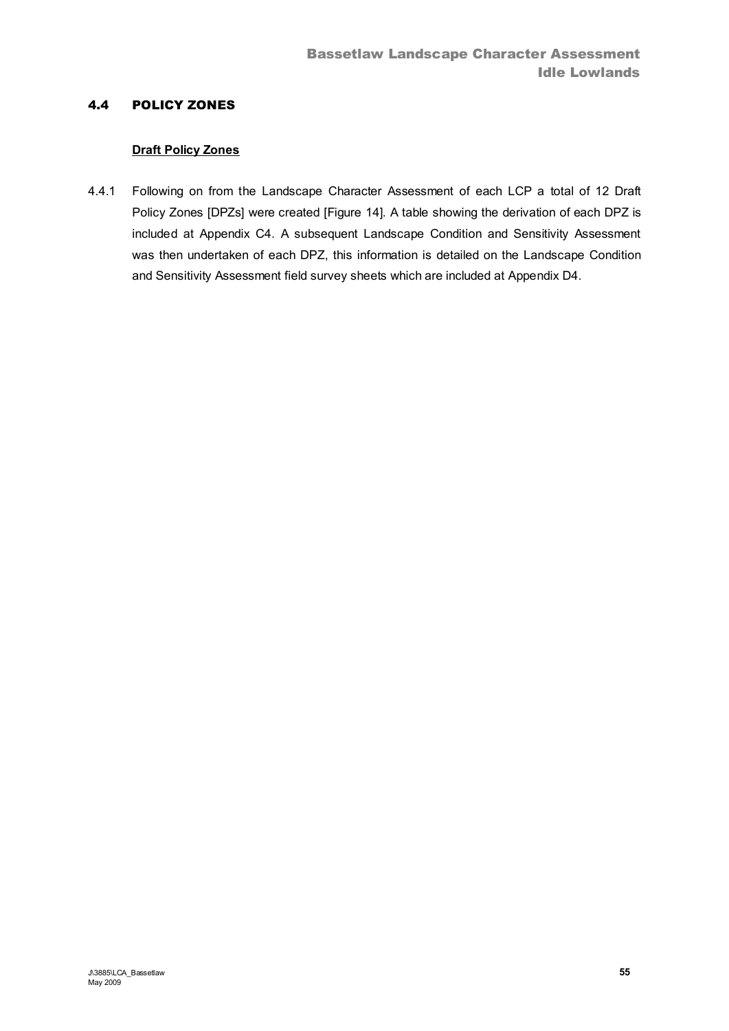# 4.4 POLICY ZONES

### **Draft Policy Zones**

4.4.1 Following on from the Landscape Character Assessment of each LCP a total of 12 Draft Policy Zones [DPZs] were created [Figure 14]. A table showing the derivation of each DPZ is included at Appendix C4. A subsequent Landscape Condition and Sensitivity Assessment was then undertaken of each DPZ, this information is detailed on the Landscape Condition and Sensitivity Assessment field survey sheets which are included at Appendix D4.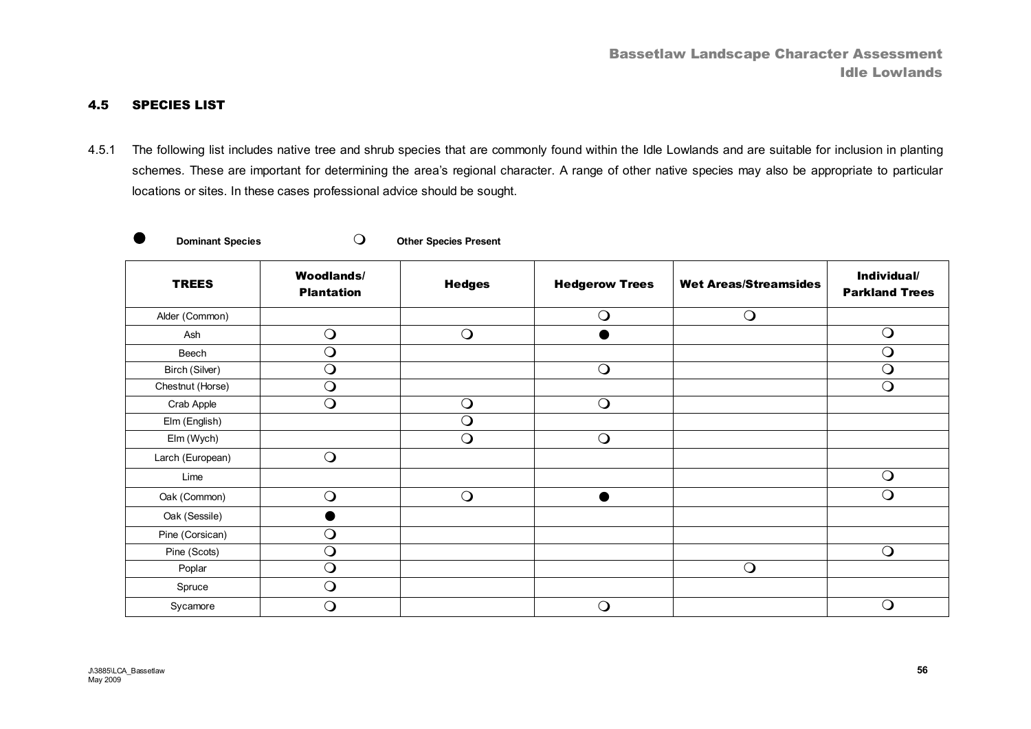### 4.5 SPECIES LIST

4.5.1 The following list includes native tree and shrub species that are commonly found within the Idle Lowlands and are suitable for inclusion in planting schemes*.* These are important for determining the area's regional character. A range of other native species may also be appropriate to particular locations or sites. In these cases professional advice should be sought.

|  | Don |
|--|-----|

**a**  $\Gamma$  **Dominant Species C** and  $\Gamma$  **Other Species Present** 

| <b>TREES</b>     | <b>Woodlands/</b><br><b>Plantation</b> | <b>Hedges</b> | <b>Hedgerow Trees</b> | <b>Wet Areas/Streamsides</b> | Individual/<br><b>Parkland Trees</b> |
|------------------|----------------------------------------|---------------|-----------------------|------------------------------|--------------------------------------|
| Alder (Common)   |                                        |               | $\bigcirc$            | $\bigcirc$                   |                                      |
| Ash              | $\bigcirc$                             | $\bigcirc$    |                       |                              | $\bigcirc$                           |
| Beech            | $\bigcirc$                             |               |                       |                              | $\bigcirc$                           |
| Birch (Silver)   | $\bigcirc$                             |               | $\bigcirc$            |                              | $\overline{O}$                       |
| Chestnut (Horse) | $\bigcirc$                             |               |                       |                              | $\bigcirc$                           |
| Crab Apple       | $\bigcirc$                             | $\bigcirc$    | $\bigcirc$            |                              |                                      |
| Elm (English)    |                                        | $\bigcirc$    |                       |                              |                                      |
| Elm (Wych)       |                                        | $\bigcirc$    | $\bigcirc$            |                              |                                      |
| Larch (European) | $\bigcirc$                             |               |                       |                              |                                      |
| Lime             |                                        |               |                       |                              | $\bigcirc$                           |
| Oak (Common)     | $\bigcirc$                             | $\bigcirc$    |                       |                              | $\bigcirc$                           |
| Oak (Sessile)    |                                        |               |                       |                              |                                      |
| Pine (Corsican)  | $\bigcirc$                             |               |                       |                              |                                      |
| Pine (Scots)     | $\bigcirc$                             |               |                       |                              | $\bigcirc$                           |
| Poplar           | $\bigcirc$                             |               |                       | $\bigcirc$                   |                                      |
| Spruce           | $\bigcirc$                             |               |                       |                              |                                      |
| Sycamore         | $\bigcirc$                             |               | $\bigcirc$            |                              | Q                                    |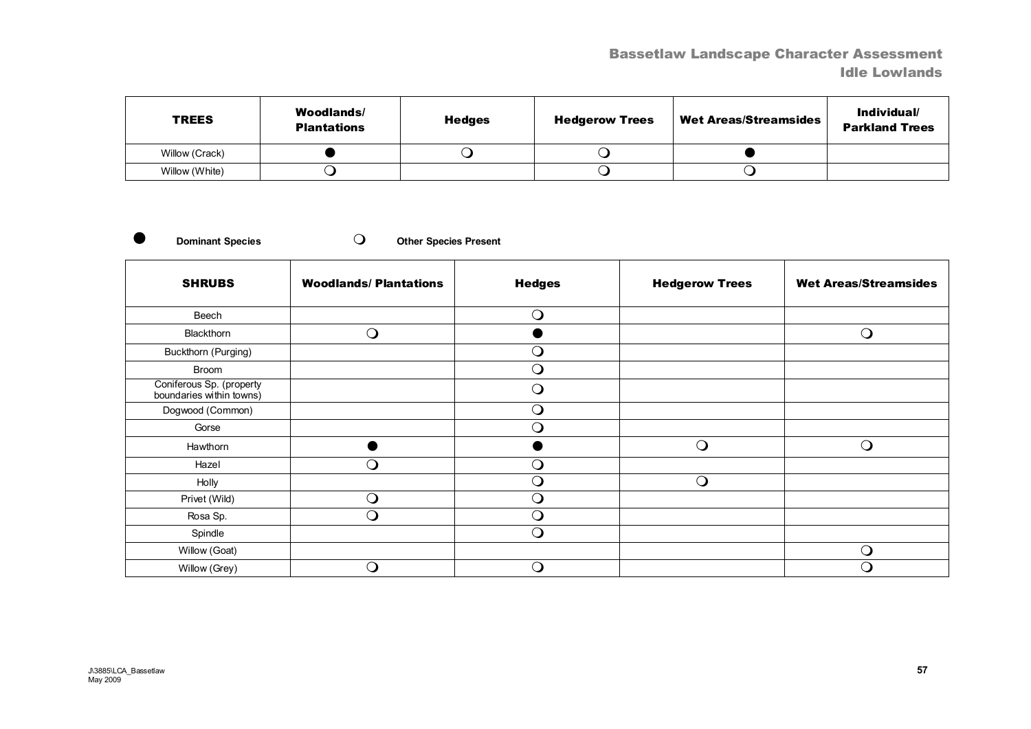# Bassetlaw Landscape Character Assessment Idle Lowlands

| <b>TREES</b>   | Woodlands/<br><b>Plantations</b> | <b>Hedges</b> | <b>Hedgerow Trees</b> | <b>Wet Areas/Streamsides</b> | Individual/<br><b>Parkland Trees</b> |
|----------------|----------------------------------|---------------|-----------------------|------------------------------|--------------------------------------|
| Willow (Crack) |                                  |               |                       |                              |                                      |
| Willow (White) |                                  |               |                       |                              |                                      |

**Dominant Species CO** Other Species Present

| <b>SHRUBS</b>                                        | <b>Woodlands/Plantations</b> | <b>Hedges</b> | <b>Hedgerow Trees</b> | <b>Wet Areas/Streamsides</b> |
|------------------------------------------------------|------------------------------|---------------|-----------------------|------------------------------|
| Beech                                                |                              | $\bigcirc$    |                       |                              |
| Blackthorn                                           | $\bigcirc$                   |               |                       | $\bigcirc$                   |
| Buckthorn (Purging)                                  |                              | $\Omega$      |                       |                              |
| Broom                                                |                              | $\Omega$      |                       |                              |
| Coniferous Sp. (property<br>boundaries within towns) |                              | $\bigcirc$    |                       |                              |
| Dogwood (Common)                                     |                              | $\bigcirc$    |                       |                              |
| Gorse                                                |                              | $\bigcirc$    |                       |                              |
| Hawthorn                                             |                              |               | $\bigcirc$            | $\bigcirc$                   |
| Hazel                                                | $\bigcirc$                   | $\bigcirc$    |                       |                              |
| Holly                                                |                              | $\Omega$      | $\bigcirc$            |                              |
| Privet (Wild)                                        | $\bigcirc$                   | $\Omega$      |                       |                              |
| Rosa Sp.                                             | $\bigcirc$                   | $\Omega$      |                       |                              |
| Spindle                                              |                              | $\Omega$      |                       |                              |
| Willow (Goat)                                        |                              |               |                       | $\bigcirc$                   |
| Willow (Grey)                                        | $\Omega$                     | ∩             |                       | Q                            |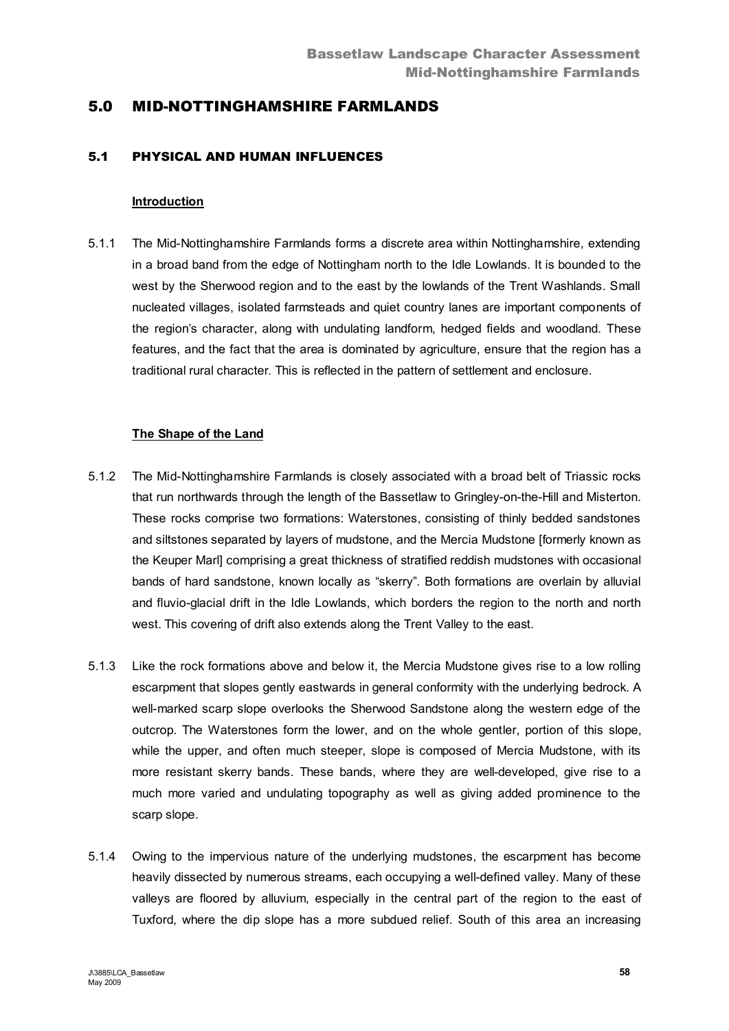# 5.0 MID-NOTTINGHAMSHIRE FARMLANDS

## 5.1 PHYSICAL AND HUMAN INFLUENCES

#### **Introduction**

5.1.1 The Mid-Nottinghamshire Farmlands forms a discrete area within Nottinghamshire, extending in a broad band from the edge of Nottingham north to the Idle Lowlands. It is bounded to the west by the Sherwood region and to the east by the lowlands of the Trent Washlands. Small nucleated villages, isolated farmsteads and quiet country lanes are important components of the region's character, along with undulating landform, hedged fields and woodland. These features, and the fact that the area is dominated by agriculture, ensure that the region has a traditional rural character. This is reflected in the pattern of settlement and enclosure.

### **The Shape of the Land**

- 5.1.2 The Mid-Nottinghamshire Farmlands is closely associated with a broad belt of Triassic rocks that run northwards through the length of the Bassetlaw to Gringley-on-the-Hill and Misterton. These rocks comprise two formations: Waterstones, consisting of thinly bedded sandstones and siltstones separated by layers of mudstone, and the Mercia Mudstone [formerly known as the Keuper Marl] comprising a great thickness of stratified reddish mudstones with occasional bands of hard sandstone, known locally as "skerry". Both formations are overlain by alluvial and fluvio-glacial drift in the Idle Lowlands, which borders the region to the north and north west. This covering of drift also extends along the Trent Valley to the east.
- 5.1.3 Like the rock formations above and below it, the Mercia Mudstone gives rise to a low rolling escarpment that slopes gently eastwards in general conformity with the underlying bedrock. A well-marked scarp slope overlooks the Sherwood Sandstone along the western edge of the outcrop. The Waterstones form the lower, and on the whole gentler, portion of this slope, while the upper, and often much steeper, slope is composed of Mercia Mudstone, with its more resistant skerry bands. These bands, where they are well-developed, give rise to a much more varied and undulating topography as well as giving added prominence to the scarp slope.
- 5.1.4 Owing to the impervious nature of the underlying mudstones, the escarpment has become heavily dissected by numerous streams, each occupying a well-defined valley. Many of these valleys are floored by alluvium, especially in the central part of the region to the east of Tuxford, where the dip slope has a more subdued relief. South of this area an increasing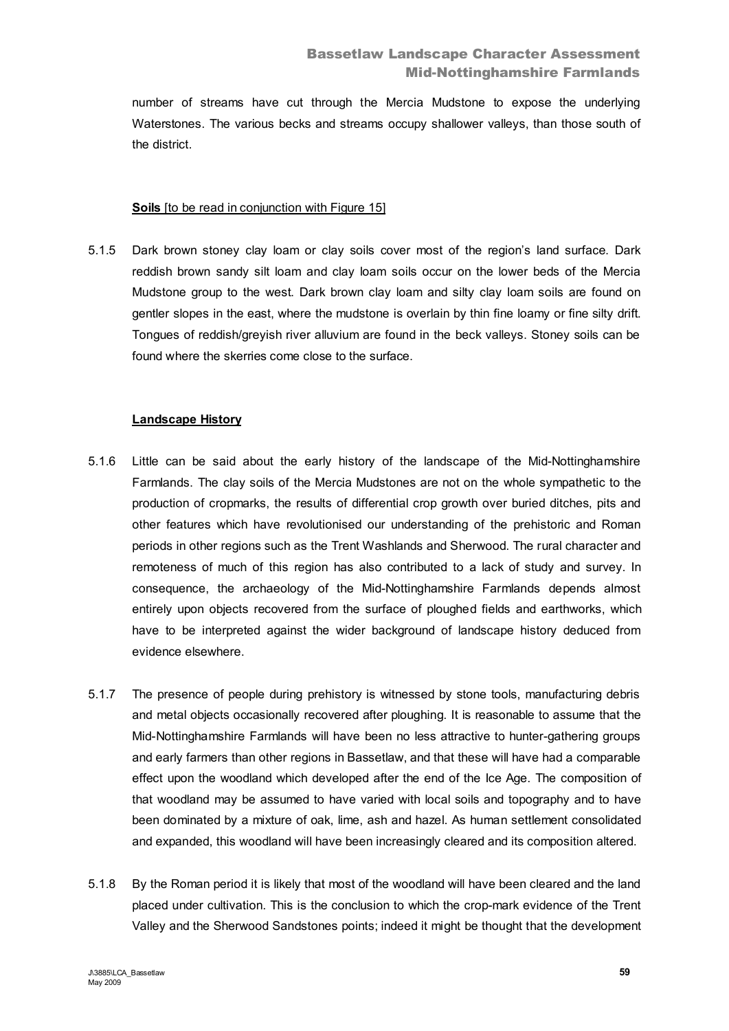number of streams have cut through the Mercia Mudstone to expose the underlying Waterstones. The various becks and streams occupy shallower valleys, than those south of the district.

### **Soils** [to be read in conjunction with Figure 15]

5.1.5 Dark brown stoney clay loam or clay soils cover most of the region's land surface. Dark reddish brown sandy silt loam and clay loam soils occur on the lower beds of the Mercia Mudstone group to the west. Dark brown clay loam and silty clay loam soils are found on gentler slopes in the east, where the mudstone is overlain by thin fine loamy or fine silty drift. Tongues of reddish/greyish river alluvium are found in the beck valleys. Stoney soils can be found where the skerries come close to the surface.

### **Landscape History**

- 5.1.6 Little can be said about the early history of the landscape of the Mid-Nottinghamshire Farmlands. The clay soils of the Mercia Mudstones are not on the whole sympathetic to the production of cropmarks, the results of differential crop growth over buried ditches, pits and other features which have revolutionised our understanding of the prehistoric and Roman periods in other regions such as the Trent Washlands and Sherwood. The rural character and remoteness of much of this region has also contributed to a lack of study and survey. In consequence, the archaeology of the Mid-Nottinghamshire Farmlands depends almost entirely upon objects recovered from the surface of ploughed fields and earthworks, which have to be interpreted against the wider background of landscape history deduced from evidence elsewhere.
- 5.1.7 The presence of people during prehistory is witnessed by stone tools, manufacturing debris and metal objects occasionally recovered after ploughing. It is reasonable to assume that the Mid-Nottinghamshire Farmlands will have been no less attractive to hunter-gathering groups and early farmers than other regions in Bassetlaw, and that these will have had a comparable effect upon the woodland which developed after the end of the Ice Age. The composition of that woodland may be assumed to have varied with local soils and topography and to have been dominated by a mixture of oak, lime, ash and hazel. As human settlement consolidated and expanded, this woodland will have been increasingly cleared and its composition altered.
- 5.1.8 By the Roman period it is likely that most of the woodland will have been cleared and the land placed under cultivation. This is the conclusion to which the crop-mark evidence of the Trent Valley and the Sherwood Sandstones points; indeed it might be thought that the development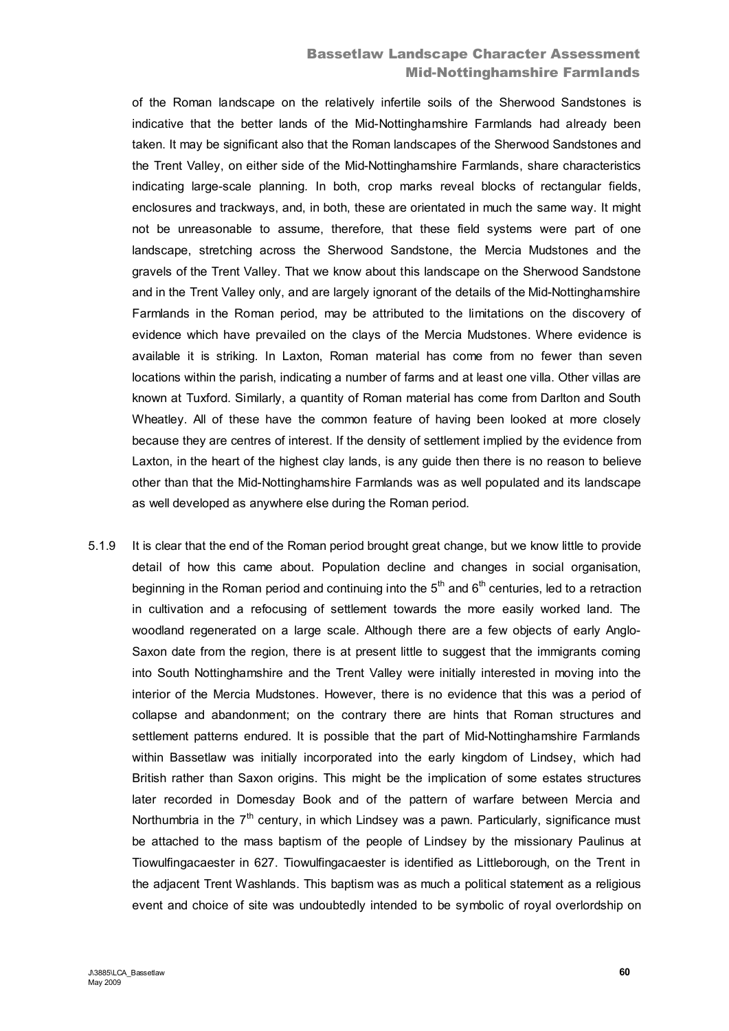# Bassetlaw Landscape Character Assessment Mid-Nottinghamshire Farmlands

of the Roman landscape on the relatively infertile soils of the Sherwood Sandstones is indicative that the better lands of the Mid-Nottinghamshire Farmlands had already been taken. It may be significant also that the Roman landscapes of the Sherwood Sandstones and the Trent Valley, on either side of the Mid-Nottinghamshire Farmlands, share characteristics indicating large-scale planning. In both, crop marks reveal blocks of rectangular fields, enclosures and trackways, and, in both, these are orientated in much the same way. It might not be unreasonable to assume, therefore, that these field systems were part of one landscape, stretching across the Sherwood Sandstone, the Mercia Mudstones and the gravels of the Trent Valley. That we know about this landscape on the Sherwood Sandstone and in the Trent Valley only, and are largely ignorant of the details of the Mid-Nottinghamshire Farmlands in the Roman period, may be attributed to the limitations on the discovery of evidence which have prevailed on the clays of the Mercia Mudstones. Where evidence is available it is striking. In Laxton, Roman material has come from no fewer than seven locations within the parish, indicating a number of farms and at least one villa. Other villas are known at Tuxford. Similarly, a quantity of Roman material has come from Darlton and South Wheatley. All of these have the common feature of having been looked at more closely because they are centres of interest. If the density of settlement implied by the evidence from Laxton, in the heart of the highest clay lands, is any guide then there is no reason to believe other than that the Mid-Nottinghamshire Farmlands was as well populated and its landscape as well developed as anywhere else during the Roman period.

5.1.9 It is clear that the end of the Roman period brought great change, but we know little to provide detail of how this came about. Population decline and changes in social organisation, beginning in the Roman period and continuing into the  $5<sup>th</sup>$  and  $6<sup>th</sup>$  centuries, led to a retraction in cultivation and a refocusing of settlement towards the more easily worked land. The woodland regenerated on a large scale. Although there are a few objects of early Anglo-Saxon date from the region, there is at present little to suggest that the immigrants coming into South Nottinghamshire and the Trent Valley were initially interested in moving into the interior of the Mercia Mudstones. However, there is no evidence that this was a period of collapse and abandonment; on the contrary there are hints that Roman structures and settlement patterns endured. It is possible that the part of Mid-Nottinghamshire Farmlands within Bassetlaw was initially incorporated into the early kingdom of Lindsey, which had British rather than Saxon origins. This might be the implication of some estates structures later recorded in Domesday Book and of the pattern of warfare between Mercia and Northumbria in the  $7<sup>th</sup>$  century, in which Lindsey was a pawn. Particularly, significance must be attached to the mass baptism of the people of Lindsey by the missionary Paulinus at Tiowulfingacaester in 627. Tiowulfingacaester is identified as Littleborough, on the Trent in the adjacent Trent Washlands. This baptism was as much a political statement as a religious event and choice of site was undoubtedly intended to be symbolic of royal overlordship on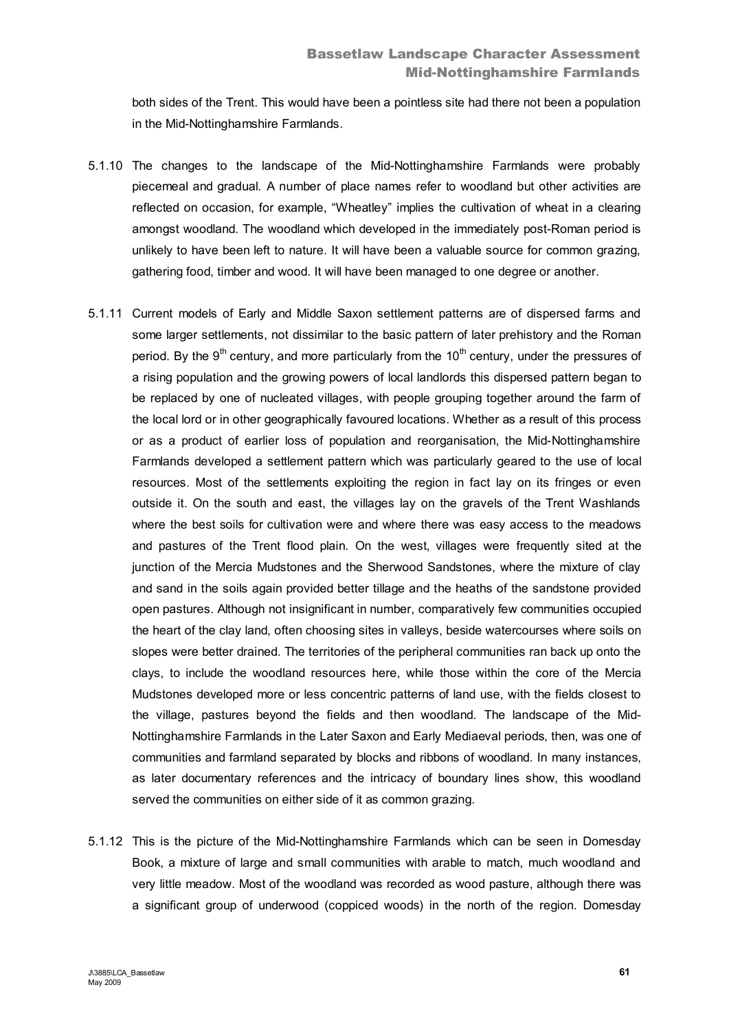both sides of the Trent. This would have been a pointless site had there not been a population in the Mid-Nottinghamshire Farmlands.

- 5.1.10 The changes to the landscape of the Mid-Nottinghamshire Farmlands were probably piecemeal and gradual. A number of place names refer to woodland but other activities are reflected on occasion, for example, "Wheatley" implies the cultivation of wheat in a clearing amongst woodland. The woodland which developed in the immediately post-Roman period is unlikely to have been left to nature. It will have been a valuable source for common grazing, gathering food, timber and wood. It will have been managed to one degree or another.
- 5.1.11 Current models of Early and Middle Saxon settlement patterns are of dispersed farms and some larger settlements, not dissimilar to the basic pattern of later prehistory and the Roman period. By the  $9<sup>th</sup>$  century, and more particularly from the 10<sup>th</sup> century, under the pressures of a rising population and the growing powers of local landlords this dispersed pattern began to be replaced by one of nucleated villages, with people grouping together around the farm of the local lord or in other geographically favoured locations. Whether as a result of this process or as a product of earlier loss of population and reorganisation, the Mid-Nottinghamshire Farmlands developed a settlement pattern which was particularly geared to the use of local resources. Most of the settlements exploiting the region in fact lay on its fringes or even outside it. On the south and east, the villages lay on the gravels of the Trent Washlands where the best soils for cultivation were and where there was easy access to the meadows and pastures of the Trent flood plain. On the west, villages were frequently sited at the junction of the Mercia Mudstones and the Sherwood Sandstones, where the mixture of clay and sand in the soils again provided better tillage and the heaths of the sandstone provided open pastures. Although not insignificant in number, comparatively few communities occupied the heart of the clay land, often choosing sites in valleys, beside watercourses where soils on slopes were better drained. The territories of the peripheral communities ran back up onto the clays, to include the woodland resources here, while those within the core of the Mercia Mudstones developed more or less concentric patterns of land use, with the fields closest to the village, pastures beyond the fields and then woodland. The landscape of the Mid-Nottinghamshire Farmlands in the Later Saxon and Early Mediaeval periods, then, was one of communities and farmland separated by blocks and ribbons of woodland. In many instances, as later documentary references and the intricacy of boundary lines show, this woodland served the communities on either side of it as common grazing.
- 5.1.12 This is the picture of the Mid-Nottinghamshire Farmlands which can be seen in Domesday Book, a mixture of large and small communities with arable to match, much woodland and very little meadow. Most of the woodland was recorded as wood pasture, although there was a significant group of underwood (coppiced woods) in the north of the region. Domesday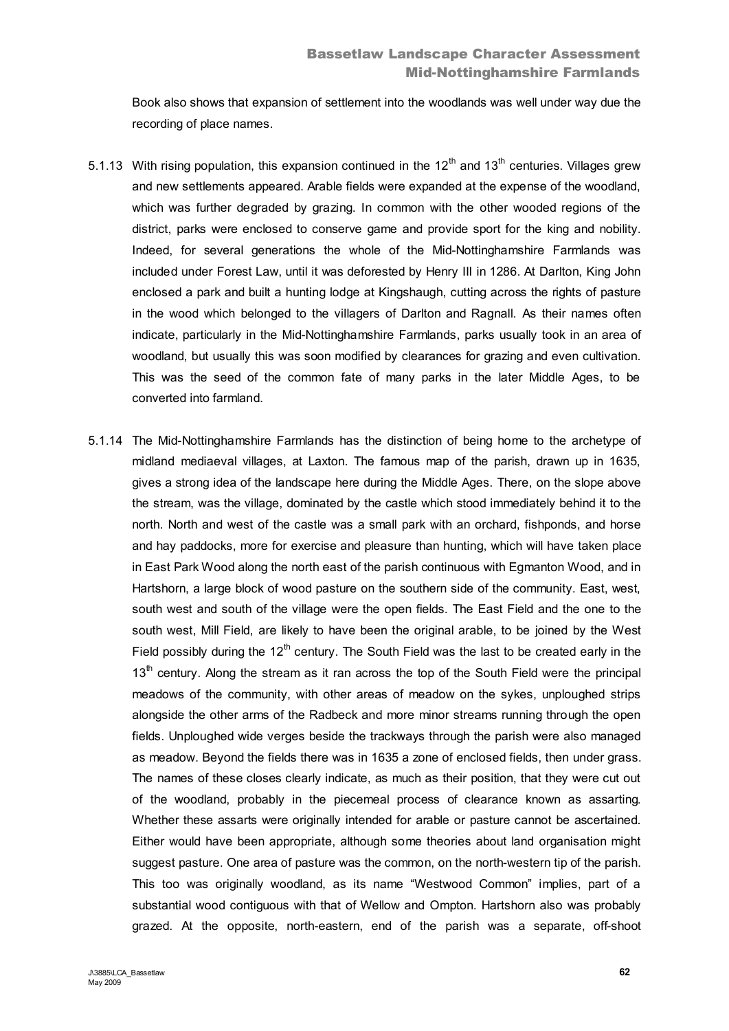Book also shows that expansion of settlement into the woodlands was well under way due the recording of place names.

- 5.1.13 With rising population, this expansion continued in the  $12<sup>th</sup>$  and  $13<sup>th</sup>$  centuries. Villages grew and new settlements appeared. Arable fields were expanded at the expense of the woodland, which was further degraded by grazing. In common with the other wooded regions of the district, parks were enclosed to conserve game and provide sport for the king and nobility. Indeed, for several generations the whole of the Mid-Nottinghamshire Farmlands was included under Forest Law, until it was deforested by Henry III in 1286. At Darlton, King John enclosed a park and built a hunting lodge at Kingshaugh, cutting across the rights of pasture in the wood which belonged to the villagers of Darlton and Ragnall. As their names often indicate, particularly in the Mid-Nottinghamshire Farmlands, parks usually took in an area of woodland, but usually this was soon modified by clearances for grazing and even cultivation. This was the seed of the common fate of many parks in the later Middle Ages, to be converted into farmland.
- 5.1.14 The Mid-Nottinghamshire Farmlands has the distinction of being home to the archetype of midland mediaeval villages, at Laxton. The famous map of the parish, drawn up in 1635, gives a strong idea of the landscape here during the Middle Ages. There, on the slope above the stream, was the village, dominated by the castle which stood immediately behind it to the north. North and west of the castle was a small park with an orchard, fishponds, and horse and hay paddocks, more for exercise and pleasure than hunting, which will have taken place in East Park Wood along the north east of the parish continuous with Egmanton Wood, and in Hartshorn, a large block of wood pasture on the southern side of the community. East, west, south west and south of the village were the open fields. The East Field and the one to the south west, Mill Field, are likely to have been the original arable, to be joined by the West Field possibly during the  $12<sup>th</sup>$  century. The South Field was the last to be created early in the  $13<sup>th</sup>$  century. Along the stream as it ran across the top of the South Field were the principal meadows of the community, with other areas of meadow on the sykes, unploughed strips alongside the other arms of the Radbeck and more minor streams running through the open fields. Unploughed wide verges beside the trackways through the parish were also managed as meadow. Beyond the fields there was in 1635 a zone of enclosed fields, then under grass. The names of these closes clearly indicate, as much as their position, that they were cut out of the woodland, probably in the piecemeal process of clearance known as assarting. Whether these assarts were originally intended for arable or pasture cannot be ascertained. Either would have been appropriate, although some theories about land organisation might suggest pasture. One area of pasture was the common, on the north-western tip of the parish. This too was originally woodland, as its name "Westwood Common" implies, part of a substantial wood contiguous with that of Wellow and Ompton. Hartshorn also was probably grazed. At the opposite, north-eastern, end of the parish was a separate, off-shoot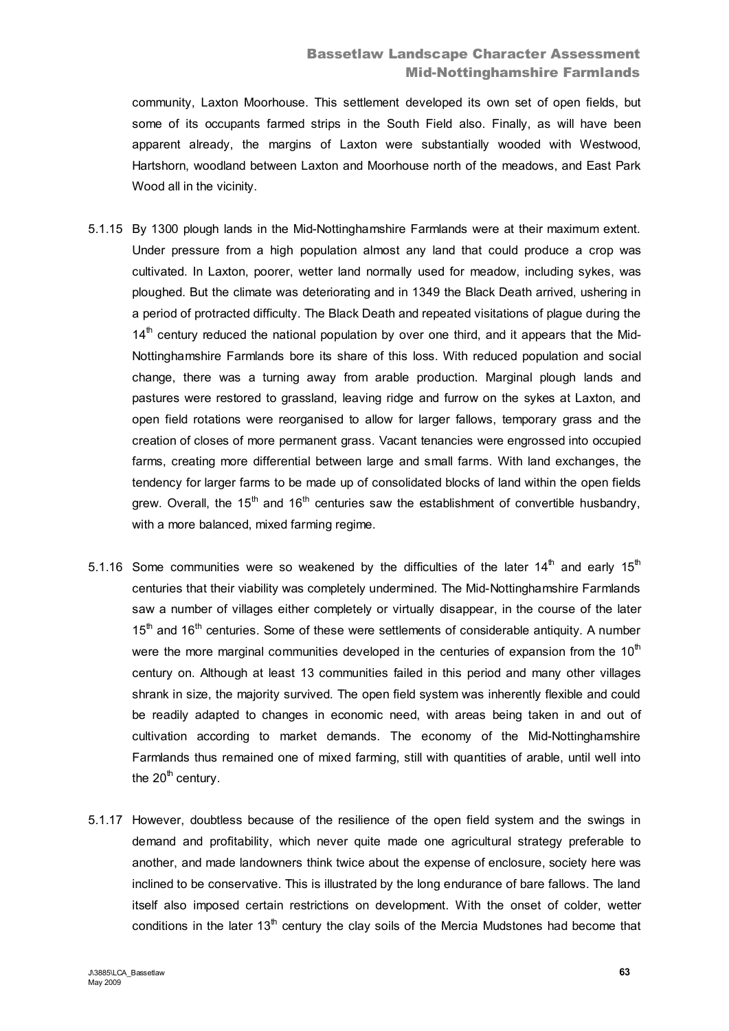# Bassetlaw Landscape Character Assessment Mid-Nottinghamshire Farmlands

community, Laxton Moorhouse. This settlement developed its own set of open fields, but some of its occupants farmed strips in the South Field also. Finally, as will have been apparent already, the margins of Laxton were substantially wooded with Westwood, Hartshorn, woodland between Laxton and Moorhouse north of the meadows, and East Park Wood all in the vicinity.

- 5.1.15 By 1300 plough lands in the Mid-Nottinghamshire Farmlands were at their maximum extent. Under pressure from a high population almost any land that could produce a crop was cultivated. In Laxton, poorer, wetter land normally used for meadow, including sykes, was ploughed. But the climate was deteriorating and in 1349 the Black Death arrived, ushering in a period of protracted difficulty. The Black Death and repeated visitations of plague during the  $14<sup>th</sup>$  century reduced the national population by over one third, and it appears that the Mid-Nottinghamshire Farmlands bore its share of this loss. With reduced population and social change, there was a turning away from arable production. Marginal plough lands and pastures were restored to grassland, leaving ridge and furrow on the sykes at Laxton, and open field rotations were reorganised to allow for larger fallows, temporary grass and the creation of closes of more permanent grass. Vacant tenancies were engrossed into occupied farms, creating more differential between large and small farms. With land exchanges, the tendency for larger farms to be made up of consolidated blocks of land within the open fields grew. Overall, the 15<sup>th</sup> and 16<sup>th</sup> centuries saw the establishment of convertible husbandry, with a more balanced, mixed farming regime.
- 5.1.16 Some communities were so weakened by the difficulties of the later  $14<sup>th</sup>$  and early 15<sup>th</sup> centuries that their viability was completely undermined. The Mid-Nottinghamshire Farmlands saw a number of villages either completely or virtually disappear, in the course of the later  $15<sup>th</sup>$  and  $16<sup>th</sup>$  centuries. Some of these were settlements of considerable antiquity. A number were the more marginal communities developed in the centuries of expansion from the  $10<sup>th</sup>$ century on. Although at least 13 communities failed in this period and many other villages shrank in size, the majority survived. The open field system was inherently flexible and could be readily adapted to changes in economic need, with areas being taken in and out of cultivation according to market demands. The economy of the Mid-Nottinghamshire Farmlands thus remained one of mixed farming, still with quantities of arable, until well into the  $20<sup>th</sup>$  century.
- 5.1.17 However, doubtless because of the resilience of the open field system and the swings in demand and profitability, which never quite made one agricultural strategy preferable to another, and made landowners think twice about the expense of enclosure, society here was inclined to be conservative. This is illustrated by the long endurance of bare fallows. The land itself also imposed certain restrictions on development. With the onset of colder, wetter conditions in the later  $13<sup>th</sup>$  century the clay soils of the Mercia Mudstones had become that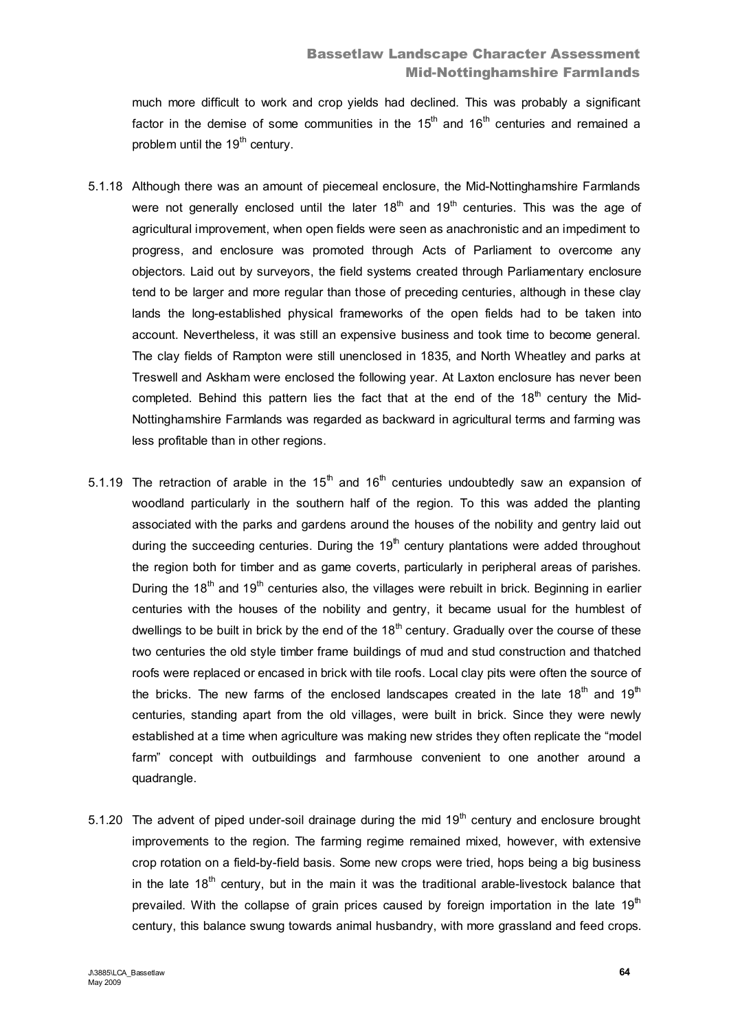much more difficult to work and crop yields had declined. This was probably a significant factor in the demise of some communities in the  $15<sup>th</sup>$  and  $16<sup>th</sup>$  centuries and remained a problem until the 19<sup>th</sup> century.

- 5.1.18 Although there was an amount of piecemeal enclosure, the Mid-Nottinghamshire Farmlands were not generally enclosed until the later  $18<sup>th</sup>$  and  $19<sup>th</sup>$  centuries. This was the age of agricultural improvement, when open fields were seen as anachronistic and an impediment to progress, and enclosure was promoted through Acts of Parliament to overcome any objectors. Laid out by surveyors, the field systems created through Parliamentary enclosure tend to be larger and more regular than those of preceding centuries, although in these clay lands the long-established physical frameworks of the open fields had to be taken into account. Nevertheless, it was still an expensive business and took time to become general. The clay fields of Rampton were still unenclosed in 1835, and North Wheatley and parks at Treswell and Askham were enclosed the following year. At Laxton enclosure has never been completed. Behind this pattern lies the fact that at the end of the  $18<sup>th</sup>$  century the Mid-Nottinghamshire Farmlands was regarded as backward in agricultural terms and farming was less profitable than in other regions.
- 5.1.19 The retraction of arable in the  $15<sup>th</sup>$  and  $16<sup>th</sup>$  centuries undoubtedly saw an expansion of woodland particularly in the southern half of the region. To this was added the planting associated with the parks and gardens around the houses of the nobility and gentry laid out during the succeeding centuries. During the  $19<sup>th</sup>$  century plantations were added throughout the region both for timber and as game coverts, particularly in peripheral areas of parishes. During the  $18<sup>th</sup>$  and  $19<sup>th</sup>$  centuries also, the villages were rebuilt in brick. Beginning in earlier centuries with the houses of the nobility and gentry, it became usual for the humblest of dwellings to be built in brick by the end of the  $18<sup>th</sup>$  century. Gradually over the course of these two centuries the old style timber frame buildings of mud and stud construction and thatched roofs were replaced or encased in brick with tile roofs. Local clay pits were often the source of the bricks. The new farms of the enclosed landscapes created in the late  $18<sup>th</sup>$  and  $19<sup>th</sup>$ centuries, standing apart from the old villages, were built in brick. Since they were newly established at a time when agriculture was making new strides they often replicate the "model farm" concept with outbuildings and farmhouse convenient to one another around a quadrangle.
- 5.1.20 The advent of piped under-soil drainage during the mid  $19<sup>th</sup>$  century and enclosure brought improvements to the region. The farming regime remained mixed, however, with extensive crop rotation on a field-by-field basis. Some new crops were tried, hops being a big business in the late  $18<sup>th</sup>$  century, but in the main it was the traditional arable-livestock balance that prevailed. With the collapse of grain prices caused by foreign importation in the late  $19<sup>th</sup>$ century, this balance swung towards animal husbandry, with more grassland and feed crops.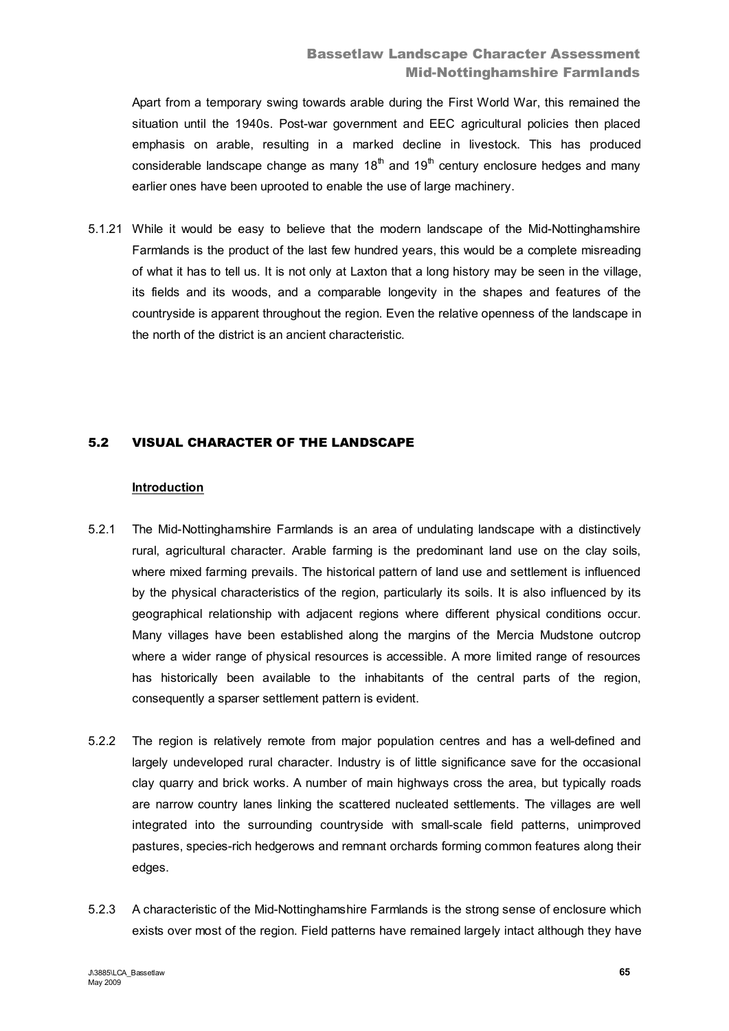Apart from a temporary swing towards arable during the First World War, this remained the situation until the 1940s. Post-war government and EEC agricultural policies then placed emphasis on arable, resulting in a marked decline in livestock. This has produced considerable landscape change as many  $18<sup>th</sup>$  and  $19<sup>th</sup>$  century enclosure hedges and many earlier ones have been uprooted to enable the use of large machinery.

5.1.21 While it would be easy to believe that the modern landscape of the Mid-Nottinghamshire Farmlands is the product of the last few hundred years, this would be a complete misreading of what it has to tell us. It is not only at Laxton that a long history may be seen in the village, its fields and its woods, and a comparable longevity in the shapes and features of the countryside is apparent throughout the region. Even the relative openness of the landscape in the north of the district is an ancient characteristic.

# 5.2 VISUAL CHARACTER OF THE LANDSCAPE

#### **Introduction**

- 5.2.1 The Mid-Nottinghamshire Farmlands is an area of undulating landscape with a distinctively rural, agricultural character. Arable farming is the predominant land use on the clay soils, where mixed farming prevails. The historical pattern of land use and settlement is influenced by the physical characteristics of the region, particularly its soils. It is also influenced by its geographical relationship with adjacent regions where different physical conditions occur. Many villages have been established along the margins of the Mercia Mudstone outcrop where a wider range of physical resources is accessible. A more limited range of resources has historically been available to the inhabitants of the central parts of the region, consequently a sparser settlement pattern is evident.
- 5.2.2 The region is relatively remote from major population centres and has a well-defined and largely undeveloped rural character. Industry is of little significance save for the occasional clay quarry and brick works. A number of main highways cross the area, but typically roads are narrow country lanes linking the scattered nucleated settlements. The villages are well integrated into the surrounding countryside with small-scale field patterns, unimproved pastures, species-rich hedgerows and remnant orchards forming common features along their edges.
- 5.2.3 A characteristic of the Mid-Nottinghamshire Farmlands is the strong sense of enclosure which exists over most of the region. Field patterns have remained largely intact although they have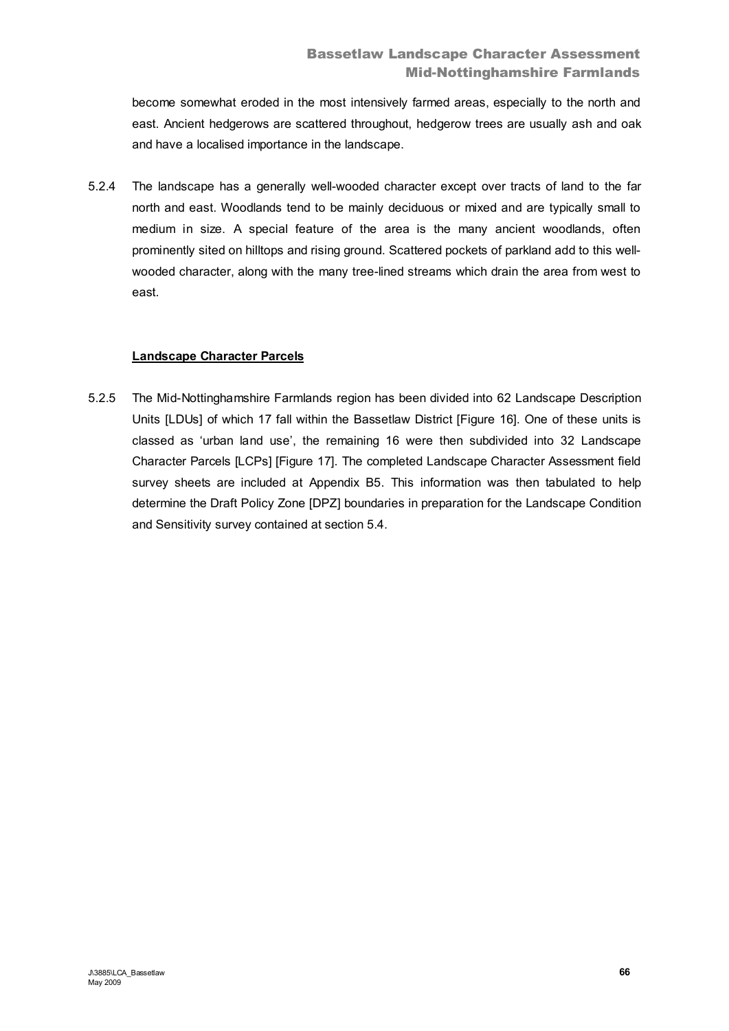become somewhat eroded in the most intensively farmed areas, especially to the north and east. Ancient hedgerows are scattered throughout, hedgerow trees are usually ash and oak and have a localised importance in the landscape.

5.2.4 The landscape has a generally well-wooded character except over tracts of land to the far north and east. Woodlands tend to be mainly deciduous or mixed and are typically small to medium in size. A special feature of the area is the many ancient woodlands, often prominently sited on hilltops and rising ground. Scattered pockets of parkland add to this wellwooded character, along with the many tree-lined streams which drain the area from west to east.

# **Landscape Character Parcels**

5.2.5 The Mid-Nottinghamshire Farmlands region has been divided into 62 Landscape Description Units [LDUs] of which 17 fall within the Bassetlaw District [Figure 16]. One of these units is classed as 'urban land use', the remaining 16 were then subdivided into 32 Landscape Character Parcels [LCPs] [Figure 17]. The completed Landscape Character Assessment field survey sheets are included at Appendix B5. This information was then tabulated to help determine the Draft Policy Zone [DPZ] boundaries in preparation for the Landscape Condition and Sensitivity survey contained at section 5.4.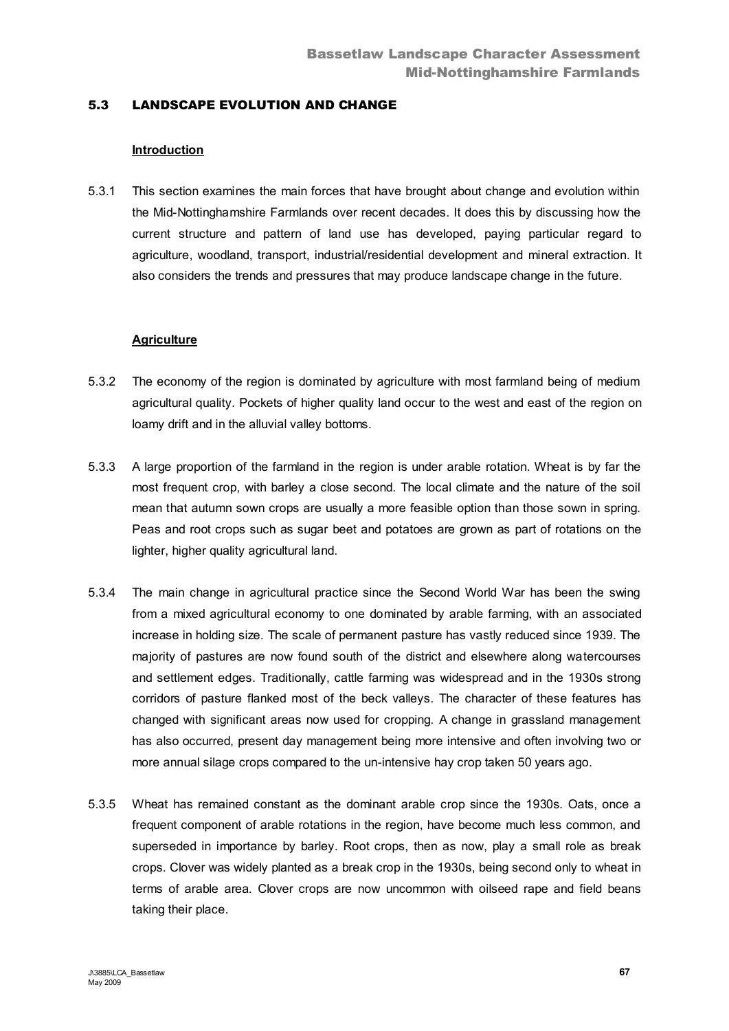### 5.3 LANDSCAPE EVOLUTION AND CHANGE

#### **Introduction**

5.3.1 This section examines the main forces that have brought about change and evolution within the Mid-Nottinghamshire Farmlands over recent decades. It does this by discussing how the current structure and pattern of land use has developed, paying particular regard to agriculture, woodland, transport, industrial/residential development and mineral extraction. It also considers the trends and pressures that may produce landscape change in the future.

#### **Agriculture**

- 5.3.2 The economy of the region is dominated by agriculture with most farmland being of medium agricultural quality. Pockets of higher quality land occur to the west and east of the region on loamy drift and in the alluvial valley bottoms.
- 5.3.3 A large proportion of the farmland in the region is under arable rotation. Wheat is by far the most frequent crop, with barley a close second. The local climate and the nature of the soil mean that autumn sown crops are usually a more feasible option than those sown in spring. Peas and root crops such as sugar beet and potatoes are grown as part of rotations on the lighter, higher quality agricultural land.
- 5.3.4 The main change in agricultural practice since the Second World War has been the swing from a mixed agricultural economy to one dominated by arable farming, with an associated increase in holding size. The scale of permanent pasture has vastly reduced since 1939. The majority of pastures are now found south of the district and elsewhere along watercourses and settlement edges. Traditionally, cattle farming was widespread and in the 1930s strong corridors of pasture flanked most of the beck valleys. The character of these features has changed with significant areas now used for cropping. A change in grassland management has also occurred, present day management being more intensive and often involving two or more annual silage crops compared to the un-intensive hay crop taken 50 years ago.
- 5.3.5 Wheat has remained constant as the dominant arable crop since the 1930s. Oats, once a frequent component of arable rotations in the region, have become much less common, and superseded in importance by barley. Root crops, then as now, play a small role as break crops. Clover was widely planted as a break crop in the 1930s, being second only to wheat in terms of arable area. Clover crops are now uncommon with oilseed rape and field beans taking their place.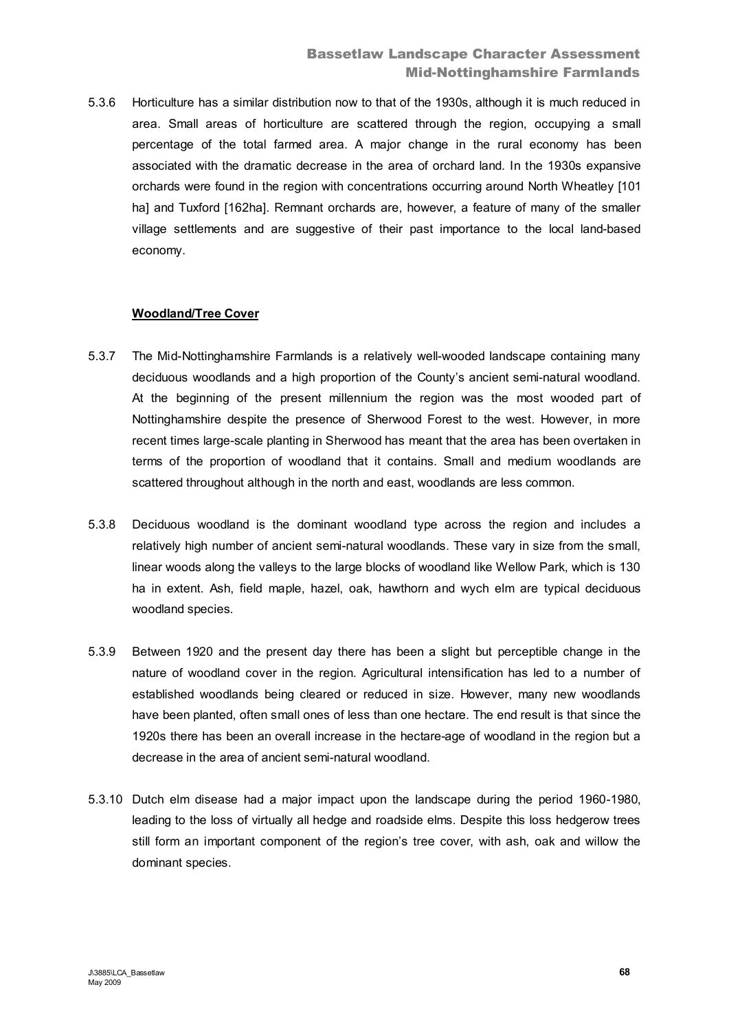5.3.6 Horticulture has a similar distribution now to that of the 1930s, although it is much reduced in area. Small areas of horticulture are scattered through the region, occupying a small percentage of the total farmed area. A major change in the rural economy has been associated with the dramatic decrease in the area of orchard land. In the 1930s expansive orchards were found in the region with concentrations occurring around North Wheatley [101 ha] and Tuxford [162ha]. Remnant orchards are, however, a feature of many of the smaller village settlements and are suggestive of their past importance to the local land-based economy.

### **Woodland/Tree Cover**

- 5.3.7 The Mid-Nottinghamshire Farmlands is a relatively well-wooded landscape containing many deciduous woodlands and a high proportion of the County's ancient semi-natural woodland. At the beginning of the present millennium the region was the most wooded part of Nottinghamshire despite the presence of Sherwood Forest to the west. However, in more recent times large-scale planting in Sherwood has meant that the area has been overtaken in terms of the proportion of woodland that it contains. Small and medium woodlands are scattered throughout although in the north and east, woodlands are less common.
- 5.3.8 Deciduous woodland is the dominant woodland type across the region and includes a relatively high number of ancient semi-natural woodlands. These vary in size from the small, linear woods along the valleys to the large blocks of woodland like Wellow Park, which is 130 ha in extent. Ash, field maple, hazel, oak, hawthorn and wych elm are typical deciduous woodland species.
- 5.3.9 Between 1920 and the present day there has been a slight but perceptible change in the nature of woodland cover in the region. Agricultural intensification has led to a number of established woodlands being cleared or reduced in size. However, many new woodlands have been planted, often small ones of less than one hectare. The end result is that since the 1920s there has been an overall increase in the hectare-age of woodland in the region but a decrease in the area of ancient semi-natural woodland.
- 5.3.10 Dutch elm disease had a major impact upon the landscape during the period 1960-1980, leading to the loss of virtually all hedge and roadside elms. Despite this loss hedgerow trees still form an important component of the region's tree cover, with ash, oak and willow the dominant species.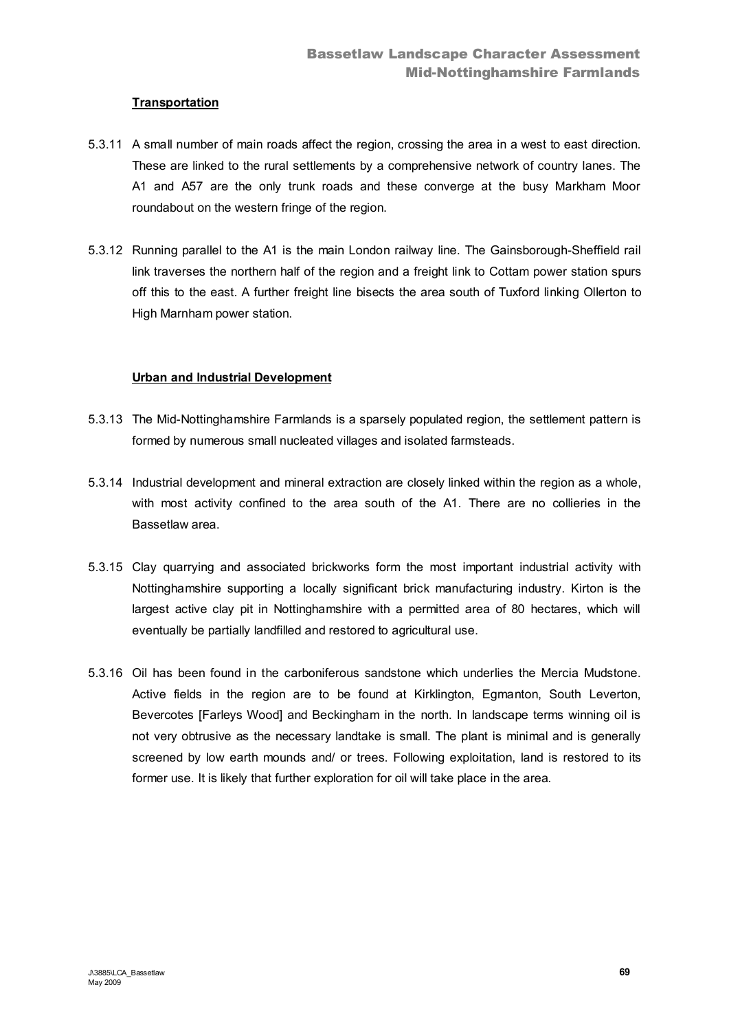### **Transportation**

- 5.3.11 A small number of main roads affect the region, crossing the area in a west to east direction. These are linked to the rural settlements by a comprehensive network of country lanes. The A1 and A57 are the only trunk roads and these converge at the busy Markham Moor roundabout on the western fringe of the region.
- 5.3.12 Running parallel to the A1 is the main London railway line. The Gainsborough-Sheffield rail link traverses the northern half of the region and a freight link to Cottam power station spurs off this to the east. A further freight line bisects the area south of Tuxford linking Ollerton to High Marnham power station.

### **Urban and Industrial Development**

- 5.3.13 The Mid-Nottinghamshire Farmlands is a sparsely populated region, the settlement pattern is formed by numerous small nucleated villages and isolated farmsteads.
- 5.3.14 Industrial development and mineral extraction are closely linked within the region as a whole, with most activity confined to the area south of the A1. There are no collieries in the Bassetlaw area.
- 5.3.15 Clay quarrying and associated brickworks form the most important industrial activity with Nottinghamshire supporting a locally significant brick manufacturing industry. Kirton is the largest active clay pit in Nottinghamshire with a permitted area of 80 hectares, which will eventually be partially landfilled and restored to agricultural use.
- 5.3.16 Oil has been found in the carboniferous sandstone which underlies the Mercia Mudstone. Active fields in the region are to be found at Kirklington, Egmanton, South Leverton, Bevercotes [Farleys Wood] and Beckingham in the north. In landscape terms winning oil is not very obtrusive as the necessary landtake is small. The plant is minimal and is generally screened by low earth mounds and/ or trees. Following exploitation, land is restored to its former use. It is likely that further exploration for oil will take place in the area.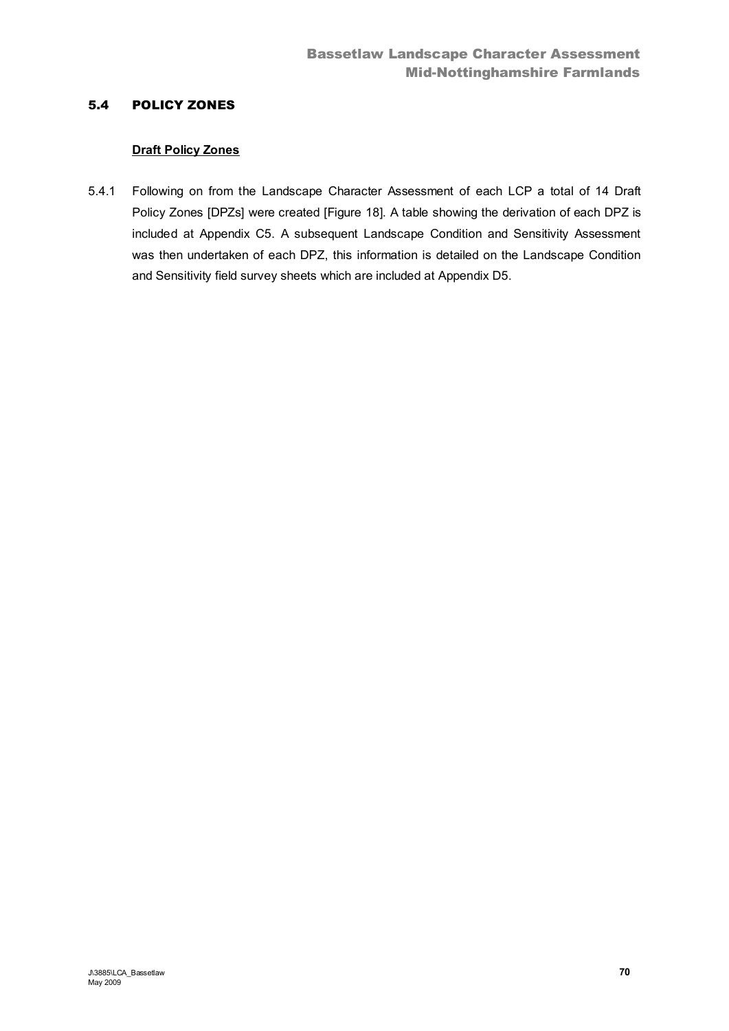# 5.4 POLICY ZONES

## **Draft Policy Zones**

5.4.1 Following on from the Landscape Character Assessment of each LCP a total of 14 Draft Policy Zones [DPZs] were created [Figure 18]. A table showing the derivation of each DPZ is included at Appendix C5. A subsequent Landscape Condition and Sensitivity Assessment was then undertaken of each DPZ, this information is detailed on the Landscape Condition and Sensitivity field survey sheets which are included at Appendix D5.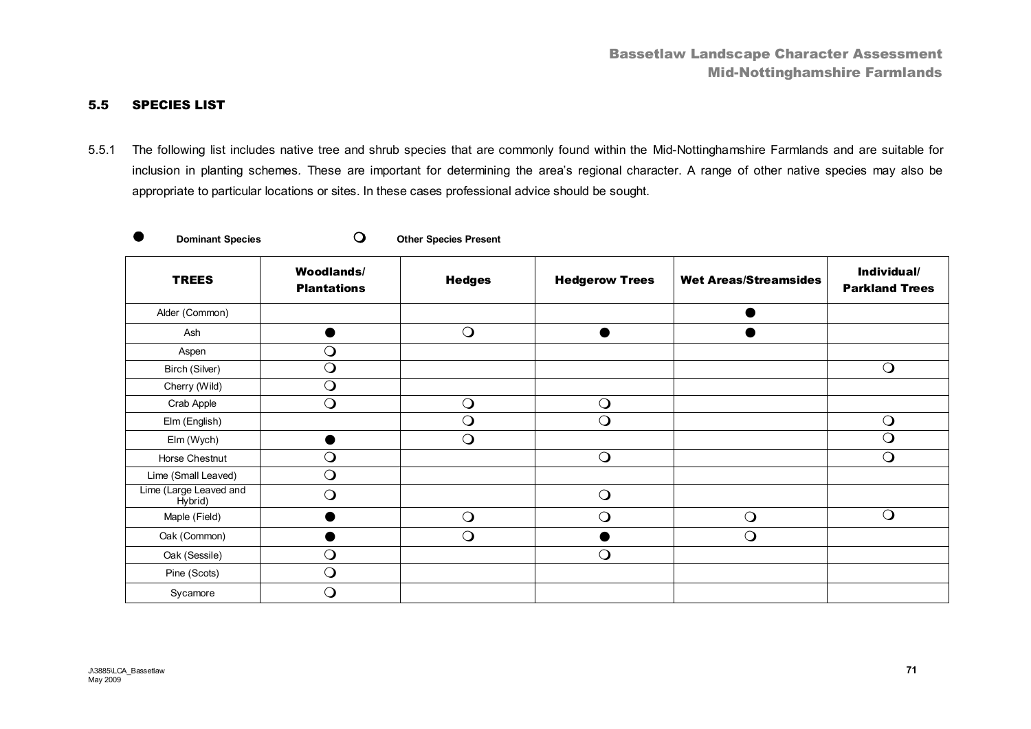### 5.5 SPECIES LIST

5.5.1 The following list includes native tree and shrub species that are commonly found within the Mid-Nottinghamshire Farmlands and are suitable for inclusion in planting schemes*.* These are important for determining the area's regional character. A range of other native species may also be appropriate to particular locations or sites. In these cases professional advice should be sought.

|  | Dominant |
|--|----------|

**Species O** Other Species Present

| <b>TREES</b>                      | <b>Woodlands/</b><br><b>Plantations</b> | <b>Hedges</b> | <b>Hedgerow Trees</b> | <b>Wet Areas/Streamsides</b> | Individual/<br><b>Parkland Trees</b> |
|-----------------------------------|-----------------------------------------|---------------|-----------------------|------------------------------|--------------------------------------|
| Alder (Common)                    |                                         |               |                       |                              |                                      |
| Ash                               |                                         | $\bigcirc$    |                       |                              |                                      |
| Aspen                             | $\bigcirc$                              |               |                       |                              |                                      |
| Birch (Silver)                    | $\bigcirc$                              |               |                       |                              | $\bigcirc$                           |
| Cherry (Wild)                     | $\bigcirc$                              |               |                       |                              |                                      |
| Crab Apple                        | $\bigcirc$                              | $\bigcirc$    | $\bigcirc$            |                              |                                      |
| Elm (English)                     |                                         | $\bigcirc$    | $\bigcirc$            |                              | $\Omega$                             |
| Elm (Wych)                        |                                         | $\bigcirc$    |                       |                              | $\bigcirc$                           |
| Horse Chestnut                    | $\bigcirc$                              |               | $\bigcirc$            |                              | $\bigcirc$                           |
| Lime (Small Leaved)               | $\bigcirc$                              |               |                       |                              |                                      |
| Lime (Large Leaved and<br>Hybrid) | $\bigcirc$                              |               | $\bigcirc$            |                              |                                      |
| Maple (Field)                     |                                         | $\bigcirc$    | $\bigcirc$            | $\bigcirc$                   | $\bigcirc$                           |
| Oak (Common)                      |                                         | $\bigcirc$    |                       | $\bigcirc$                   |                                      |
| Oak (Sessile)                     | $\bigcirc$                              |               | $\bigcirc$            |                              |                                      |
| Pine (Scots)                      | $\bigcirc$                              |               |                       |                              |                                      |
| Sycamore                          | ∩                                       |               |                       |                              |                                      |